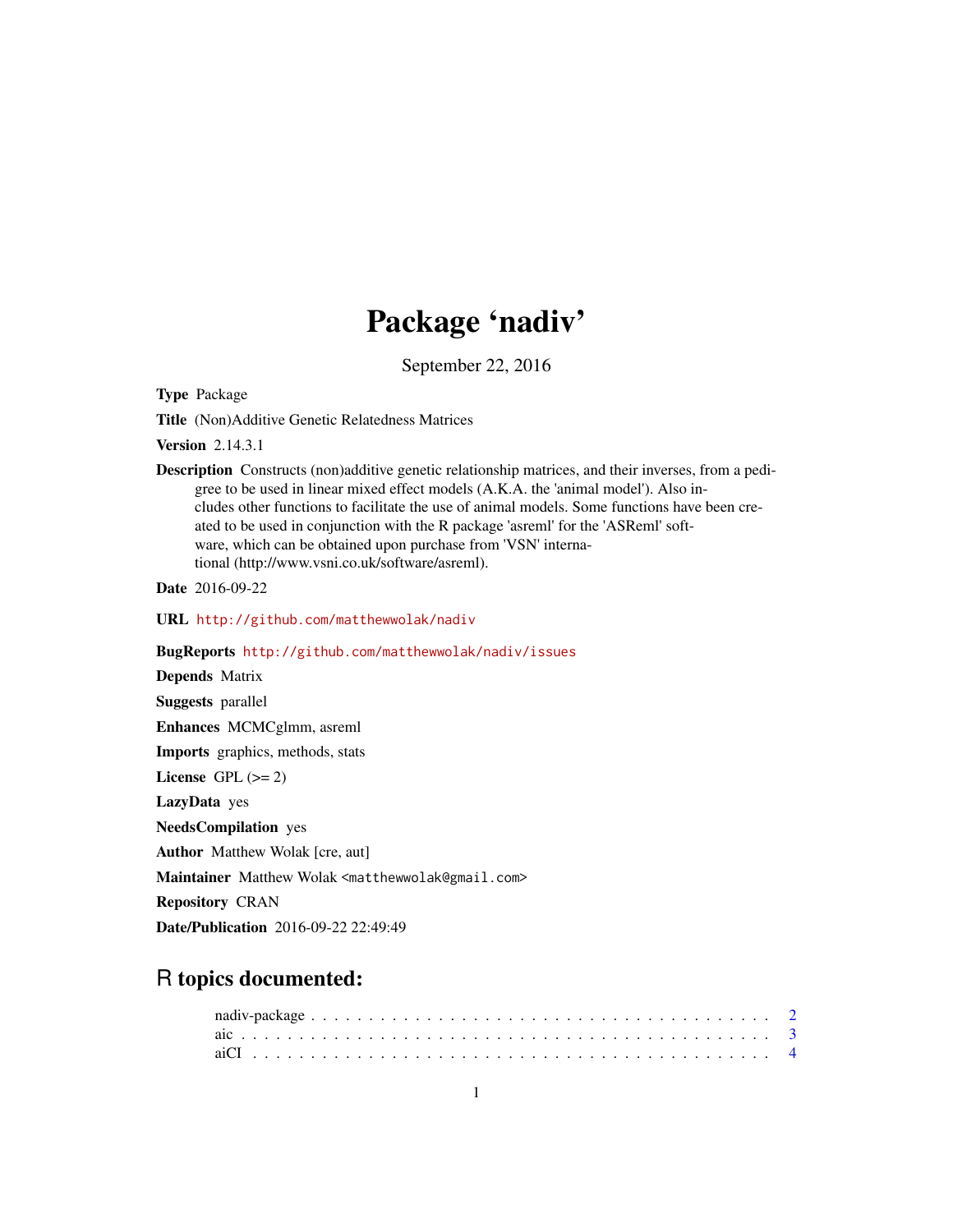# Package 'nadiv'

September 22, 2016

<span id="page-0-0"></span>Type Package

Title (Non)Additive Genetic Relatedness Matrices

Version 2.14.3.1

Description Constructs (non)additive genetic relationship matrices, and their inverses, from a pedigree to be used in linear mixed effect models (A.K.A. the 'animal model'). Also includes other functions to facilitate the use of animal models. Some functions have been created to be used in conjunction with the R package 'asreml' for the 'ASReml' software, which can be obtained upon purchase from 'VSN' international (http://www.vsni.co.uk/software/asreml).

Date 2016-09-22

URL <http://github.com/matthewwolak/nadiv>

BugReports <http://github.com/matthewwolak/nadiv/issues>

Depends Matrix Suggests parallel Enhances MCMCglmm, asreml Imports graphics, methods, stats License GPL  $(>= 2)$ LazyData yes NeedsCompilation yes Author Matthew Wolak [cre, aut] Maintainer Matthew Wolak <matthewwolak@gmail.com> Repository CRAN

Date/Publication 2016-09-22 22:49:49

## R topics documented: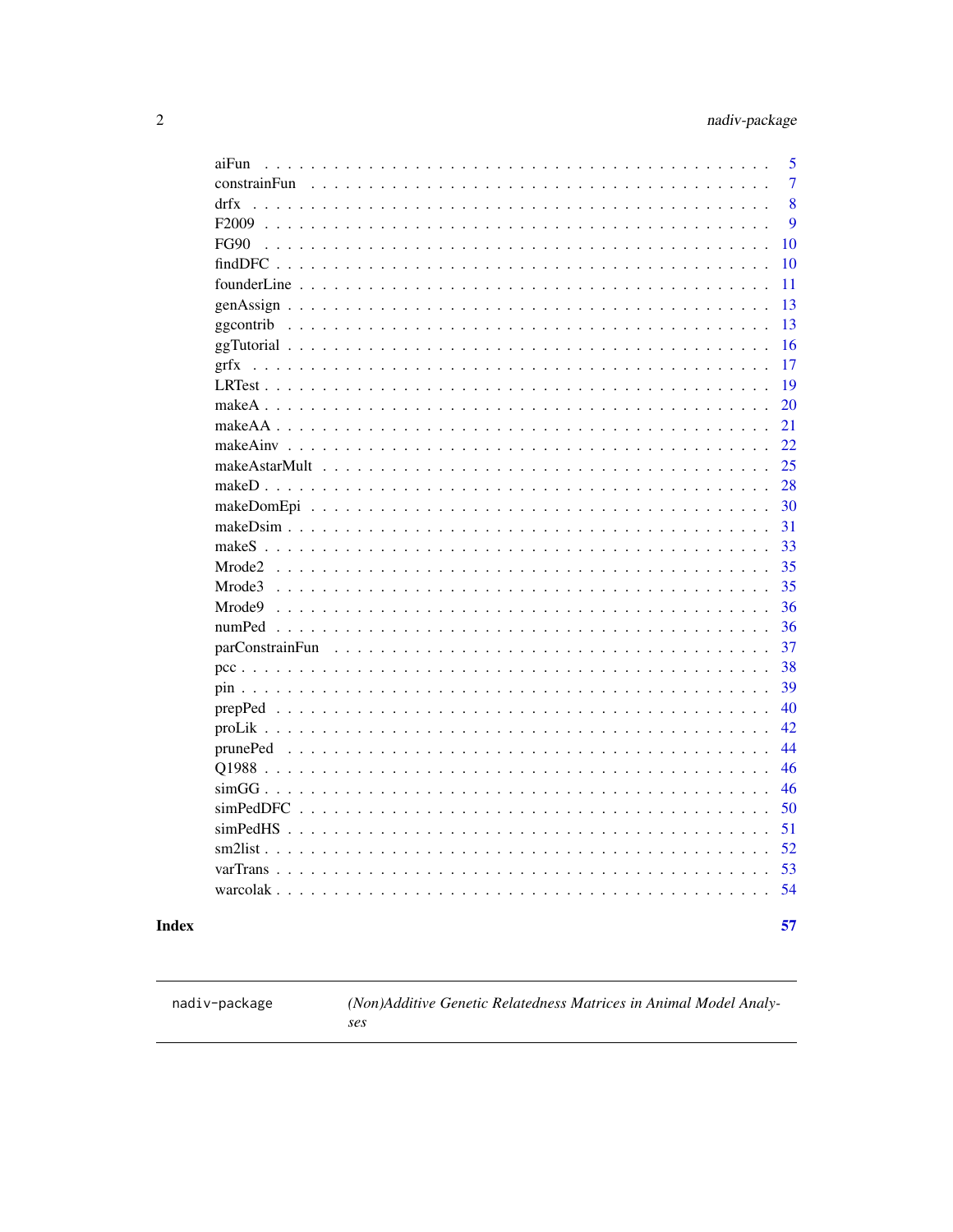<span id="page-1-0"></span>

| aiFun                 | 5  |
|-----------------------|----|
| constrainFun<br>1.1.1 | 7  |
| drfx                  | 8  |
|                       | 9  |
| <b>FG90</b>           | 10 |
|                       | 10 |
|                       | 11 |
|                       | 13 |
| ggcontrib             | 13 |
|                       | 16 |
|                       | 17 |
|                       | 19 |
|                       | 20 |
|                       | 21 |
|                       | 22 |
|                       | 25 |
|                       | 28 |
|                       | 30 |
|                       | 31 |
|                       | 33 |
|                       | 35 |
|                       | 35 |
| Mrode9                | 36 |
|                       | 36 |
| parConstrainFun       | 37 |
|                       | 38 |
|                       | 39 |
|                       | 40 |
|                       | 42 |
| prunePed              | 44 |
|                       | 46 |
|                       | 46 |
|                       | 50 |
|                       | 51 |
|                       | 52 |
|                       | 53 |
|                       | 54 |
|                       |    |
|                       | 57 |

# **Index**

nadiv-package

(Non)Additive Genetic Relatedness Matrices in Animal Model Analyses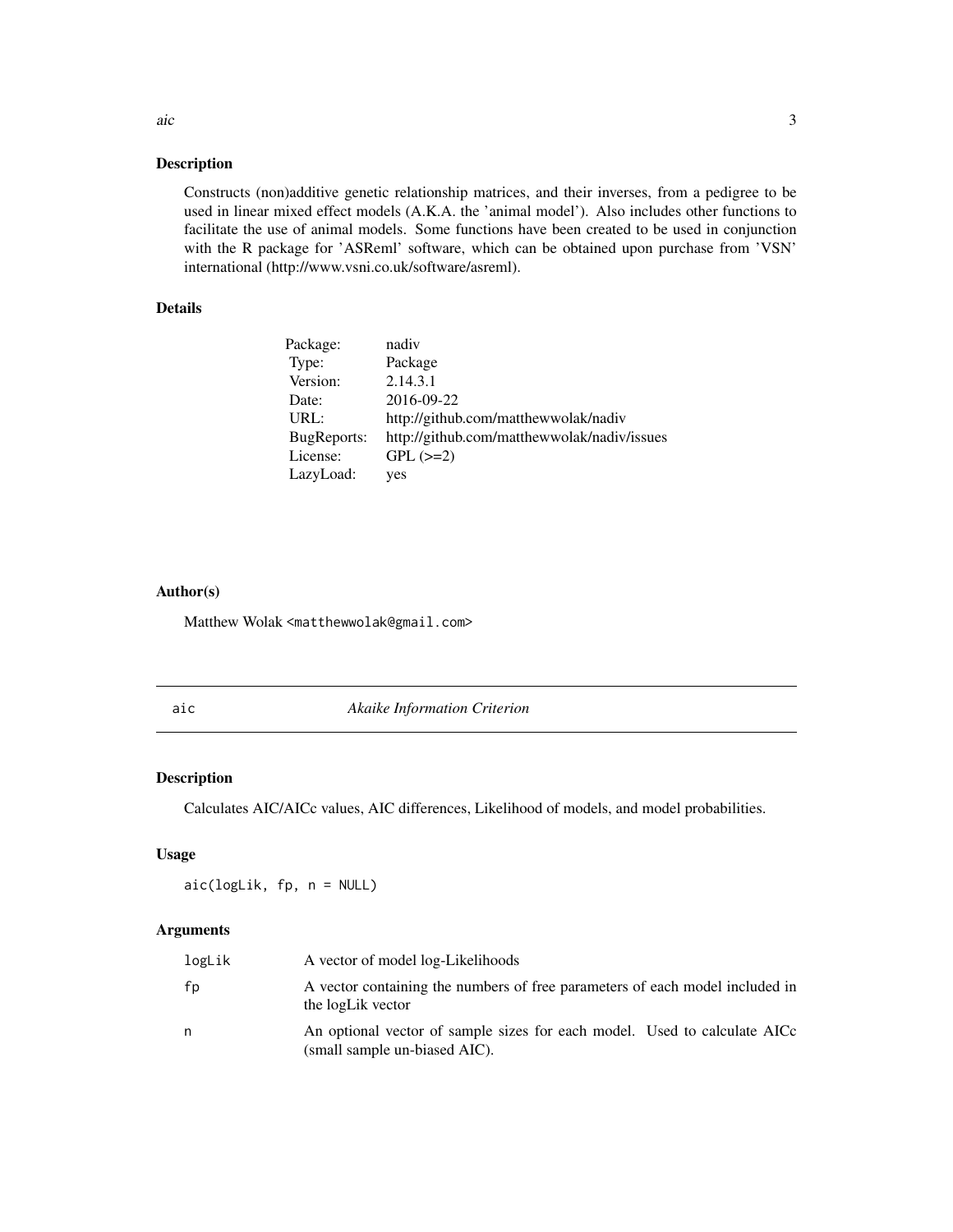#### Description

Constructs (non)additive genetic relationship matrices, and their inverses, from a pedigree to be used in linear mixed effect models (A.K.A. the 'animal model'). Also includes other functions to facilitate the use of animal models. Some functions have been created to be used in conjunction with the R package for 'ASReml' software, which can be obtained upon purchase from 'VSN' international (http://www.vsni.co.uk/software/asreml).

#### Details

| Package:    | nadiv                                       |
|-------------|---------------------------------------------|
| Type:       | Package                                     |
| Version:    | 2.14.3.1                                    |
| Date:       | 2016-09-22                                  |
| URL:        | http://github.com/matthewwolak/nadiv        |
| BugReports: | http://github.com/matthewwolak/nadiv/issues |
| License:    | $GPL (=2)$                                  |
| LazyLoad:   | yes                                         |

#### Author(s)

Matthew Wolak <matthewwolak@gmail.com>

aic *Akaike Information Criterion*

#### Description

Calculates AIC/AICc values, AIC differences, Likelihood of models, and model probabilities.

#### Usage

aic(logLik, fp, n = NULL)

#### Arguments

| logLik | A vector of model log-Likelihoods                                                                          |
|--------|------------------------------------------------------------------------------------------------------------|
| fp     | A vector containing the numbers of free parameters of each model included in<br>the logLik vector          |
| n      | An optional vector of sample sizes for each model. Used to calculate AICc<br>(small sample un-biased AIC). |

<span id="page-2-0"></span> $\frac{1}{3}$  3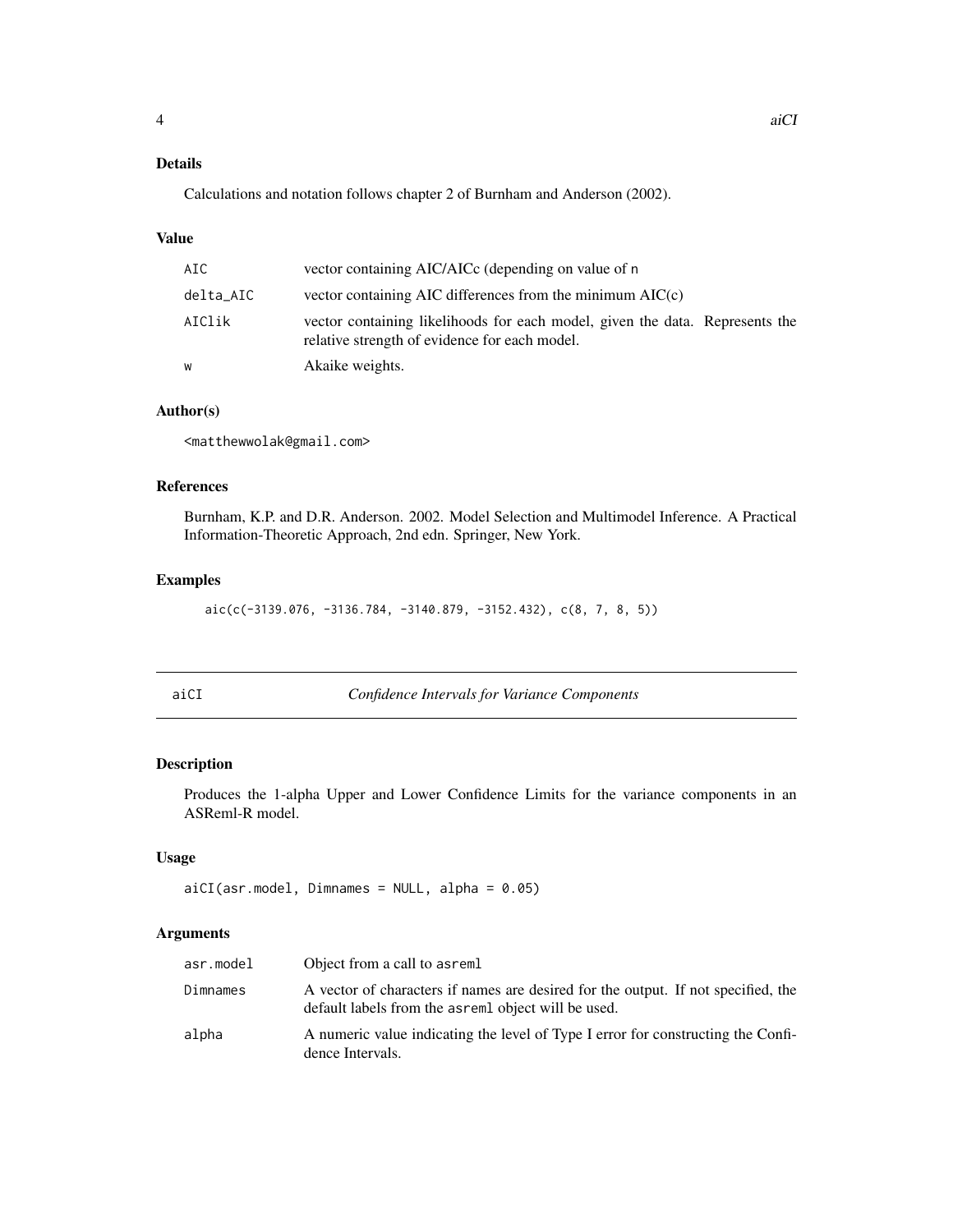<span id="page-3-0"></span>Calculations and notation follows chapter 2 of Burnham and Anderson (2002).

#### Value

| AIC.      | vector containing AIC/AICc (depending on value of n                                                                           |
|-----------|-------------------------------------------------------------------------------------------------------------------------------|
| delta_AIC | vector containing AIC differences from the minimum $AIC(c)$                                                                   |
| AIClik    | vector containing likelihoods for each model, given the data. Represents the<br>relative strength of evidence for each model. |
| W         | Akaike weights.                                                                                                               |

#### Author(s)

<matthewwolak@gmail.com>

#### References

Burnham, K.P. and D.R. Anderson. 2002. Model Selection and Multimodel Inference. A Practical Information-Theoretic Approach, 2nd edn. Springer, New York.

#### Examples

 $aic(c(-3139.076, -3136.784, -3140.879, -3152.432), c(8, 7, 8, 5))$ 

<span id="page-3-1"></span>aiCI *Confidence Intervals for Variance Components*

#### Description

Produces the 1-alpha Upper and Lower Confidence Limits for the variance components in an ASReml-R model.

#### Usage

```
aiCI(asr.model, Dimnames = NULL, alpha = 0.05)
```
#### Arguments

| asr.model | Object from a call to asreml                                                                                                             |
|-----------|------------------------------------------------------------------------------------------------------------------------------------------|
| Dimnames  | A vector of characters if names are desired for the output. If not specified, the<br>default labels from the asreml object will be used. |
| alpha     | A numeric value indicating the level of Type I error for constructing the Confi-<br>dence Intervals.                                     |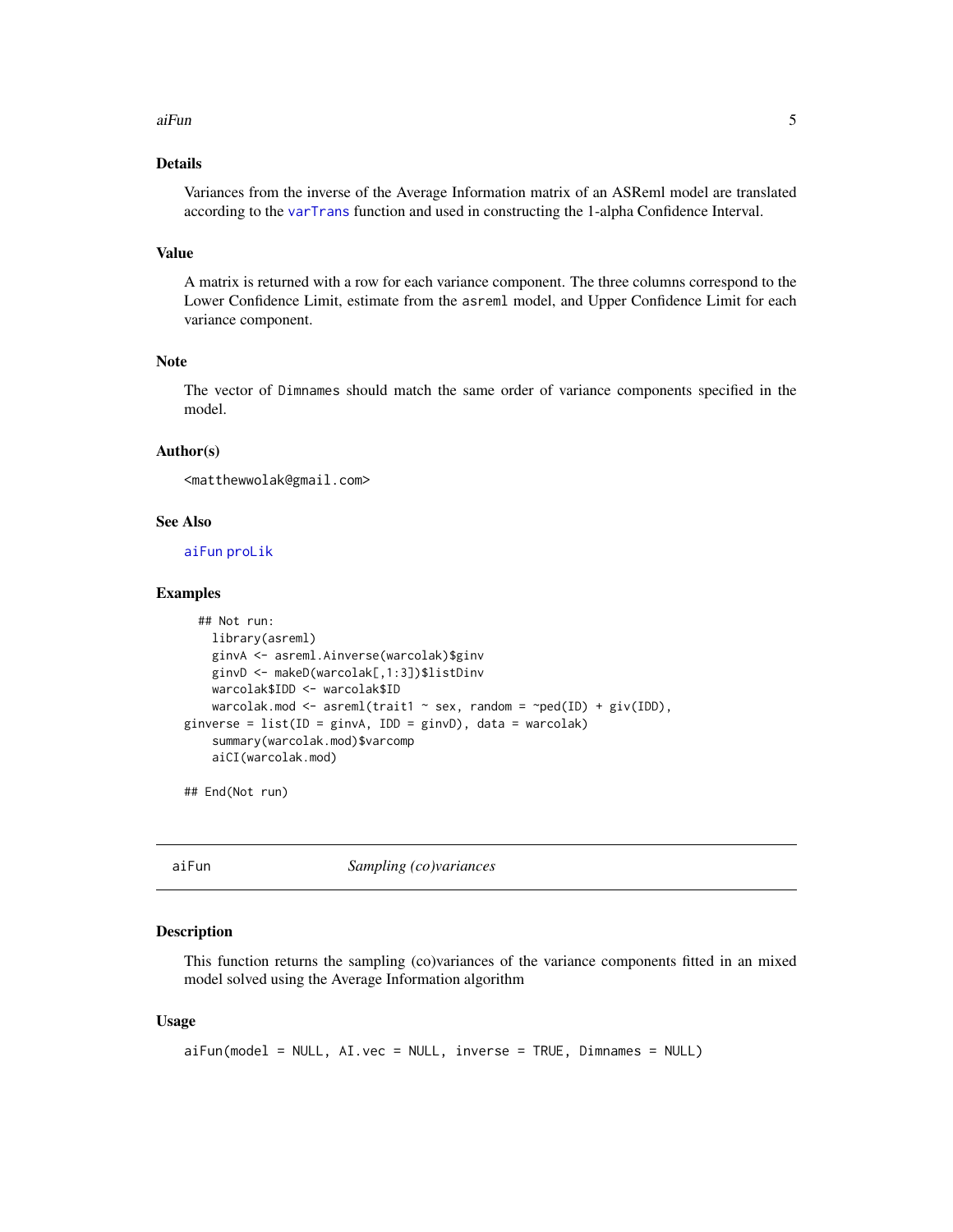#### <span id="page-4-0"></span>aiFun 500 anns an t-ìreann an t-ìreann an t-ìreann an t-ìreann an t-ìreann an t-ìreann an t-ìreann an t-ìrean

#### Details

Variances from the inverse of the Average Information matrix of an ASReml model are translated according to the [varTrans](#page-52-1) function and used in constructing the 1-alpha Confidence Interval.

#### Value

A matrix is returned with a row for each variance component. The three columns correspond to the Lower Confidence Limit, estimate from the asreml model, and Upper Confidence Limit for each variance component.

#### Note

The vector of Dimnames should match the same order of variance components specified in the model.

#### Author(s)

<matthewwolak@gmail.com>

#### See Also

[aiFun](#page-4-1) [proLik](#page-41-1)

#### Examples

```
## Not run:
   library(asreml)
    ginvA <- asreml.Ainverse(warcolak)$ginv
   ginvD <- makeD(warcolak[,1:3])$listDinv
   warcolak$IDD <- warcolak$ID
   warcolak.mod <- asreml(trait1 \sim sex, random = \simped(ID) + giv(IDD),
ginverse = list(ID = ginvA, IDD = ginvD), data = warcolak)
    summary(warcolak.mod)$varcomp
   aiCI(warcolak.mod)
```
## End(Not run)

<span id="page-4-1"></span>aiFun *Sampling (co)variances*

#### Description

This function returns the sampling (co)variances of the variance components fitted in an mixed model solved using the Average Information algorithm

#### Usage

```
aiFun(model = NULL, AI.vec = NULL, inverse = TRUE, Dimnames = NULL)
```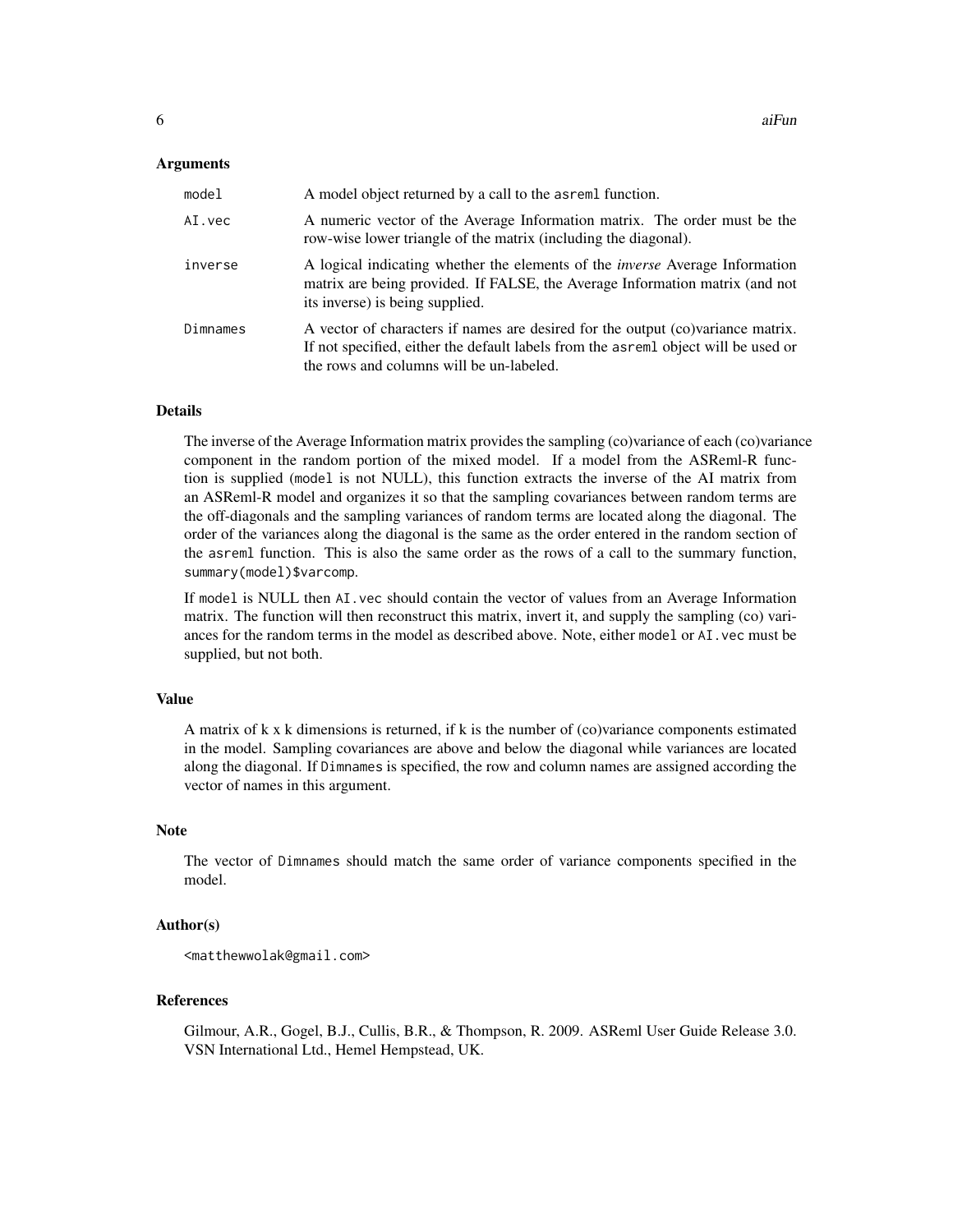#### Arguments

| model    | A model object returned by a call to the asreml function.                                                                                                                                                         |
|----------|-------------------------------------------------------------------------------------------------------------------------------------------------------------------------------------------------------------------|
| AI.vec   | A numeric vector of the Average Information matrix. The order must be the<br>row-wise lower triangle of the matrix (including the diagonal).                                                                      |
| inverse  | A logical indicating whether the elements of the <i>inverse</i> Average Information<br>matrix are being provided. If FALSE, the Average Information matrix (and not<br>its inverse) is being supplied.            |
| Dimnames | A vector of characters if names are desired for the output (co)variance matrix.<br>If not specified, either the default labels from the asreml object will be used or<br>the rows and columns will be un-labeled. |

#### Details

The inverse of the Average Information matrix provides the sampling (co)variance of each (co)variance component in the random portion of the mixed model. If a model from the ASReml-R function is supplied (model is not NULL), this function extracts the inverse of the AI matrix from an ASReml-R model and organizes it so that the sampling covariances between random terms are the off-diagonals and the sampling variances of random terms are located along the diagonal. The order of the variances along the diagonal is the same as the order entered in the random section of the asreml function. This is also the same order as the rows of a call to the summary function, summary(model)\$varcomp.

If model is NULL then AI.vec should contain the vector of values from an Average Information matrix. The function will then reconstruct this matrix, invert it, and supply the sampling (co) variances for the random terms in the model as described above. Note, either model or AI.vec must be supplied, but not both.

#### Value

A matrix of k x k dimensions is returned, if k is the number of (co)variance components estimated in the model. Sampling covariances are above and below the diagonal while variances are located along the diagonal. If Dimnames is specified, the row and column names are assigned according the vector of names in this argument.

#### Note

The vector of Dimnames should match the same order of variance components specified in the model.

#### Author(s)

<matthewwolak@gmail.com>

#### References

Gilmour, A.R., Gogel, B.J., Cullis, B.R., & Thompson, R. 2009. ASReml User Guide Release 3.0. VSN International Ltd., Hemel Hempstead, UK.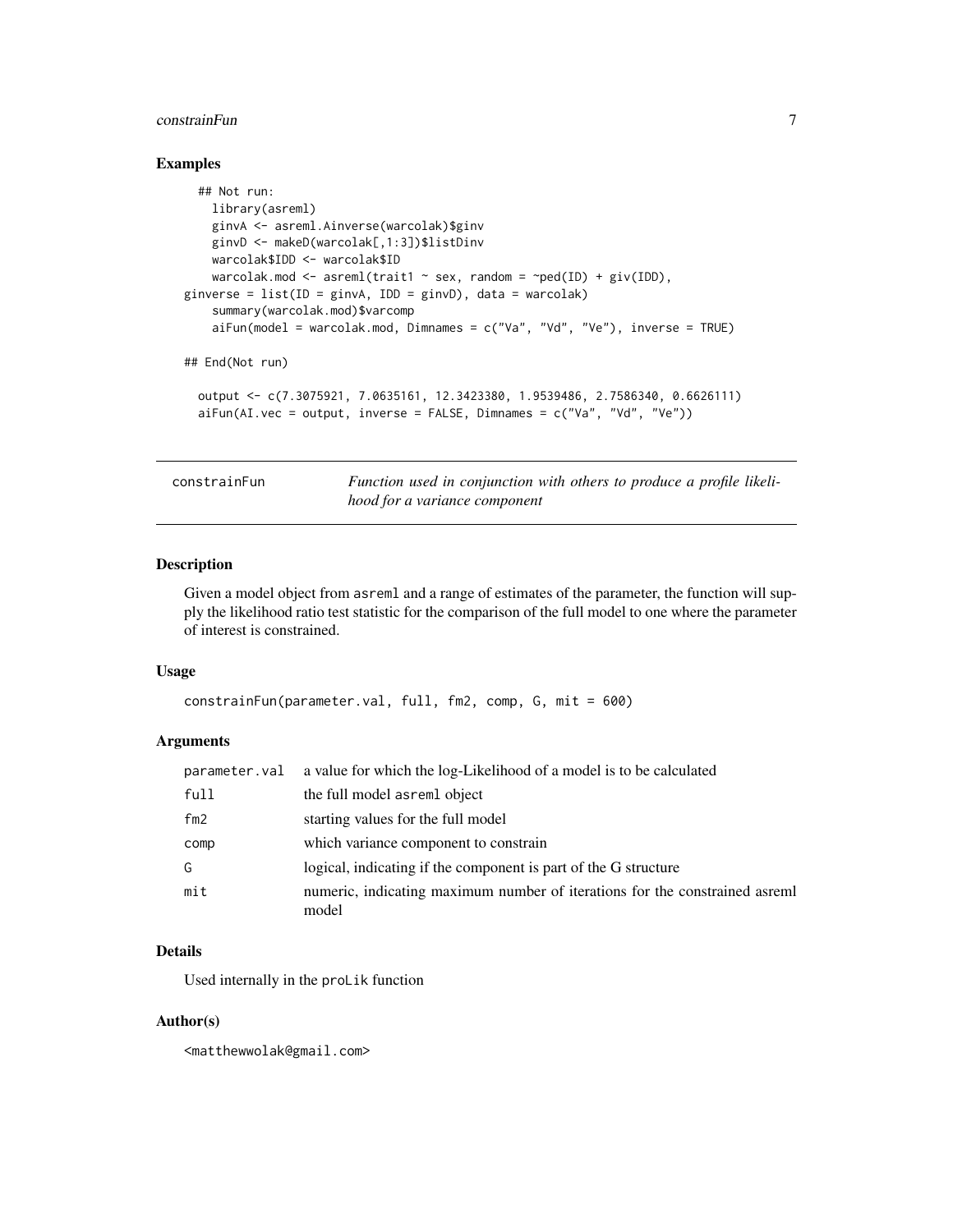#### <span id="page-6-0"></span>constrainFun 7

#### Examples

```
## Not run:
   library(asreml)
   ginvA <- asreml.Ainverse(warcolak)$ginv
   ginvD <- makeD(warcolak[,1:3])$listDinv
   warcolak$IDD <- warcolak$ID
   warcolak.mod <- asreml(trait1 \sim sex, random = \simped(ID) + giv(IDD),
ginverse = list(ID = ginvA, IDD = ginvD), data = warcolak)
    summary(warcolak.mod)$varcomp
   aifun(model = warcolak.mod, Dimnames = c("Va", "Vd", "Ve"), inverse = TRUE)## End(Not run)
 output <- c(7.3075921, 7.0635161, 12.3423380, 1.9539486, 2.7586340, 0.6626111)
 aifun(AI.vec = output, inverse = FALSE, Dimnames = c("Va", "Vd", "Ve"))
```
<span id="page-6-1"></span>constrainFun *Function used in conjunction with others to produce a profile likelihood for a variance component*

#### Description

Given a model object from asreml and a range of estimates of the parameter, the function will supply the likelihood ratio test statistic for the comparison of the full model to one where the parameter of interest is constrained.

#### Usage

```
constrainFun(parameter.val, full, fm2, comp, G, mit = 600)
```
#### Arguments

| parameter.val | a value for which the log-Likelihood of a model is to be calculated                  |
|---------------|--------------------------------------------------------------------------------------|
| full          | the full model as reml object                                                        |
| fm2           | starting values for the full model                                                   |
| comp          | which variance component to constrain                                                |
| G             | logical, indicating if the component is part of the G structure                      |
| mit           | numeric, indicating maximum number of iterations for the constrained asreml<br>model |

#### Details

Used internally in the proLik function

#### Author(s)

<matthewwolak@gmail.com>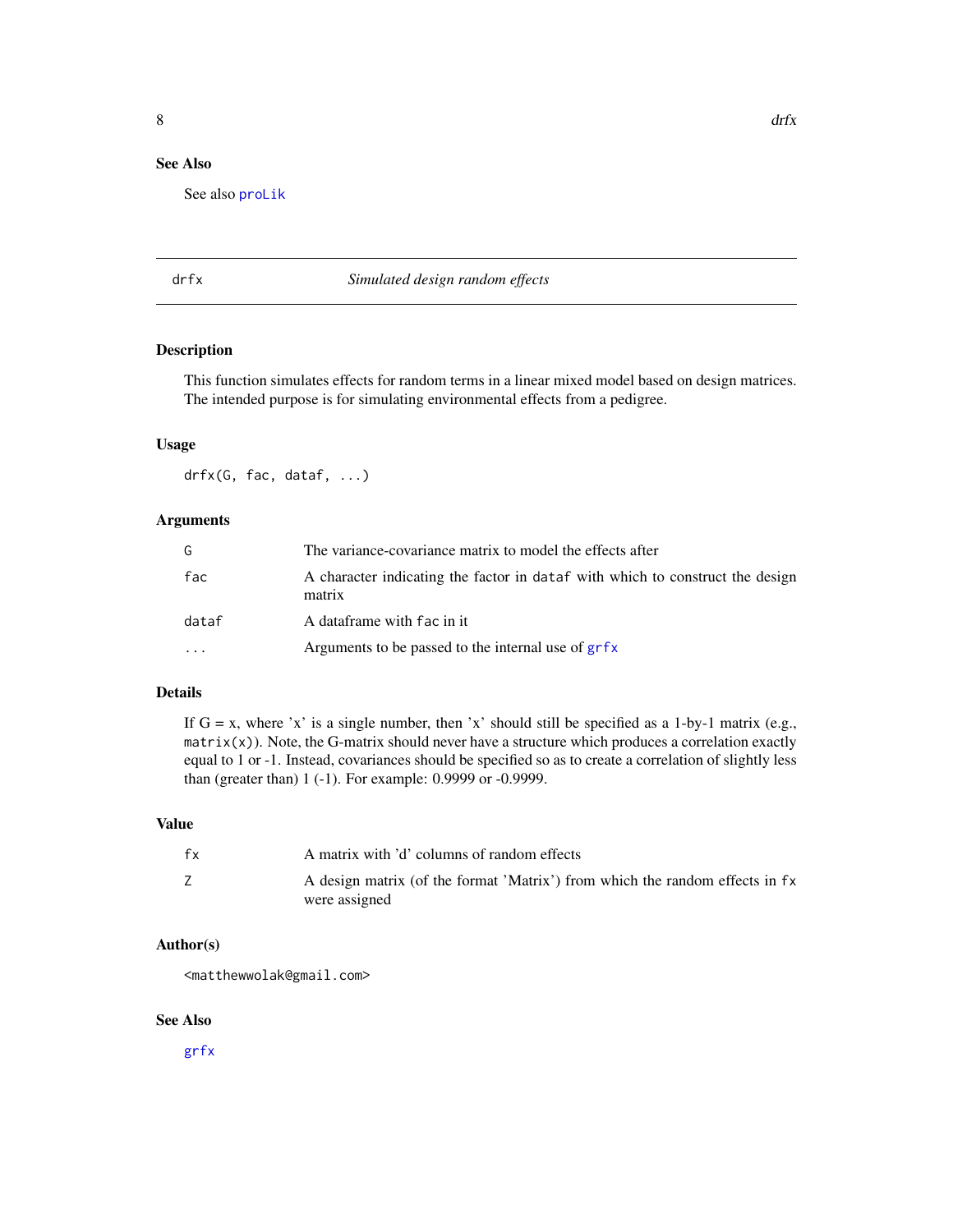#### <span id="page-7-0"></span>See Also

See also [proLik](#page-41-1)

#### <span id="page-7-1"></span>drfx *Simulated design random effects*

#### Description

This function simulates effects for random terms in a linear mixed model based on design matrices. The intended purpose is for simulating environmental effects from a pedigree.

#### Usage

drfx(G, fac, dataf, ...)

#### Arguments

| G     | The variance-covariance matrix to model the effects after                                |
|-------|------------------------------------------------------------------------------------------|
| fac   | A character indicating the factor in data f with which to construct the design<br>matrix |
| dataf | A dataframe with fac in it                                                               |
| .     | Arguments to be passed to the internal use of grfx                                       |

### Details

If  $G = x$ , where 'x' is a single number, then 'x' should still be specified as a 1-by-1 matrix (e.g.,  $matrix(x)$ ). Note, the G-matrix should never have a structure which produces a correlation exactly equal to 1 or -1. Instead, covariances should be specified so as to create a correlation of slightly less than (greater than) 1 (-1). For example: 0.9999 or -0.9999.

#### Value

| fx | A matrix with 'd' columns of random effects                                                   |
|----|-----------------------------------------------------------------------------------------------|
|    | A design matrix (of the format 'Matrix') from which the random effects in fx<br>were assigned |

#### Author(s)

<matthewwolak@gmail.com>

#### See Also

[grfx](#page-16-1)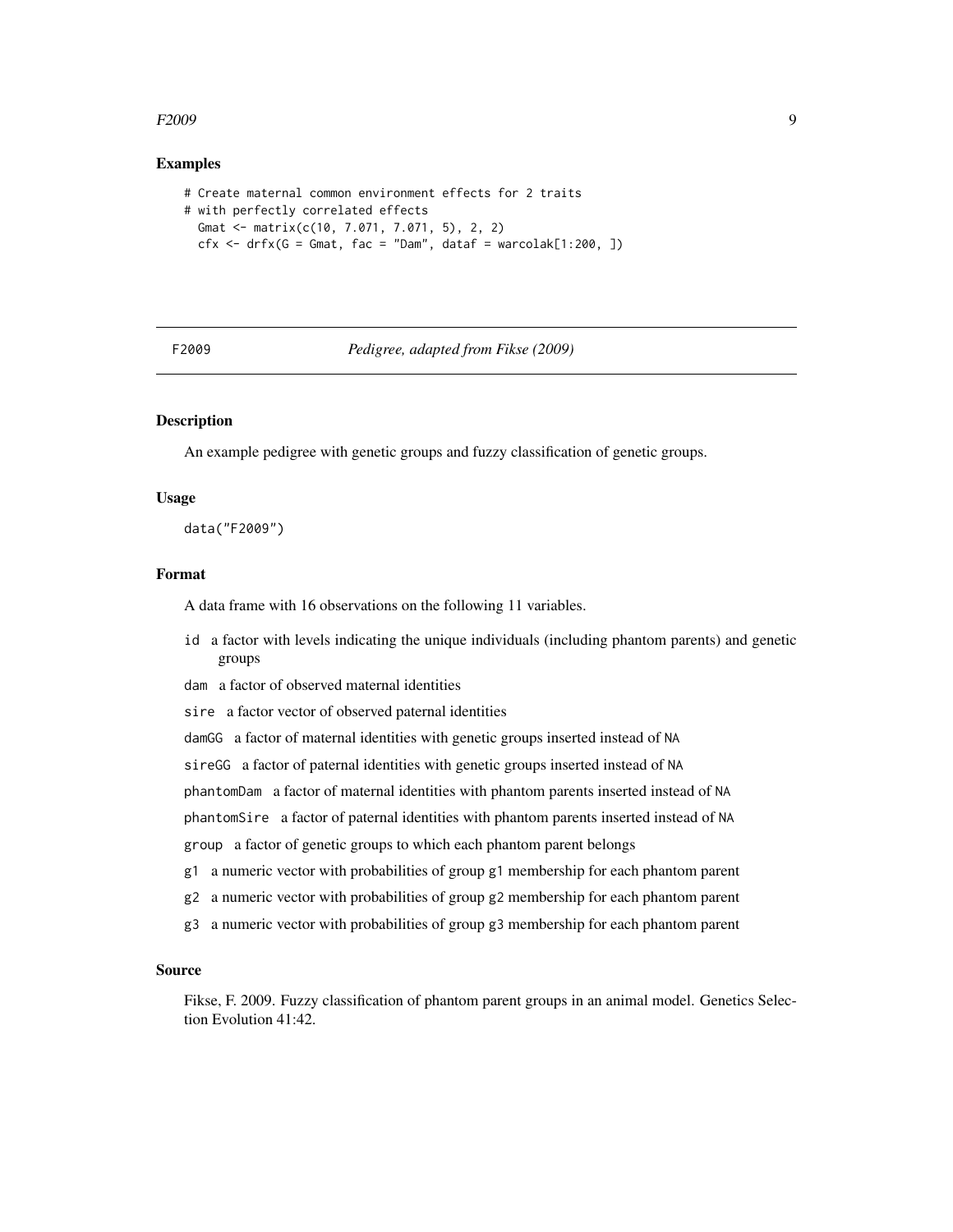#### <span id="page-8-0"></span> $F2009$  9

#### Examples

```
# Create maternal common environment effects for 2 traits
# with perfectly correlated effects
 Gmat <- matrix(c(10, 7.071, 7.071, 5), 2, 2)
 cfx \leq drfx(G = Gmat, fac = "Dam", dataf = warcolak[1:200, ])
```
#### *Pedigree, adapted from Fikse (2009)*

#### **Description**

An example pedigree with genetic groups and fuzzy classification of genetic groups.

#### Usage

data("F2009")

#### Format

A data frame with 16 observations on the following 11 variables.

id a factor with levels indicating the unique individuals (including phantom parents) and genetic groups

dam a factor of observed maternal identities

sire a factor vector of observed paternal identities

damGG a factor of maternal identities with genetic groups inserted instead of NA

sireGG a factor of paternal identities with genetic groups inserted instead of NA

phantomDam a factor of maternal identities with phantom parents inserted instead of NA

phantomSire a factor of paternal identities with phantom parents inserted instead of NA

group a factor of genetic groups to which each phantom parent belongs

- g1 a numeric vector with probabilities of group g1 membership for each phantom parent
- g2 a numeric vector with probabilities of group g2 membership for each phantom parent
- g3 a numeric vector with probabilities of group g3 membership for each phantom parent

#### Source

Fikse, F. 2009. Fuzzy classification of phantom parent groups in an animal model. Genetics Selection Evolution 41:42.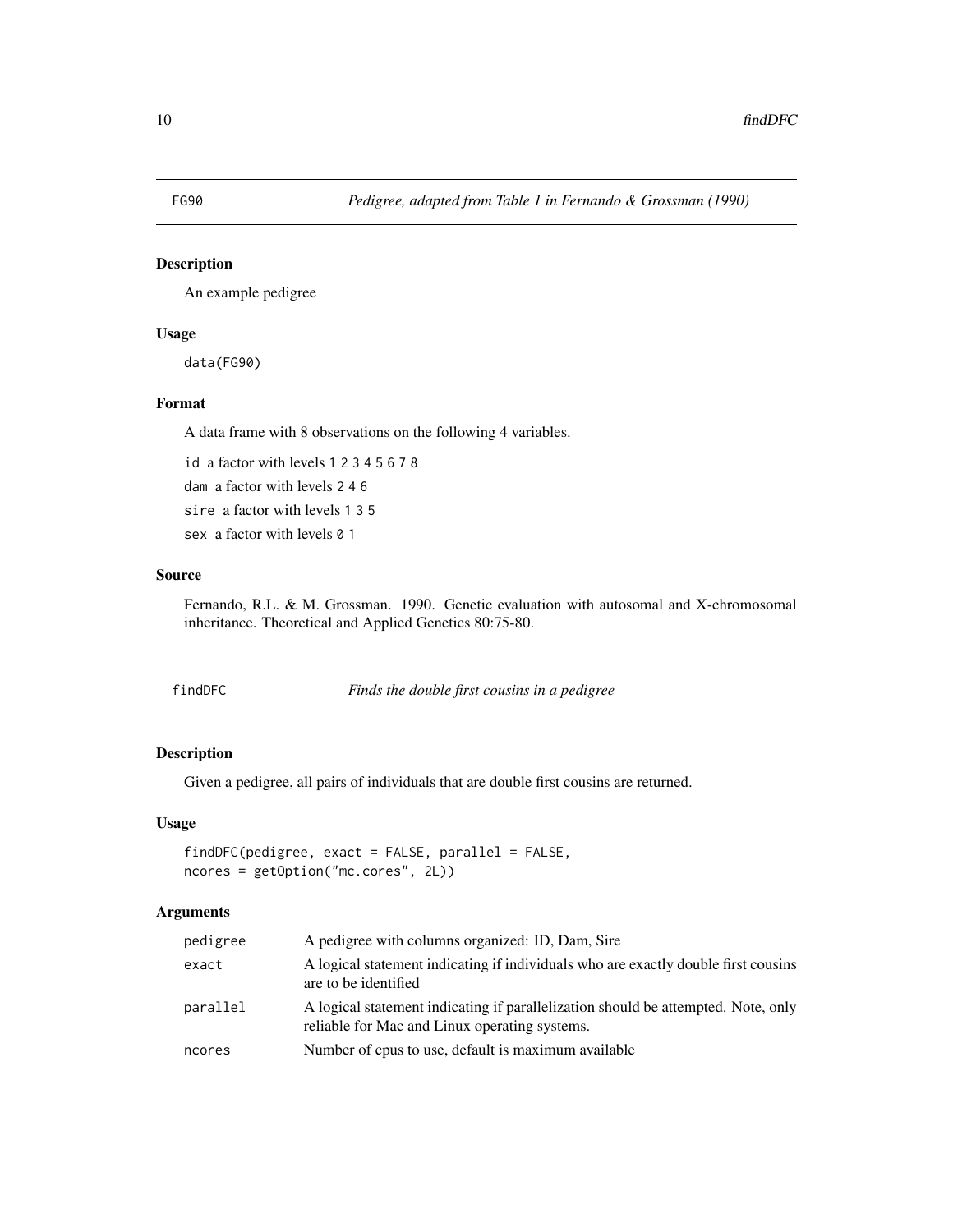<span id="page-9-0"></span>

#### Description

An example pedigree

#### Usage

data(FG90)

#### Format

A data frame with 8 observations on the following 4 variables.

id a factor with levels 1 2 3 4 5 6 7 8

dam a factor with levels 2 4 6

sire a factor with levels 1 3 5

sex a factor with levels 0 1

#### Source

Fernando, R.L. & M. Grossman. 1990. Genetic evaluation with autosomal and X-chromosomal inheritance. Theoretical and Applied Genetics 80:75-80.

findDFC *Finds the double first cousins in a pedigree*

#### Description

Given a pedigree, all pairs of individuals that are double first cousins are returned.

#### Usage

findDFC(pedigree, exact = FALSE, parallel = FALSE, ncores = getOption("mc.cores", 2L))

#### Arguments

| pedigree | A pedigree with columns organized: ID, Dam, Sire                                                                                   |
|----------|------------------------------------------------------------------------------------------------------------------------------------|
| exact    | A logical statement indicating if individuals who are exactly double first cousins<br>are to be identified                         |
| parallel | A logical statement indicating if parallelization should be attempted. Note, only<br>reliable for Mac and Linux operating systems. |
| ncores   | Number of cpus to use, default is maximum available                                                                                |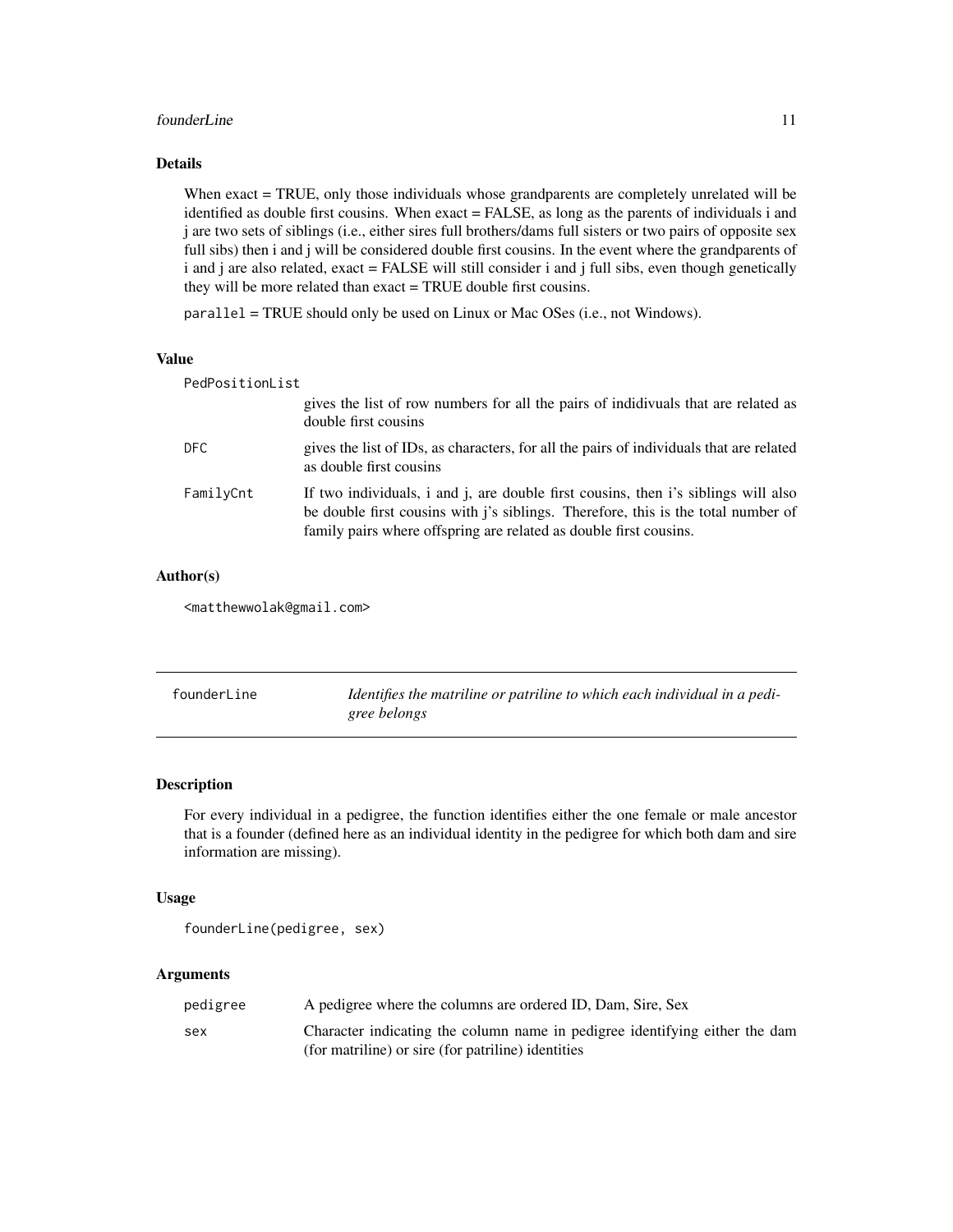#### <span id="page-10-0"></span>founderLine that the set of the set of the set of the set of the set of the set of the set of the set of the set of the set of the set of the set of the set of the set of the set of the set of the set of the set of the set

#### Details

When exact = TRUE, only those individuals whose grandparents are completely unrelated will be identified as double first cousins. When exact  $=$  FALSE, as long as the parents of individuals  $\overline{\phantom{a}}$  individuals j are two sets of siblings (i.e., either sires full brothers/dams full sisters or two pairs of opposite sex full sibs) then i and j will be considered double first cousins. In the event where the grandparents of i and j are also related, exact = FALSE will still consider i and j full sibs, even though genetically they will be more related than exact = TRUE double first cousins.

parallel = TRUE should only be used on Linux or Mac OSes (i.e., not Windows).

#### Value

| PedPositionList |                                                                                                                                                                                                                                                      |
|-----------------|------------------------------------------------------------------------------------------------------------------------------------------------------------------------------------------------------------------------------------------------------|
|                 | gives the list of row numbers for all the pairs of indidivides that are related as<br>double first cousins                                                                                                                                           |
| DFC.            | gives the list of IDs, as characters, for all the pairs of individuals that are related<br>as double first cousins                                                                                                                                   |
| FamilyCnt       | If two individuals, i and j, are double first cousins, then i's siblings will also<br>be double first cousins with <i>i</i> 's siblings. Therefore, this is the total number of<br>family pairs where offspring are related as double first cousins. |

#### Author(s)

<matthewwolak@gmail.com>

| founderLine | Identifies the matriline or patriline to which each individual in a pedi- |
|-------------|---------------------------------------------------------------------------|
|             | gree belongs                                                              |

#### Description

For every individual in a pedigree, the function identifies either the one female or male ancestor that is a founder (defined here as an individual identity in the pedigree for which both dam and sire information are missing).

#### Usage

```
founderLine(pedigree, sex)
```
#### Arguments

| pedigree | A pedigree where the columns are ordered ID, Dam, Sire, Sex                 |
|----------|-----------------------------------------------------------------------------|
| sex      | Character indicating the column name in pedigree identifying either the dam |
|          | (for matriline) or sire (for patriline) identities                          |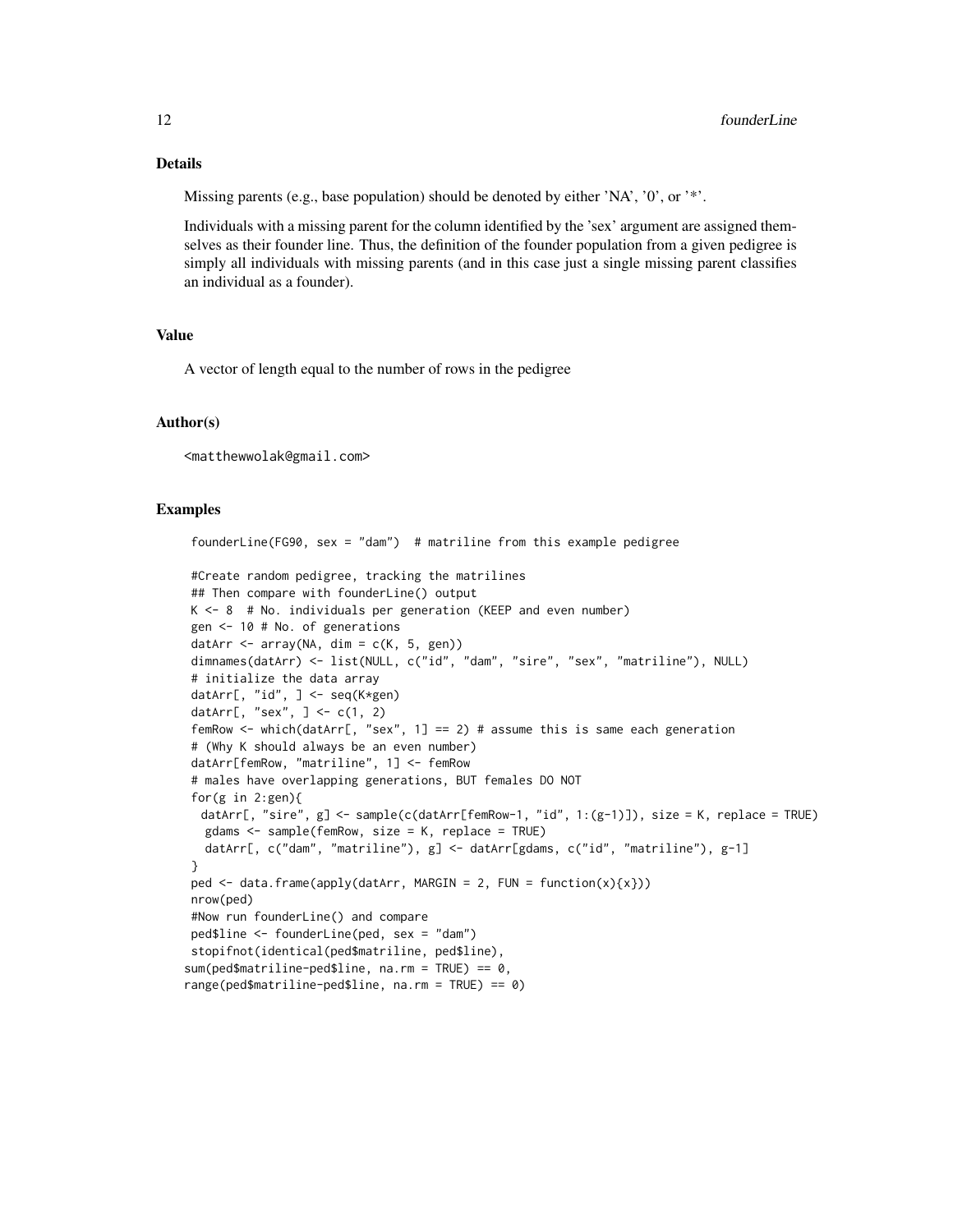#### Details

Missing parents (e.g., base population) should be denoted by either 'NA', '0', or '\*'.

Individuals with a missing parent for the column identified by the 'sex' argument are assigned themselves as their founder line. Thus, the definition of the founder population from a given pedigree is simply all individuals with missing parents (and in this case just a single missing parent classifies an individual as a founder).

#### Value

A vector of length equal to the number of rows in the pedigree

#### Author(s)

<matthewwolak@gmail.com>

#### Examples

founderLine(FG90, sex = "dam") # matriline from this example pedigree

```
#Create random pedigree, tracking the matrilines
## Then compare with founderLine() output
K < -8 # No. individuals per generation (KEEP and even number)
gen <- 10 # No. of generations
datArr \leq array(NA, dim = c(K, 5, gen))
dimnames(datArr) <- list(NULL, c("id", "dam", "sire", "sex", "matriline"), NULL)
# initialize the data array
datArr[, "id", ] <- seq(K*gen)
datArr[, "sex", \exists <- c(1, 2)
femRow <- which(datArr[, "sex", 1] == 2) # assume this is same each generation
# (Why K should always be an even number)
datArr[femRow, "matriline", 1] <- femRow
# males have overlapping generations, BUT females DO NOT
for(g in 2:gen){
  datArr[, "sire", g] <- sample(c(datArr[femRow-1, "id", 1:(g-1)]), size = K, replace = TRUE)
  gdams < - sample(femRow, size = K, replace = TRUE)datArr[, c("dam", "matriline"), g] <- datArr[gdams, c("id", "matriline"), g-1]
}
ped \leq data.frame(apply(datArr, MARGIN = 2, FUN = function(x){x}))
nrow(ped)
#Now run founderLine() and compare
ped$line <- founderLine(ped, sex = "dam")
stopifnot(identical(ped$matriline, ped$line),
sum(ped$matriline-ped$line, na.rm = TRUE) == 0,
range(ped$matriline-ped$line, na.rm = TRUE) == 0)
```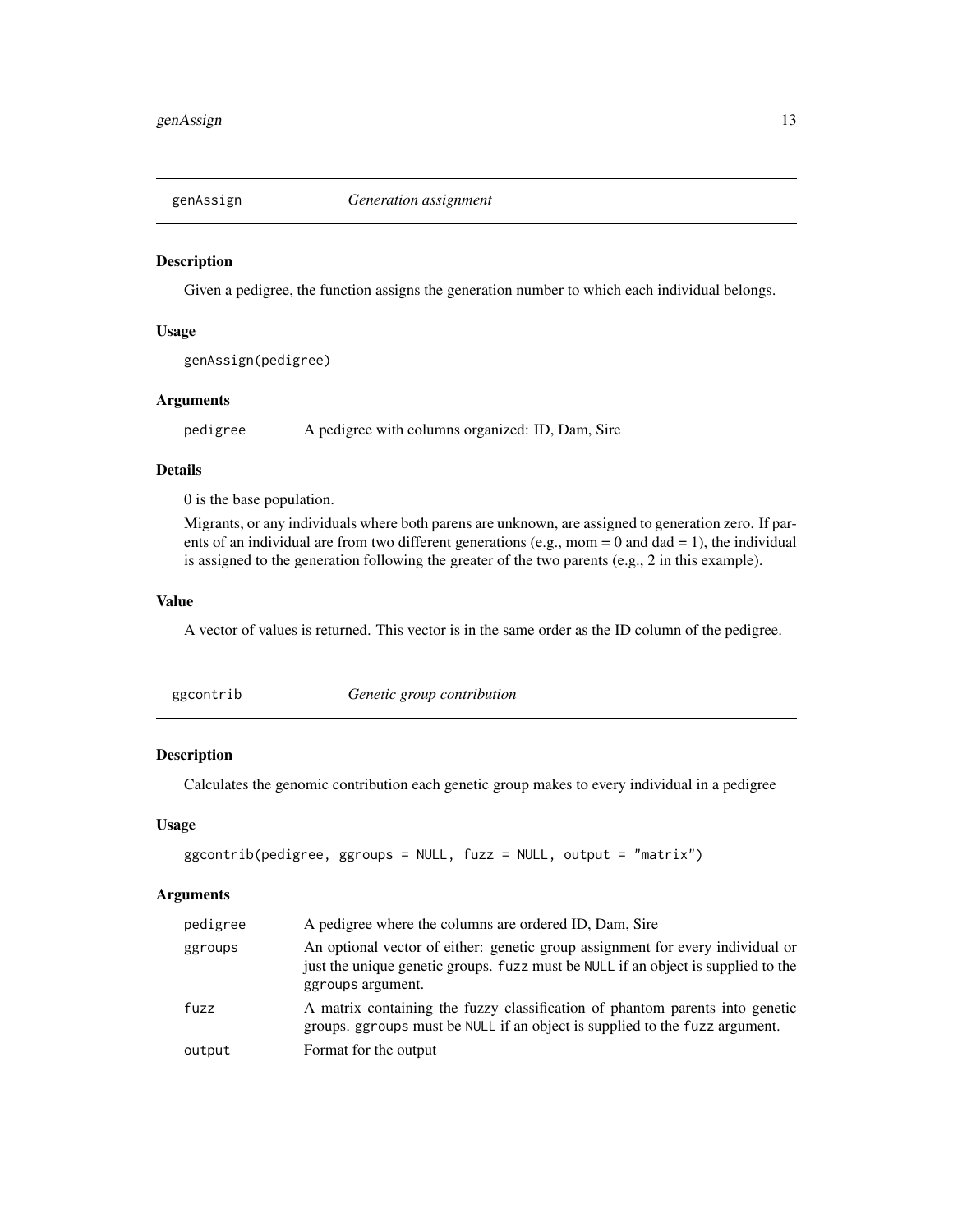<span id="page-12-2"></span><span id="page-12-0"></span>

#### Description

Given a pedigree, the function assigns the generation number to which each individual belongs.

#### Usage

genAssign(pedigree)

#### Arguments

pedigree A pedigree with columns organized: ID, Dam, Sire

#### Details

0 is the base population.

Migrants, or any individuals where both parens are unknown, are assigned to generation zero. If parents of an individual are from two different generations (e.g., mom =  $0$  and dad = 1), the individual is assigned to the generation following the greater of the two parents (e.g., 2 in this example).

#### Value

A vector of values is returned. This vector is in the same order as the ID column of the pedigree.

<span id="page-12-1"></span>

|--|--|

#### Description

Calculates the genomic contribution each genetic group makes to every individual in a pedigree

#### Usage

```
ggcontrib(pedigree, ggroups = NULL, fuzz = NULL, output = "matrix")
```
#### Arguments

| pedigree | A pedigree where the columns are ordered ID, Dam, Sire                                                                                                                                   |
|----------|------------------------------------------------------------------------------------------------------------------------------------------------------------------------------------------|
| ggroups  | An optional vector of either: genetic group assignment for every individual or<br>just the unique genetic groups. fuzz must be NULL if an object is supplied to the<br>ggroups argument. |
| fuzz     | A matrix containing the fuzzy classification of phantom parents into genetic<br>groups. ggroups must be NULL if an object is supplied to the fuzz argument.                              |
| output   | Format for the output                                                                                                                                                                    |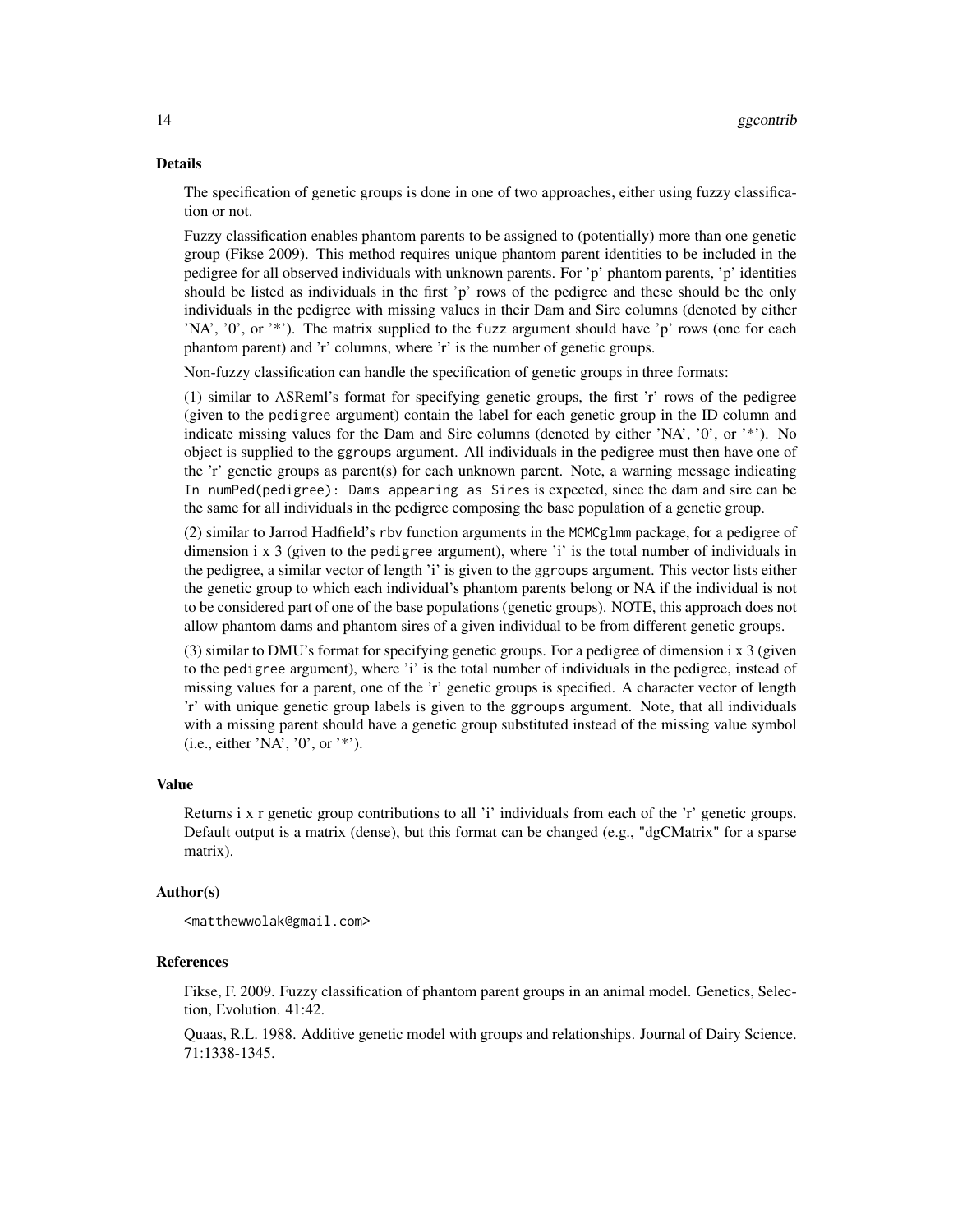#### Details

The specification of genetic groups is done in one of two approaches, either using fuzzy classification or not.

Fuzzy classification enables phantom parents to be assigned to (potentially) more than one genetic group (Fikse 2009). This method requires unique phantom parent identities to be included in the pedigree for all observed individuals with unknown parents. For 'p' phantom parents, 'p' identities should be listed as individuals in the first 'p' rows of the pedigree and these should be the only individuals in the pedigree with missing values in their Dam and Sire columns (denoted by either 'NA', '0', or '\*'). The matrix supplied to the fuzz argument should have 'p' rows (one for each phantom parent) and 'r' columns, where 'r' is the number of genetic groups.

Non-fuzzy classification can handle the specification of genetic groups in three formats:

(1) similar to ASReml's format for specifying genetic groups, the first 'r' rows of the pedigree (given to the pedigree argument) contain the label for each genetic group in the ID column and indicate missing values for the Dam and Sire columns (denoted by either 'NA', '0', or '\*'). No object is supplied to the ggroups argument. All individuals in the pedigree must then have one of the 'r' genetic groups as parent(s) for each unknown parent. Note, a warning message indicating In numPed(pedigree): Dams appearing as Sires is expected, since the dam and sire can be the same for all individuals in the pedigree composing the base population of a genetic group.

(2) similar to Jarrod Hadfield's rbv function arguments in the MCMCglmm package, for a pedigree of dimension i x 3 (given to the pedigree argument), where 'i' is the total number of individuals in the pedigree, a similar vector of length 'i' is given to the ggroups argument. This vector lists either the genetic group to which each individual's phantom parents belong or NA if the individual is not to be considered part of one of the base populations (genetic groups). NOTE, this approach does not allow phantom dams and phantom sires of a given individual to be from different genetic groups.

(3) similar to DMU's format for specifying genetic groups. For a pedigree of dimension i x 3 (given to the pedigree argument), where 'i' is the total number of individuals in the pedigree, instead of missing values for a parent, one of the 'r' genetic groups is specified. A character vector of length 'r' with unique genetic group labels is given to the ggroups argument. Note, that all individuals with a missing parent should have a genetic group substituted instead of the missing value symbol (i.e., either 'NA', '0', or '\*').

#### Value

Returns i x r genetic group contributions to all 'i' individuals from each of the 'r' genetic groups. Default output is a matrix (dense), but this format can be changed (e.g., "dgCMatrix" for a sparse matrix).

#### Author(s)

<matthewwolak@gmail.com>

#### References

Fikse, F. 2009. Fuzzy classification of phantom parent groups in an animal model. Genetics, Selection, Evolution. 41:42.

Quaas, R.L. 1988. Additive genetic model with groups and relationships. Journal of Dairy Science. 71:1338-1345.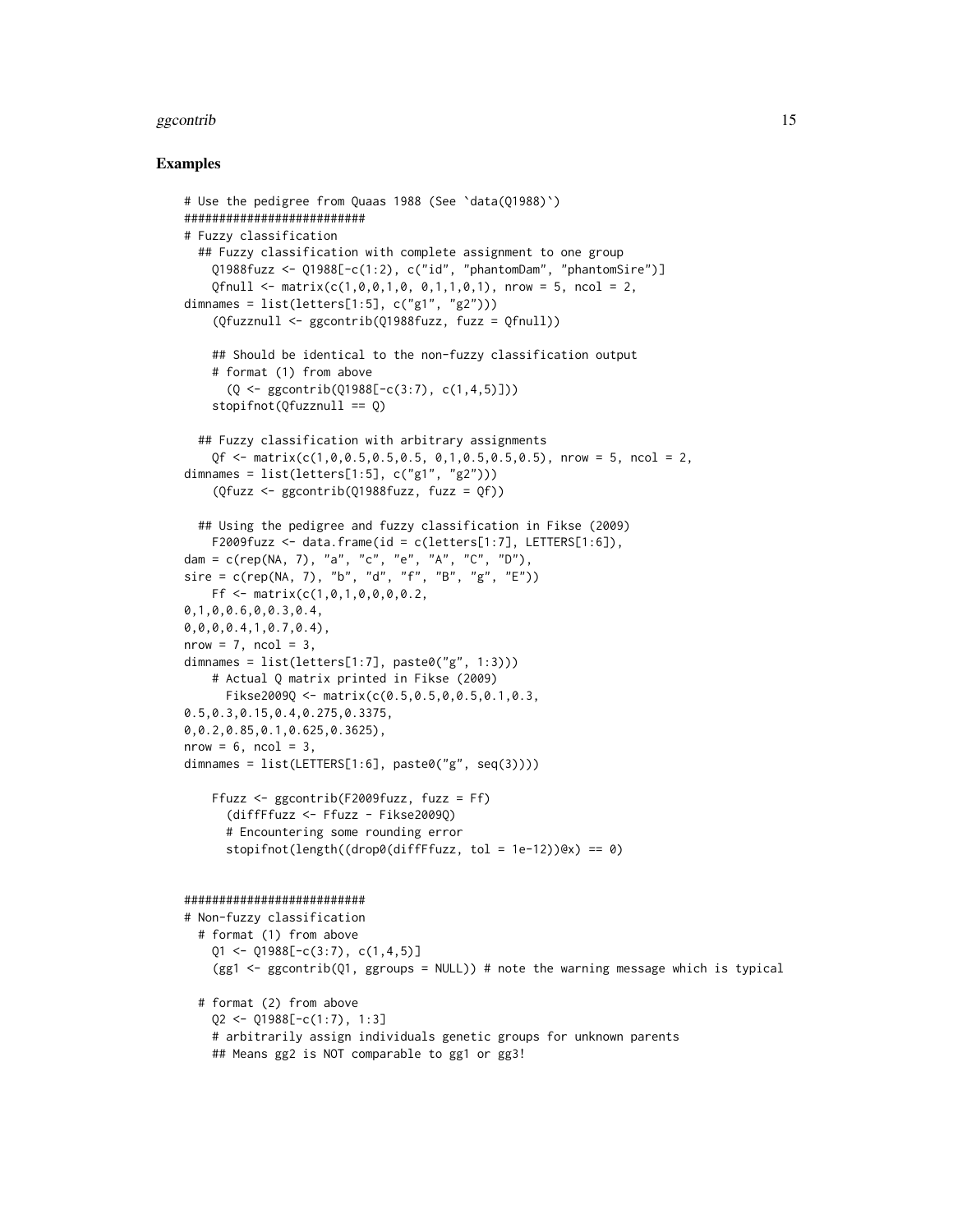#### ggcontrib 15

#### Examples

```
# Use the pedigree from Quaas 1988 (See `data(Q1988)`)
##########################
# Fuzzy classification
 ## Fuzzy classification with complete assignment to one group
    Q1988fuzz <- Q1988[-c(1:2), c("id", "phantomDam", "phantomSire")]
    Qfnull <- matrix(c(1,0,0,1,0, 0,1,1,0,1), nrow = 5, ncol = 2,
dimnames = list(letters[1:5], c("g1", "g2")))
    (Qfuzznull <- ggcontrib(Q1988fuzz, fuzz = Qfnull))
    ## Should be identical to the non-fuzzy classification output
    # format (1) from above
      (Q \leq gccontrib(Q1988[-c(3:7), c(1,4,5)]))stopifnot(Qfuzznull == Q)
 ## Fuzzy classification with arbitrary assignments
    Qf \leq matrix(c(1,0,0.5,0.5,0.5, 0,1,0.5,0.5,0.5), nrow = 5, ncol = 2,
dimnames = list(lefters[1:5], c("g1", "g2"))(Qfuzz <- ggcontrib(Q1988fuzz, fuzz = Qf))
 ## Using the pedigree and fuzzy classification in Fikse (2009)
   F2009fuzz \le data.frame(id = c(letters[1:7], LETTERS[1:6]),
dam = c(rep(NA, 7), "a", "c", "e", "A", "C", "D"),
sire = c(rep(NA, 7), "b", "d", "f", "B", "g", "E"))Ff \leq matrix(c(1,0,1,0,0,0,0.2,
0,1,0,0.6,0,0.3,0.4,
0,0,0,0.4,1,0.7,0.4),
nrow = 7, ncol = 3,
dimnames = list(lefters[1:7], paste0("g", 1:3)))# Actual Q matrix printed in Fikse (2009)
     Fikse2009Q <- matrix(c(0.5,0.5,0,0.5,0.1,0.3,
0.5,0.3,0.15,0.4,0.275,0.3375,
0,0.2,0.85,0.1,0.625,0.3625),
nrow = 6, ncol = 3,
dimnames = list(LEFTERS[1:6], paste0("g", seq(3))))Ffuzz <- ggcontrib(F2009fuzz, fuzz = Ff)
      (diffFfuzz <- Ffuzz - Fikse2009Q)
      # Encountering some rounding error
      stopifnot(length((drop0(diffFfuzz, tol = 1e-12))@x) == 0)
##########################
# Non-fuzzy classification
 # format (1) from above
    Q1 \leq Q1988[-c(3:7), c(1,4,5)](gg1 <- ggcontrib(Q1, ggroups = NULL)) # note the warning message which is typical
 # format (2) from above
    Q2 \leq Q1988[-c(1:7), 1:3]# arbitrarily assign individuals genetic groups for unknown parents
    ## Means gg2 is NOT comparable to gg1 or gg3!
```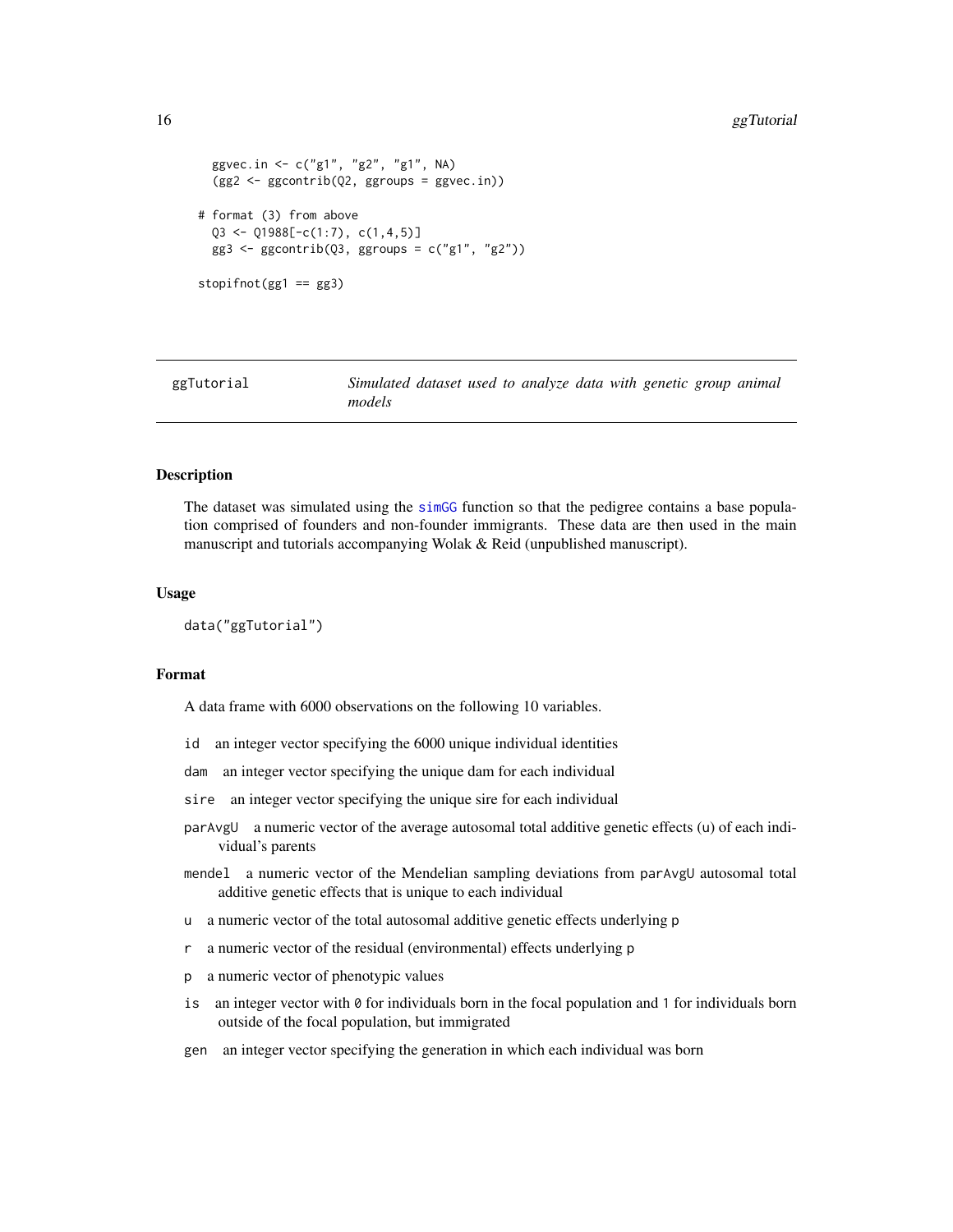```
ggvec.in <- c("g1", "g2", "g1", NA)
  (gg2 <- ggcontrib(Q2, ggroups = ggvec.in))
# format (3) from above
  Q3 \leq Q1988[-c(1:7), c(1,4,5)]gg3 \le - ggcontrib(Q3, ggroups = c("g1", "g2"))
stopifnot(gg1 == gg3)
```
<span id="page-15-1"></span>ggTutorial *Simulated dataset used to analyze data with genetic group animal models*

#### Description

The dataset was simulated using the [simGG](#page-45-1) function so that the pedigree contains a base population comprised of founders and non-founder immigrants. These data are then used in the main manuscript and tutorials accompanying Wolak & Reid (unpublished manuscript).

#### Usage

data("ggTutorial")

#### Format

A data frame with 6000 observations on the following 10 variables.

- id an integer vector specifying the 6000 unique individual identities
- dam an integer vector specifying the unique dam for each individual
- sire an integer vector specifying the unique sire for each individual
- parAvgU a numeric vector of the average autosomal total additive genetic effects (u) of each individual's parents
- mendel a numeric vector of the Mendelian sampling deviations from parAvgU autosomal total additive genetic effects that is unique to each individual
- u a numeric vector of the total autosomal additive genetic effects underlying p
- r a numeric vector of the residual (environmental) effects underlying p
- p a numeric vector of phenotypic values
- is an integer vector with 0 for individuals born in the focal population and 1 for individuals born outside of the focal population, but immigrated
- gen an integer vector specifying the generation in which each individual was born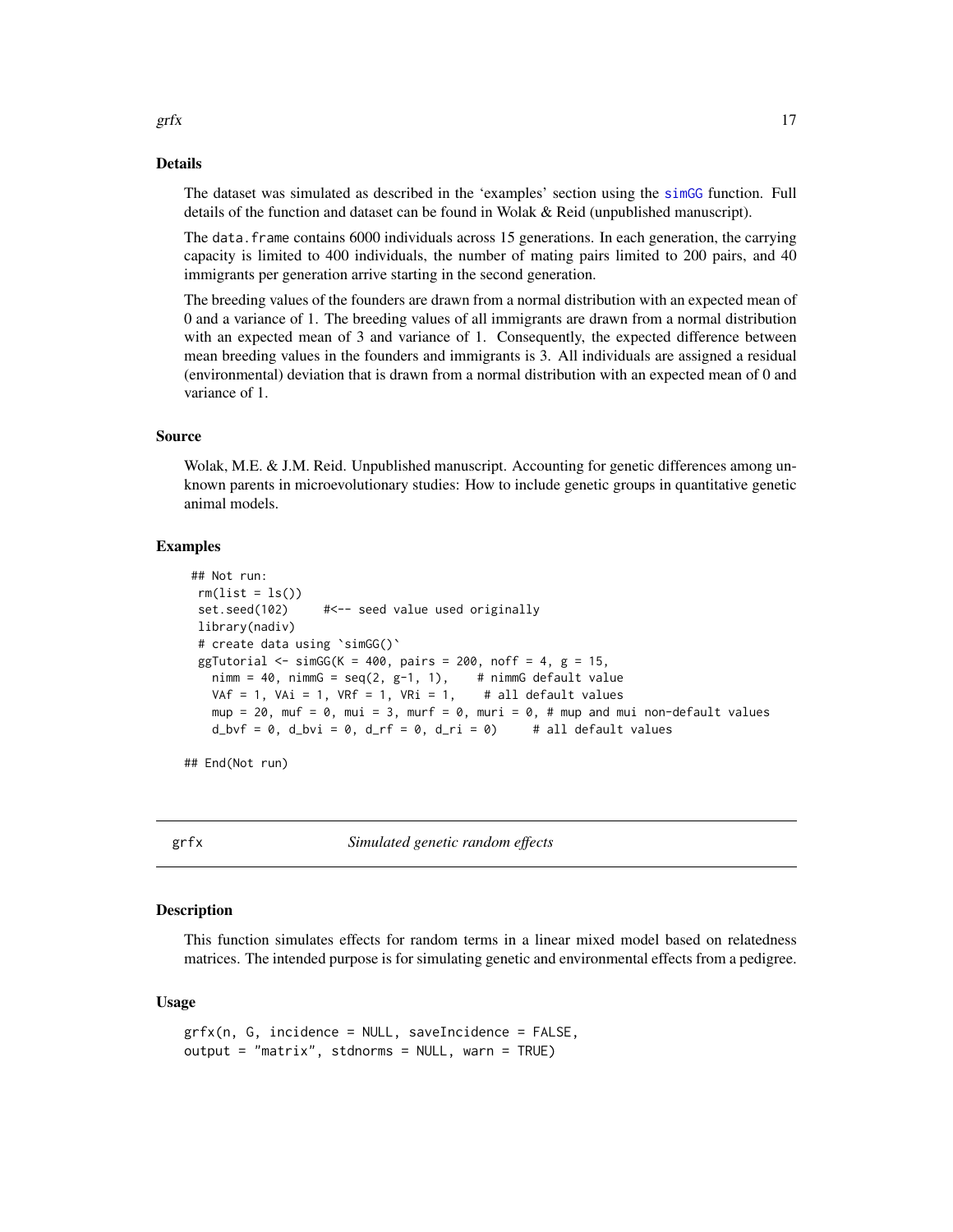#### Details

The dataset was simulated as described in the 'examples' section using the [simGG](#page-45-1) function. Full details of the function and dataset can be found in Wolak & Reid (unpublished manuscript).

The data. frame contains 6000 individuals across 15 generations. In each generation, the carrying capacity is limited to 400 individuals, the number of mating pairs limited to 200 pairs, and 40 immigrants per generation arrive starting in the second generation.

The breeding values of the founders are drawn from a normal distribution with an expected mean of 0 and a variance of 1. The breeding values of all immigrants are drawn from a normal distribution with an expected mean of 3 and variance of 1. Consequently, the expected difference between mean breeding values in the founders and immigrants is 3. All individuals are assigned a residual (environmental) deviation that is drawn from a normal distribution with an expected mean of 0 and variance of 1.

#### Source

Wolak, M.E. & J.M. Reid. Unpublished manuscript. Accounting for genetic differences among unknown parents in microevolutionary studies: How to include genetic groups in quantitative genetic animal models.

#### Examples

```
## Not run:
rm(list = ls())set.seed(102) #<-- seed value used originally
library(nadiv)
# create data using `simGG()`
ggTutorial \le simGG(K = 400, pairs = 200, noff = 4, g = 15,
  nimm = 40, nimG = seq(2, g-1, 1), # nimG default value
  VAf = 1, VAi = 1, VRf = 1, VRi = 1, # all default values
  mup = 20, muf = 0, mui = 3, murf = 0, muri = 0, # mup and mui non-default values
  d_bvf = 0, d_bvi = 0, d_rf = 0, d_ri = 0) # all default values
```
## End(Not run)

<span id="page-16-1"></span>grfx *Simulated genetic random effects*

#### Description

This function simulates effects for random terms in a linear mixed model based on relatedness matrices. The intended purpose is for simulating genetic and environmental effects from a pedigree.

#### Usage

```
grfx(n, G, incidence = NULL, saveIncidence = FALSE,
output = "matrix", stdnorms = NULL, warn = TRUE)
```
<span id="page-16-0"></span> $grfx$  17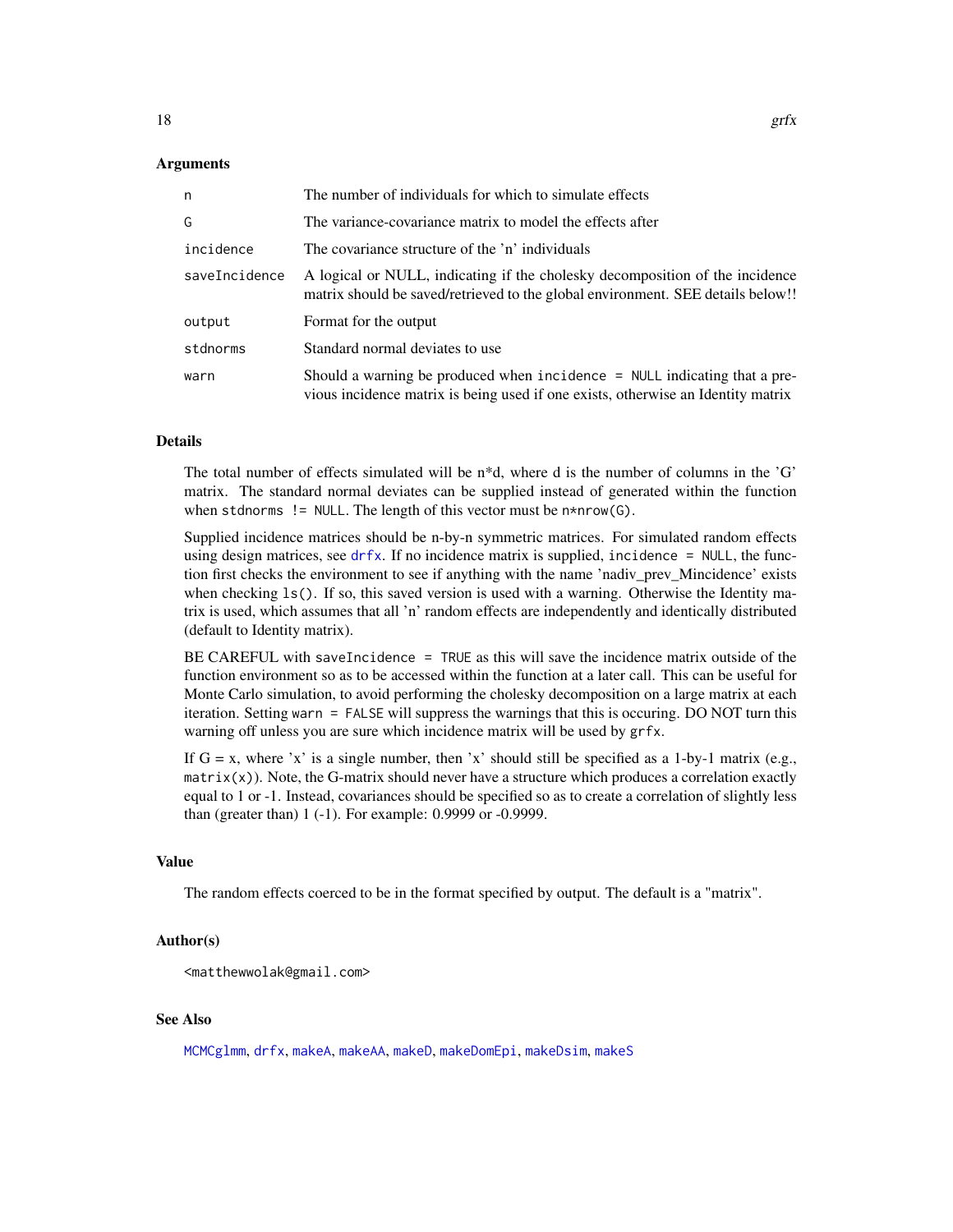#### <span id="page-17-0"></span>Arguments

| n             | The number of individuals for which to simulate effects                                                                                                         |
|---------------|-----------------------------------------------------------------------------------------------------------------------------------------------------------------|
| G             | The variance-covariance matrix to model the effects after                                                                                                       |
| incidence     | The covariance structure of the 'n' individuals                                                                                                                 |
| saveIncidence | A logical or NULL, indicating if the cholesky decomposition of the incidence<br>matrix should be saved/retrieved to the global environment. SEE details below!! |
| output        | Format for the output                                                                                                                                           |
| stdnorms      | Standard normal deviates to use                                                                                                                                 |
| warn          | Should a warning be produced when incidence = NULL indicating that a pre-<br>vious incidence matrix is being used if one exists, otherwise an Identity matrix   |

### Details

The total number of effects simulated will be n\*d, where d is the number of columns in the 'G' matrix. The standard normal deviates can be supplied instead of generated within the function when stdnorms  $!=$  NULL. The length of this vector must be  $n*nrow(G)$ .

Supplied incidence matrices should be n-by-n symmetric matrices. For simulated random effects using design matrices, see  $drfx$ . If no incidence matrix is supplied, incidence = NULL, the function first checks the environment to see if anything with the name 'nadiv\_prev\_Mincidence' exists when checking  $ls()$ . If so, this saved version is used with a warning. Otherwise the Identity matrix is used, which assumes that all 'n' random effects are independently and identically distributed (default to Identity matrix).

BE CAREFUL with saveIncidence = TRUE as this will save the incidence matrix outside of the function environment so as to be accessed within the function at a later call. This can be useful for Monte Carlo simulation, to avoid performing the cholesky decomposition on a large matrix at each iteration. Setting warn = FALSE will suppress the warnings that this is occuring. DO NOT turn this warning off unless you are sure which incidence matrix will be used by grfx.

If  $G = x$ , where 'x' is a single number, then 'x' should still be specified as a 1-by-1 matrix (e.g.,  $matrix(x)$ ). Note, the G-matrix should never have a structure which produces a correlation exactly equal to 1 or -1. Instead, covariances should be specified so as to create a correlation of slightly less than (greater than) 1 (-1). For example: 0.9999 or -0.9999.

#### Value

The random effects coerced to be in the format specified by output. The default is a "matrix".

#### Author(s)

<matthewwolak@gmail.com>

#### See Also

[MCMCglmm](#page-0-0), [drfx](#page-7-1), [makeA](#page-19-1), [makeAA](#page-20-1), [makeD](#page-27-1), [makeDomEpi](#page-29-1), [makeDsim](#page-30-1), [makeS](#page-32-1)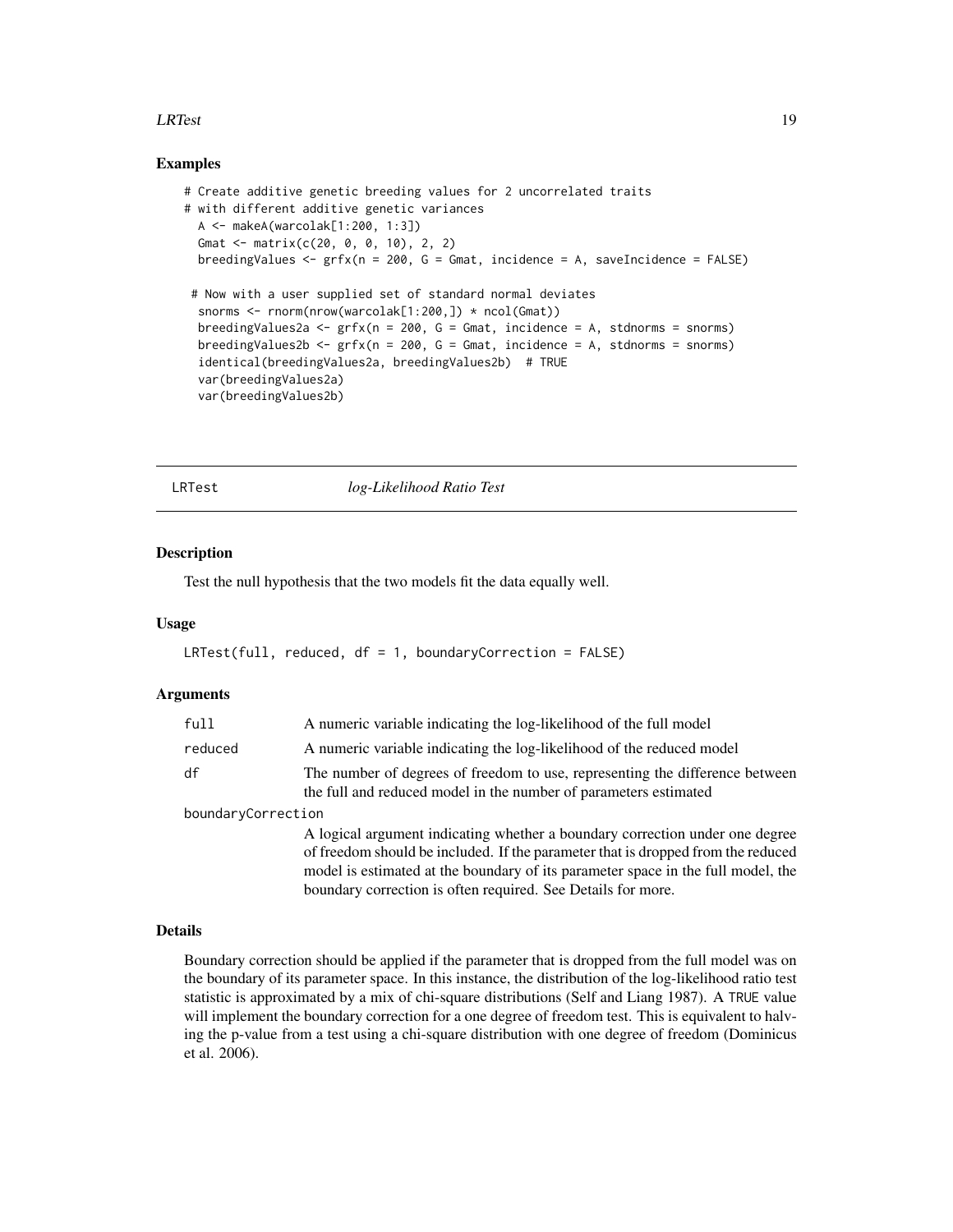#### <span id="page-18-0"></span>**LRTest** 19

#### Examples

```
# Create additive genetic breeding values for 2 uncorrelated traits
# with different additive genetic variances
 A <- makeA(warcolak[1:200, 1:3])
 Gmat <- matrix(c(20, 0, 0, 10), 2, 2)
 breedingValues <- grfx(n = 200, G = Gmat, incidence = A, saveIncidence = FALSE)
 # Now with a user supplied set of standard normal deviates
 snorms <- rnorm(nrow(warcolak[1:200,]) * ncol(Gmat))
 breedingValues2a \leq grfx(n = 200, G = Gmat, incidence = A, stdnorms = snorms)
 breedingValues2b <- grfx(n = 200, G = Gmat, incidence = A, stdnorms = snorms)identical(breedingValues2a, breedingValues2b) # TRUE
 var(breedingValues2a)
 var(breedingValues2b)
```
LRTest *log-Likelihood Ratio Test*

#### Description

Test the null hypothesis that the two models fit the data equally well.

#### Usage

```
LRTest(full, reduced, df = 1, boundaryCorrection = FALSE)
```
#### Arguments

| full               | A numeric variable indicating the log-likelihood of the full model                                                                                                                                                                                                                                                   |
|--------------------|----------------------------------------------------------------------------------------------------------------------------------------------------------------------------------------------------------------------------------------------------------------------------------------------------------------------|
| reduced            | A numeric variable indicating the log-likelihood of the reduced model                                                                                                                                                                                                                                                |
| df                 | The number of degrees of freedom to use, representing the difference between<br>the full and reduced model in the number of parameters estimated                                                                                                                                                                     |
| boundaryCorrection |                                                                                                                                                                                                                                                                                                                      |
|                    | A logical argument indicating whether a boundary correction under one degree<br>of freedom should be included. If the parameter that is dropped from the reduced<br>model is estimated at the boundary of its parameter space in the full model, the<br>boundary correction is often required. See Details for more. |

#### Details

Boundary correction should be applied if the parameter that is dropped from the full model was on the boundary of its parameter space. In this instance, the distribution of the log-likelihood ratio test statistic is approximated by a mix of chi-square distributions (Self and Liang 1987). A TRUE value will implement the boundary correction for a one degree of freedom test. This is equivalent to halving the p-value from a test using a chi-square distribution with one degree of freedom (Dominicus et al. 2006).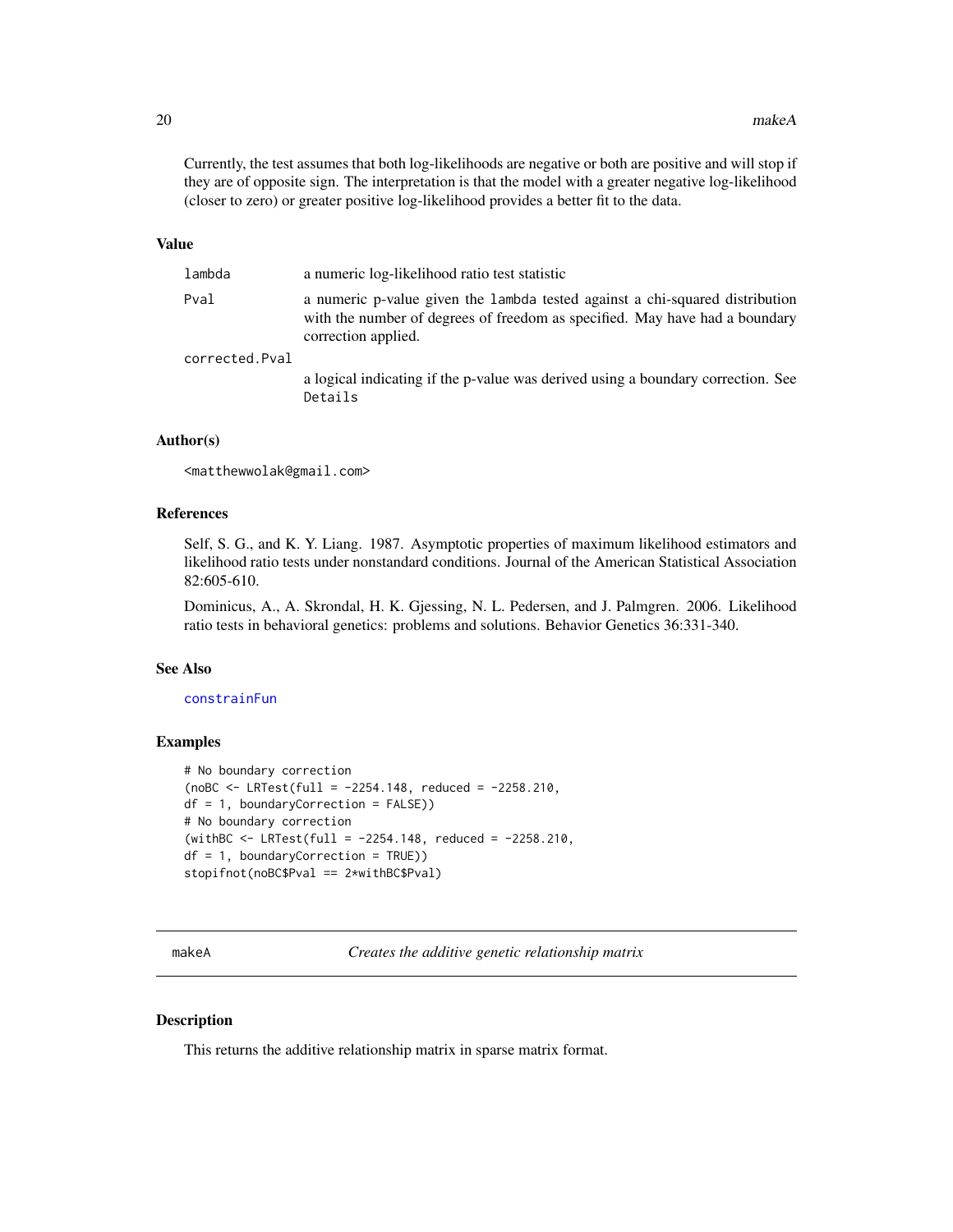<span id="page-19-0"></span>Currently, the test assumes that both log-likelihoods are negative or both are positive and will stop if they are of opposite sign. The interpretation is that the model with a greater negative log-likelihood (closer to zero) or greater positive log-likelihood provides a better fit to the data.

#### Value

| lambda         | a numeric log-likelihood ratio test statistic                                                                                                                                      |
|----------------|------------------------------------------------------------------------------------------------------------------------------------------------------------------------------------|
| Pval           | a numeric p-value given the lambda tested against a chi-squared distribution<br>with the number of degrees of freedom as specified. May have had a boundary<br>correction applied. |
| corrected.Pval | a logical indicating if the p-value was derived using a boundary correction. See<br>Details                                                                                        |

#### Author(s)

<matthewwolak@gmail.com>

#### References

Self, S. G., and K. Y. Liang. 1987. Asymptotic properties of maximum likelihood estimators and likelihood ratio tests under nonstandard conditions. Journal of the American Statistical Association 82:605-610.

Dominicus, A., A. Skrondal, H. K. Gjessing, N. L. Pedersen, and J. Palmgren. 2006. Likelihood ratio tests in behavioral genetics: problems and solutions. Behavior Genetics 36:331-340.

#### See Also

#### [constrainFun](#page-6-1)

#### Examples

```
# No boundary correction
(noBC <- LRTest(full = -2254.148, reduced = -2258.210,
df = 1, boundaryCorrection = FALSE))
# No boundary correction
(withBC <- LRTest(full = -2254.148, reduced = -2258.210,
df = 1, boundaryCorrection = TRUE))
stopifnot(noBC$Pval == 2*withBC$Pval)
```
<span id="page-19-1"></span>makeA *Creates the additive genetic relationship matrix*

#### Description

This returns the additive relationship matrix in sparse matrix format.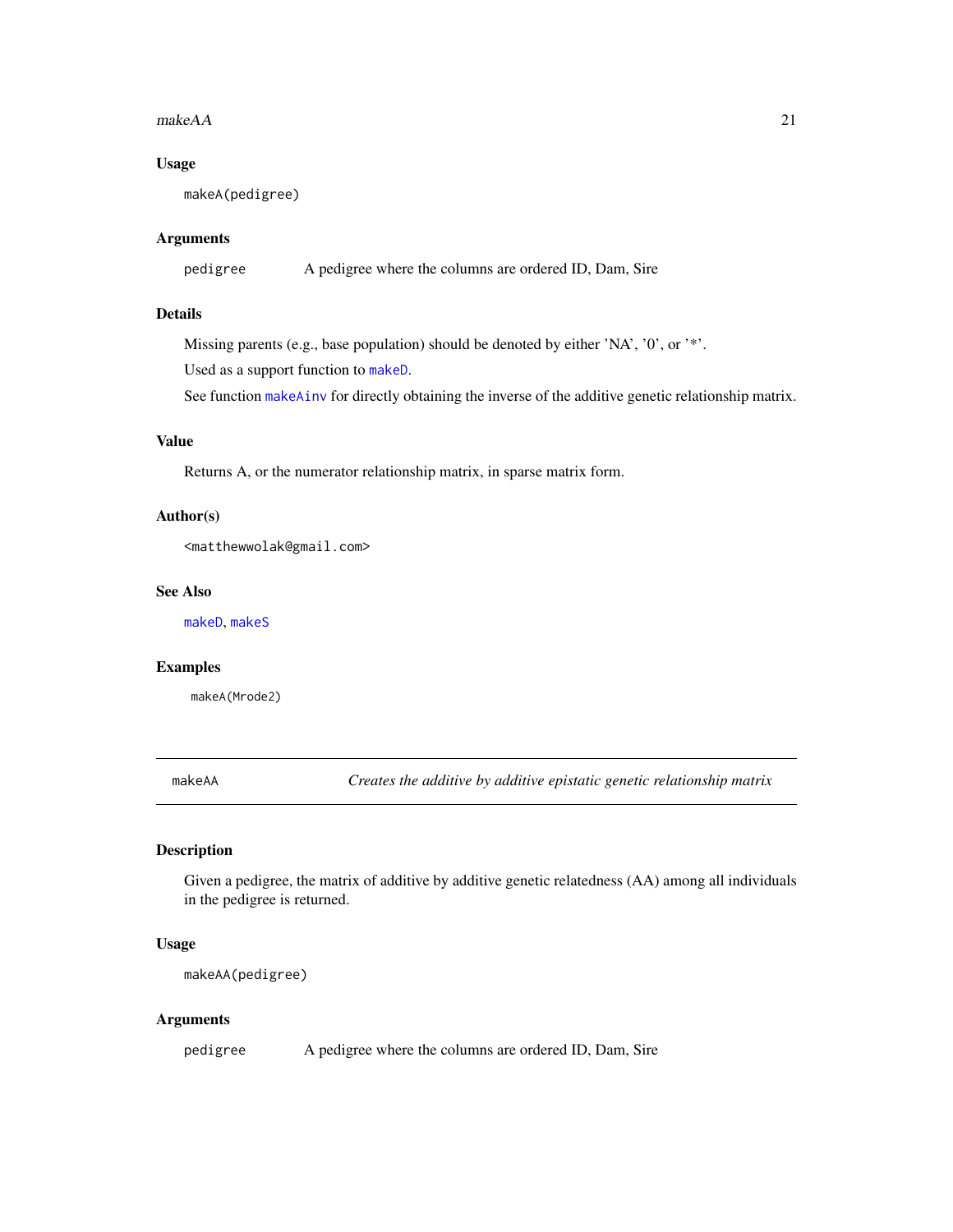#### <span id="page-20-0"></span> $makeAA$  21

#### Usage

makeA(pedigree)

#### Arguments

pedigree A pedigree where the columns are ordered ID, Dam, Sire

#### Details

Missing parents (e.g., base population) should be denoted by either 'NA', '0', or '\*'.

Used as a support function to [makeD](#page-27-1).

See function [makeAinv](#page-21-1) for directly obtaining the inverse of the additive genetic relationship matrix.

#### Value

Returns A, or the numerator relationship matrix, in sparse matrix form.

#### Author(s)

<matthewwolak@gmail.com>

#### See Also

[makeD](#page-27-1), [makeS](#page-32-1)

#### Examples

makeA(Mrode2)

<span id="page-20-1"></span>makeAA *Creates the additive by additive epistatic genetic relationship matrix*

#### Description

Given a pedigree, the matrix of additive by additive genetic relatedness (AA) among all individuals in the pedigree is returned.

#### Usage

```
makeAA(pedigree)
```
#### Arguments

pedigree A pedigree where the columns are ordered ID, Dam, Sire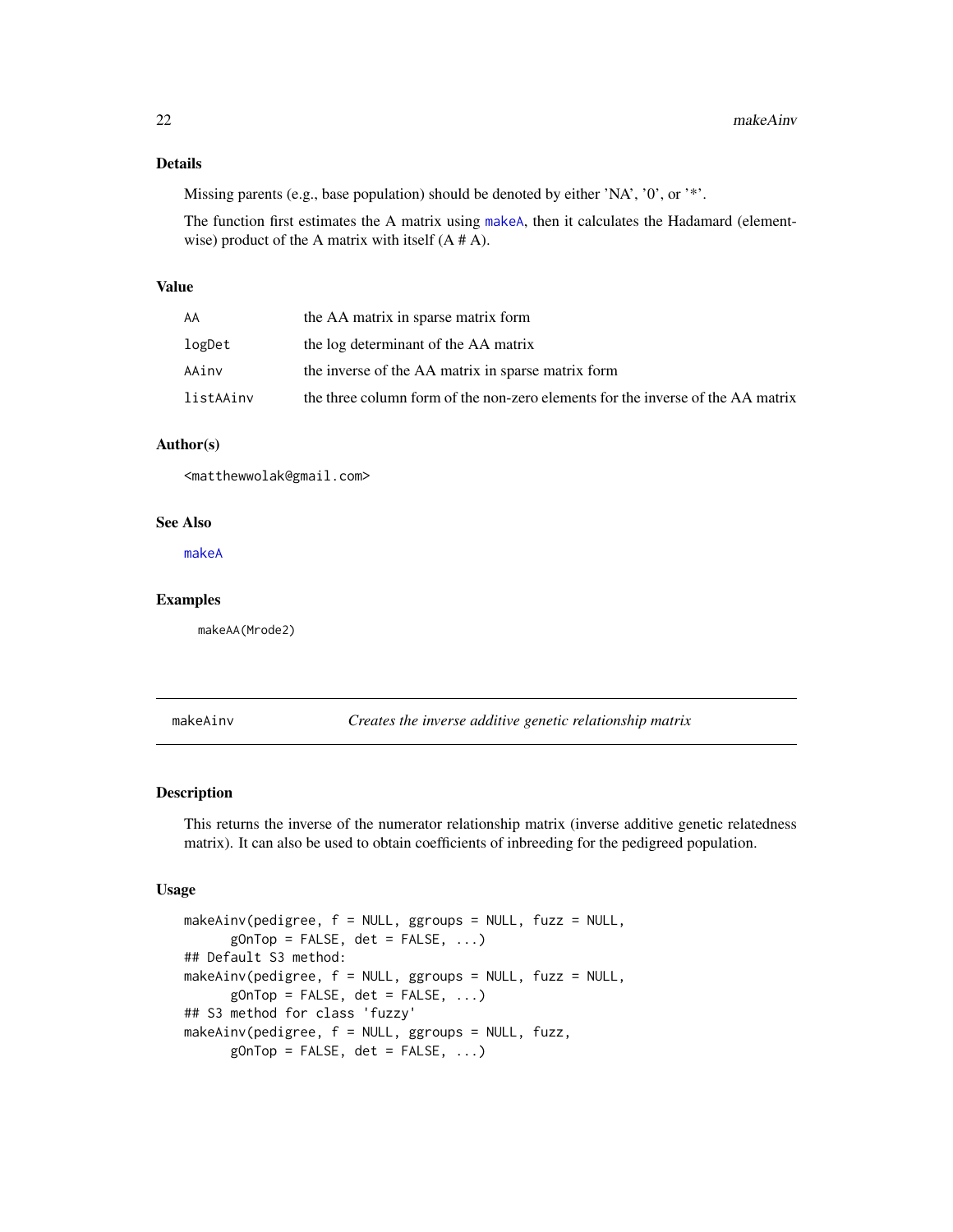#### <span id="page-21-0"></span>Details

Missing parents (e.g., base population) should be denoted by either 'NA', '0', or '\*'.

The function first estimates the A matrix using [makeA](#page-19-1), then it calculates the Hadamard (elementwise) product of the A matrix with itself (A # A).

#### Value

| AA        | the AA matrix in sparse matrix form                                             |
|-----------|---------------------------------------------------------------------------------|
| logDet    | the log determinant of the AA matrix                                            |
| AAinv     | the inverse of the AA matrix in sparse matrix form                              |
| listAAinv | the three column form of the non-zero elements for the inverse of the AA matrix |

#### Author(s)

<matthewwolak@gmail.com>

#### See Also

[makeA](#page-19-1)

#### Examples

makeAA(Mrode2)

<span id="page-21-1"></span>makeAinv *Creates the inverse additive genetic relationship matrix*

#### Description

This returns the inverse of the numerator relationship matrix (inverse additive genetic relatedness matrix). It can also be used to obtain coefficients of inbreeding for the pedigreed population.

#### Usage

```
makeAinv(pedigree, f = NULL, ggroups = NULL, fuzz = NULL,
     gOnTop = FALSE, det = FALSE, ...)## Default S3 method:
makeAinv(pedigree, f = NULL, ggroups = NULL, fuzz = NULL,
     gOnTop = FALSE, det = FALSE, ...)## S3 method for class 'fuzzy'
makeAinv(pedigree, f = NULL, ggroups = NULL, fuzz,
     gOnTop = FALSE, det = FALSE, ...)
```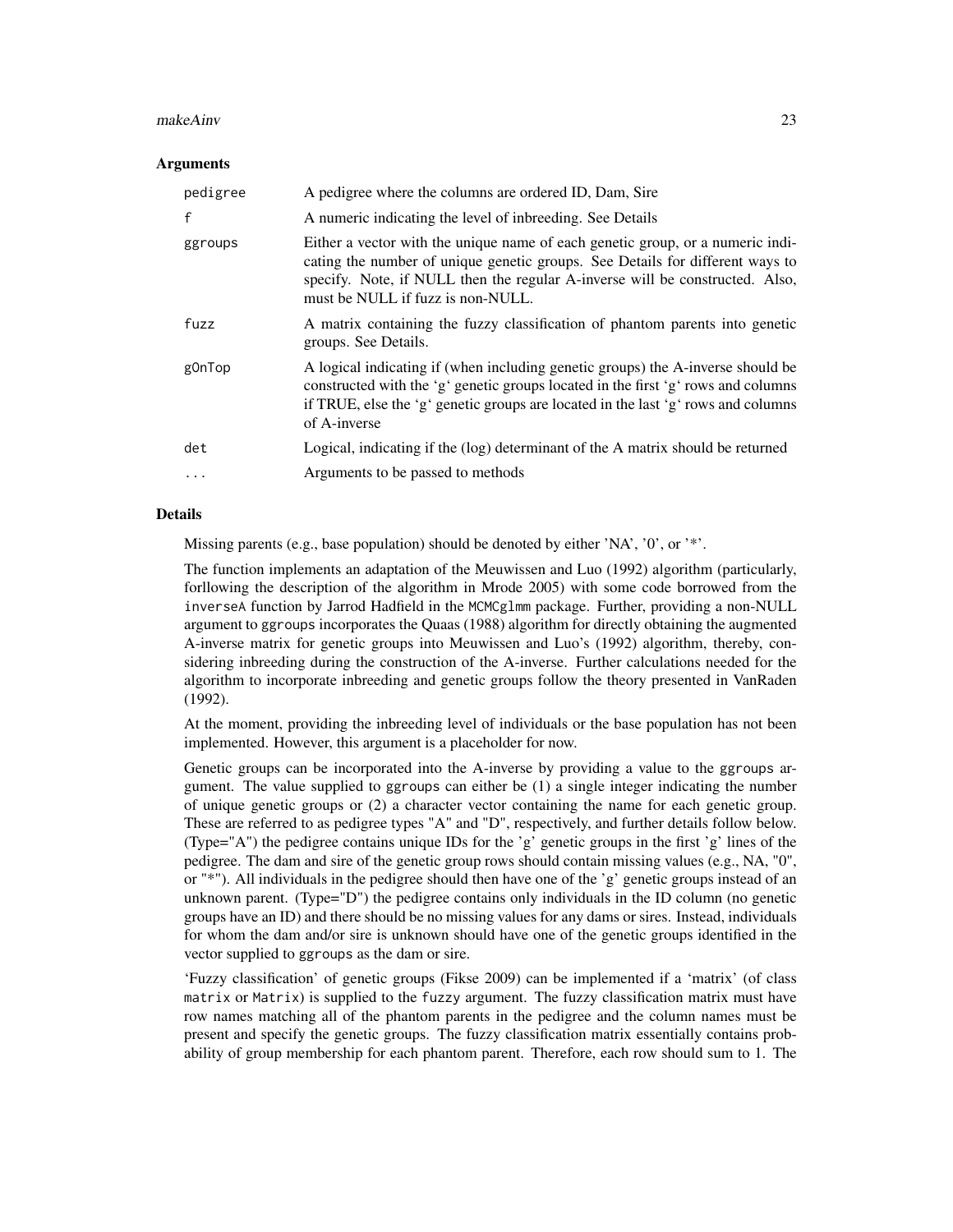#### makeAinv 23

#### Arguments

| pedigree     | A pedigree where the columns are ordered ID, Dam, Sire                                                                                                                                                                                                                               |
|--------------|--------------------------------------------------------------------------------------------------------------------------------------------------------------------------------------------------------------------------------------------------------------------------------------|
| $\mathsf{f}$ | A numeric indicating the level of inbreeding. See Details                                                                                                                                                                                                                            |
| ggroups      | Either a vector with the unique name of each genetic group, or a numeric indi-<br>cating the number of unique genetic groups. See Details for different ways to<br>specify. Note, if NULL then the regular A-inverse will be constructed. Also,<br>must be NULL if fuzz is non-NULL. |
| fuzz         | A matrix containing the fuzzy classification of phantom parents into genetic<br>groups. See Details.                                                                                                                                                                                 |
| g0nTop       | A logical indicating if (when including genetic groups) the A-inverse should be<br>constructed with the 'g' genetic groups located in the first 'g' rows and columns<br>if TRUE, else the 'g' genetic groups are located in the last 'g' rows and columns<br>of A-inverse            |
| det          | Logical, indicating if the (log) determinant of the A matrix should be returned                                                                                                                                                                                                      |
| .            | Arguments to be passed to methods                                                                                                                                                                                                                                                    |

#### Details

Missing parents (e.g., base population) should be denoted by either 'NA', '0', or '\*'.

The function implements an adaptation of the Meuwissen and Luo (1992) algorithm (particularly, forllowing the description of the algorithm in Mrode 2005) with some code borrowed from the inverseA function by Jarrod Hadfield in the MCMCglmm package. Further, providing a non-NULL argument to ggroups incorporates the Quaas (1988) algorithm for directly obtaining the augmented A-inverse matrix for genetic groups into Meuwissen and Luo's (1992) algorithm, thereby, considering inbreeding during the construction of the A-inverse. Further calculations needed for the algorithm to incorporate inbreeding and genetic groups follow the theory presented in VanRaden (1992).

At the moment, providing the inbreeding level of individuals or the base population has not been implemented. However, this argument is a placeholder for now.

Genetic groups can be incorporated into the A-inverse by providing a value to the ggroups argument. The value supplied to ggroups can either be (1) a single integer indicating the number of unique genetic groups or (2) a character vector containing the name for each genetic group. These are referred to as pedigree types "A" and "D", respectively, and further details follow below. (Type="A") the pedigree contains unique IDs for the 'g' genetic groups in the first 'g' lines of the pedigree. The dam and sire of the genetic group rows should contain missing values (e.g., NA, "0", or " $*$ "). All individuals in the pedigree should then have one of the 'g' genetic groups instead of an unknown parent. (Type="D") the pedigree contains only individuals in the ID column (no genetic groups have an ID) and there should be no missing values for any dams or sires. Instead, individuals for whom the dam and/or sire is unknown should have one of the genetic groups identified in the vector supplied to ggroups as the dam or sire.

'Fuzzy classification' of genetic groups (Fikse 2009) can be implemented if a 'matrix' (of class matrix or Matrix) is supplied to the fuzzy argument. The fuzzy classification matrix must have row names matching all of the phantom parents in the pedigree and the column names must be present and specify the genetic groups. The fuzzy classification matrix essentially contains probability of group membership for each phantom parent. Therefore, each row should sum to 1. The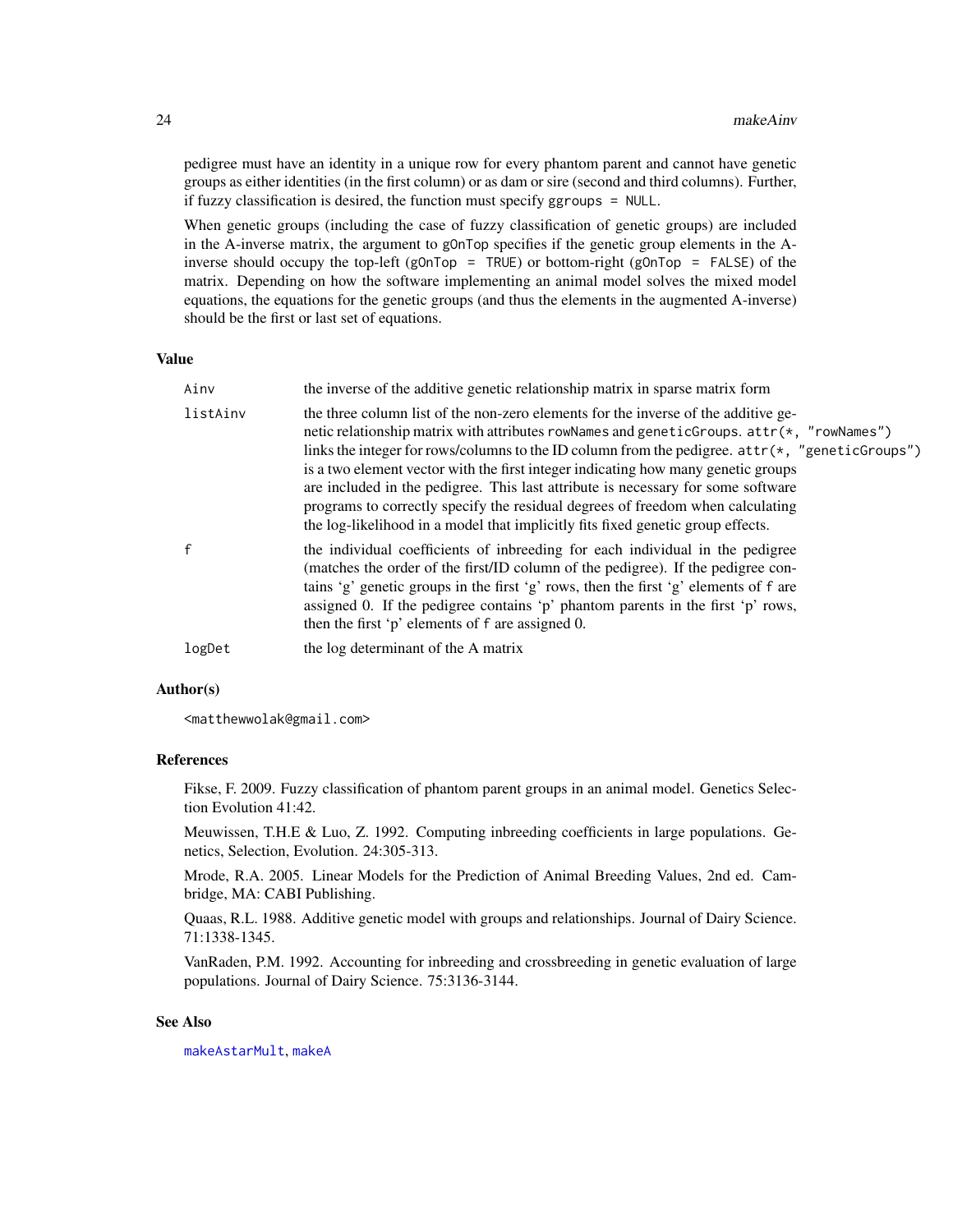pedigree must have an identity in a unique row for every phantom parent and cannot have genetic groups as either identities (in the first column) or as dam or sire (second and third columns). Further, if fuzzy classification is desired, the function must specify ggroups = NULL.

When genetic groups (including the case of fuzzy classification of genetic groups) are included in the A-inverse matrix, the argument to gOnTop specifies if the genetic group elements in the Ainverse should occupy the top-left (gOnTop = TRUE) or bottom-right (gOnTop = FALSE) of the matrix. Depending on how the software implementing an animal model solves the mixed model equations, the equations for the genetic groups (and thus the elements in the augmented A-inverse) should be the first or last set of equations.

#### Value

| Ainv     | the inverse of the additive genetic relationship matrix in sparse matrix form                                                                                                                                                                                                                                                                                                                                                                                                                                                                                                                                                       |
|----------|-------------------------------------------------------------------------------------------------------------------------------------------------------------------------------------------------------------------------------------------------------------------------------------------------------------------------------------------------------------------------------------------------------------------------------------------------------------------------------------------------------------------------------------------------------------------------------------------------------------------------------------|
| listAinv | the three column list of the non-zero elements for the inverse of the additive ge-<br>netic relationship matrix with attributes rowNames and geneticGroups. attr(*, "rowNames")<br>links the integer for rows/columns to the ID column from the pedigree. $attr(*, "genetic Groups")$<br>is a two element vector with the first integer indicating how many genetic groups<br>are included in the pedigree. This last attribute is necessary for some software<br>programs to correctly specify the residual degrees of freedom when calculating<br>the log-likelihood in a model that implicitly fits fixed genetic group effects. |
|          | the individual coefficients of inbreeding for each individual in the pedigree<br>(matches the order of the first/ID column of the pedigree). If the pedigree con-<br>tains 'g' genetic groups in the first 'g' rows, then the first 'g' elements of f are<br>assigned 0. If the pedigree contains 'p' phantom parents in the first 'p' rows,<br>then the first 'p' elements of f are assigned 0.                                                                                                                                                                                                                                    |
| logDet   | the log determinant of the A matrix                                                                                                                                                                                                                                                                                                                                                                                                                                                                                                                                                                                                 |

#### Author(s)

<matthewwolak@gmail.com>

#### References

Fikse, F. 2009. Fuzzy classification of phantom parent groups in an animal model. Genetics Selection Evolution 41:42.

Meuwissen, T.H.E & Luo, Z. 1992. Computing inbreeding coefficients in large populations. Genetics, Selection, Evolution. 24:305-313.

Mrode, R.A. 2005. Linear Models for the Prediction of Animal Breeding Values, 2nd ed. Cambridge, MA: CABI Publishing.

Quaas, R.L. 1988. Additive genetic model with groups and relationships. Journal of Dairy Science. 71:1338-1345.

VanRaden, P.M. 1992. Accounting for inbreeding and crossbreeding in genetic evaluation of large populations. Journal of Dairy Science. 75:3136-3144.

#### See Also

[makeAstarMult](#page-24-1), [makeA](#page-19-1)

<span id="page-23-0"></span>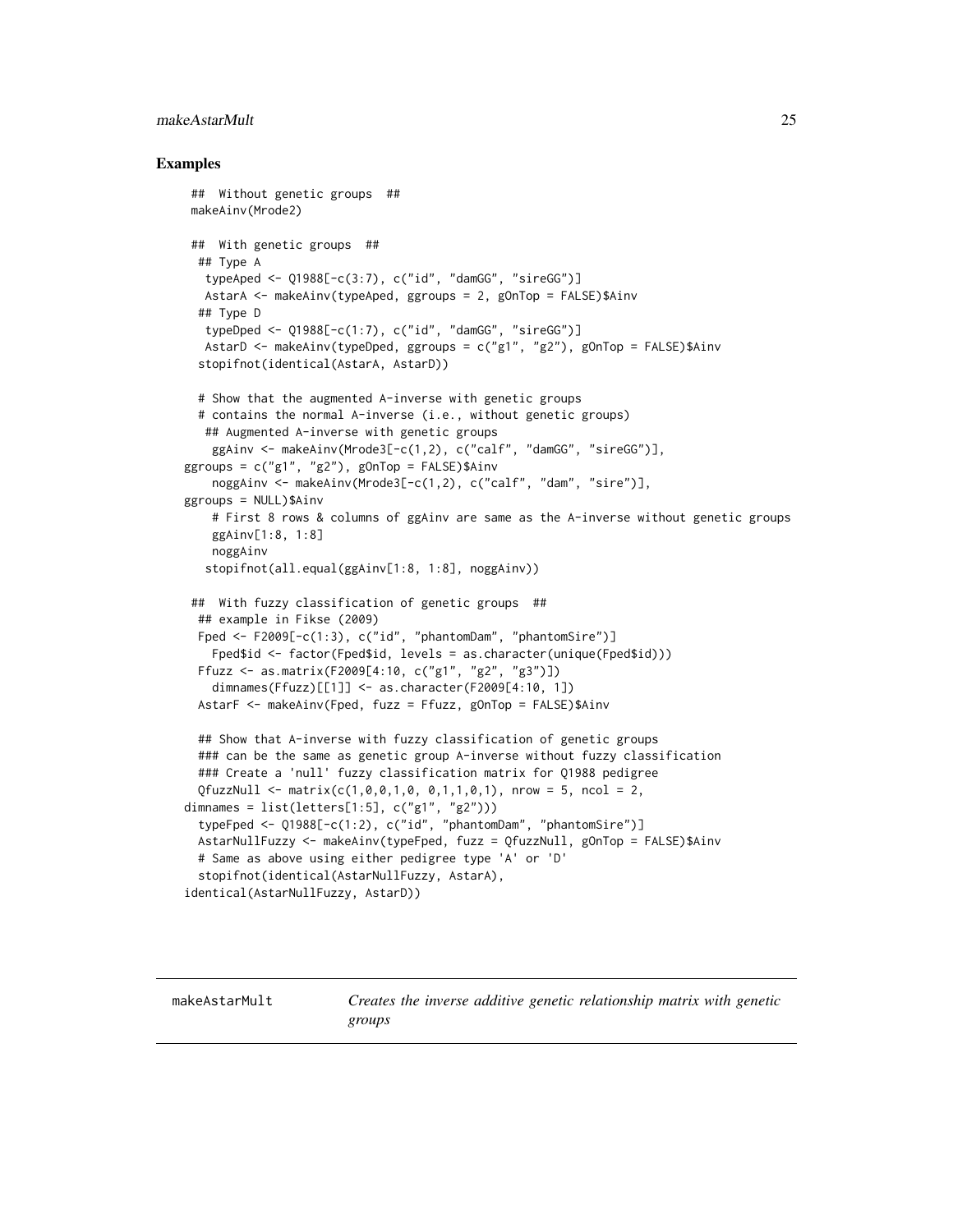#### <span id="page-24-0"></span>makeAstarMult 25

#### Examples

```
## Without genetic groups ##
makeAinv(Mrode2)
 ## With genetic groups ##
 ## Type A
  typeAped <- Q1988[-c(3:7), c("id", "damGG", "sireGG")]
  AstarA <- makeAinv(typeAped, ggroups = 2, gOnTop = FALSE)$Ainv
 ## Type D
  typeDped <- Q1988[-c(1:7), c("id", "damGG", "sireGG")]
  AstarD <- makeAinv(typeDped, ggroups = c("g1", "g2"), gOnTop = FALSE)$Ainv
  stopifnot(identical(AstarA, AstarD))
 # Show that the augmented A-inverse with genetic groups
  # contains the normal A-inverse (i.e., without genetic groups)
  ## Augmented A-inverse with genetic groups
    ggAinv <- makeAinv(Mrode3[-c(1,2), c("calf", "damGG", "sireGG")],
ggrows = c("g1", "g2"), gOnTop = FALSE)$Ainv
    noggAinv <- makeAinv(Mrode3[-c(1,2), c("calf", "dam", "sire")],
ggroups = NULL)$Ainv
    # First 8 rows & columns of ggAinv are same as the A-inverse without genetic groups
   ggAinv[1:8, 1:8]
   noggAinv
   stopifnot(all.equal(ggAinv[1:8, 1:8], noggAinv))
 ## With fuzzy classification of genetic groups ##
 ## example in Fikse (2009)
 Fped <- F2009[-c(1:3), c("id", "phantomDam", "phantomSire")]
   Fped$id <- factor(Fped$id, levels = as.character(unique(Fped$id)))
 Ffuzz <- as.matrix(F2009[4:10, c("g1", "g2", "g3")])
   dimnames(Ffuzz)[[1]] <- as.character(F2009[4:10, 1])
 AstarF <- makeAinv(Fped, fuzz = Ffuzz, gOnTop = FALSE)$Ainv
 ## Show that A-inverse with fuzzy classification of genetic groups
 ### can be the same as genetic group A-inverse without fuzzy classification
 ### Create a 'null' fuzzy classification matrix for Q1988 pedigree
 QfuzzNull \leq matrix(c(1, 0, 0, 1, 0, 0, 1, 1, 0, 1), nrow = 5, ncol = 2,dimnames = list(letters[1:5], c("g1", "g2")))
 typeFped <- Q1988[-c(1:2), c("id", "phantomDam", "phantomSire")]
 AstarNullFuzzy <- makeAinv(typeFped, fuzz = QfuzzNull, gOnTop = FALSE)$Ainv
 # Same as above using either pedigree type 'A' or 'D'
 stopifnot(identical(AstarNullFuzzy, AstarA),
identical(AstarNullFuzzy, AstarD))
```
<span id="page-24-1"></span>makeAstarMult *Creates the inverse additive genetic relationship matrix with genetic groups*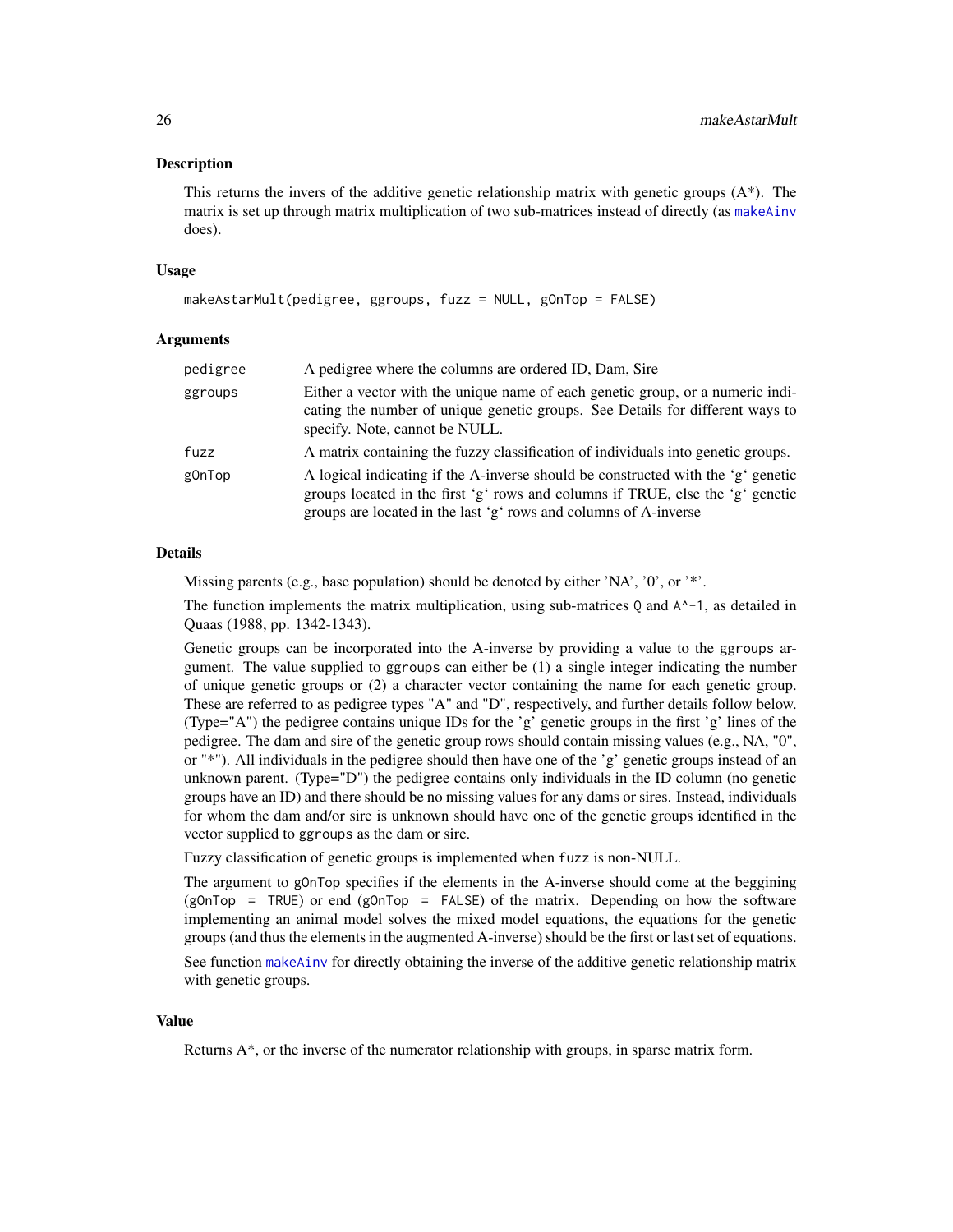#### <span id="page-25-0"></span>Description

This returns the invers of the additive genetic relationship matrix with genetic groups  $(A^*)$ . The matrix is set up through matrix multiplication of two sub-matrices instead of directly (as [makeAinv](#page-21-1) does).

#### Usage

```
makeAstarMult(pedigree, ggroups, fuzz = NULL, gOnTop = FALSE)
```
#### Arguments

| pedigree | A pedigree where the columns are ordered ID, Dam, Sire                                                                                                                                                                                 |
|----------|----------------------------------------------------------------------------------------------------------------------------------------------------------------------------------------------------------------------------------------|
| ggroups  | Either a vector with the unique name of each genetic group, or a numeric indi-<br>cating the number of unique genetic groups. See Details for different ways to<br>specify. Note, cannot be NULL.                                      |
| fuzz     | A matrix containing the fuzzy classification of individuals into genetic groups.                                                                                                                                                       |
| g0nTop   | A logical indicating if the A-inverse should be constructed with the 'g' genetic<br>groups located in the first 'g' rows and columns if TRUE, else the 'g' genetic<br>groups are located in the last 'g' rows and columns of A-inverse |

#### Details

Missing parents (e.g., base population) should be denoted by either 'NA', '0', or '\*'.

The function implements the matrix multiplication, using sub-matrices  $Q$  and  $A^{\wedge -1}$ , as detailed in Quaas (1988, pp. 1342-1343).

Genetic groups can be incorporated into the A-inverse by providing a value to the ggroups argument. The value supplied to ggroups can either be (1) a single integer indicating the number of unique genetic groups or (2) a character vector containing the name for each genetic group. These are referred to as pedigree types "A" and "D", respectively, and further details follow below. (Type="A") the pedigree contains unique IDs for the 'g' genetic groups in the first 'g' lines of the pedigree. The dam and sire of the genetic group rows should contain missing values (e.g., NA, "0", or "\*"). All individuals in the pedigree should then have one of the 'g' genetic groups instead of an unknown parent. (Type="D") the pedigree contains only individuals in the ID column (no genetic groups have an ID) and there should be no missing values for any dams or sires. Instead, individuals for whom the dam and/or sire is unknown should have one of the genetic groups identified in the vector supplied to ggroups as the dam or sire.

Fuzzy classification of genetic groups is implemented when fuzz is non-NULL.

The argument to gOnTop specifies if the elements in the A-inverse should come at the beggining (gOnTop = TRUE) or end (gOnTop = FALSE) of the matrix. Depending on how the software implementing an animal model solves the mixed model equations, the equations for the genetic groups (and thus the elements in the augmented A-inverse) should be the first or last set of equations.

See function [makeAinv](#page-21-1) for directly obtaining the inverse of the additive genetic relationship matrix with genetic groups.

#### Value

Returns A\*, or the inverse of the numerator relationship with groups, in sparse matrix form.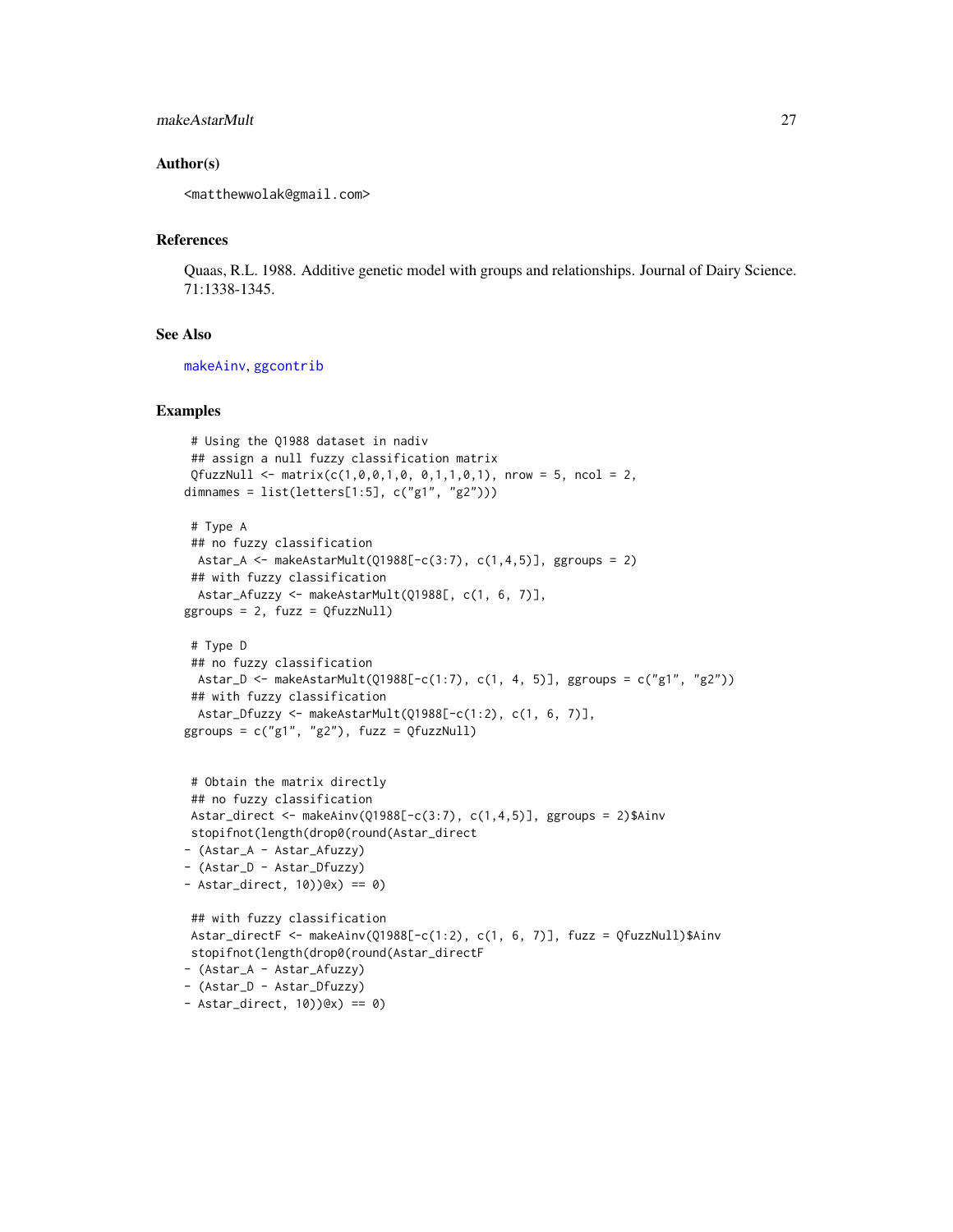#### <span id="page-26-0"></span>makeAstarMult 27

#### Author(s)

<matthewwolak@gmail.com>

#### References

Quaas, R.L. 1988. Additive genetic model with groups and relationships. Journal of Dairy Science. 71:1338-1345.

#### See Also

[makeAinv](#page-21-1), [ggcontrib](#page-12-1)

#### Examples

```
# Using the Q1988 dataset in nadiv
## assign a null fuzzy classification matrix
QfuzzNull \leq matrix(c(1,0,0,1,0, 0,1,1,0,1), nrow = 5, ncol = 2,dimnames = list(letters[1:5], c("g1", "g2")))
```

```
# Type A
## no fuzzy classification
 Astar_A <- makeAstarMult(Q1988[-c(3:7), c(1,4,5)], ggroups = 2)
## with fuzzy classification
 Astar_Afuzzy <- makeAstarMult(Q1988[, c(1, 6, 7)],
ggrows = 2, fuzz = QfuzzNull)
```

```
# Type D
## no fuzzy classification
 Astar_D <- makeAstarMult(Q1988[-c(1:7), c(1, 4, 5)], ggroups = c("g1", "g2"))
## with fuzzy classification
 Astar_Dfuzzy <- makeAstarMult(Q1988[-c(1:2), c(1, 6, 7)],
ggroups = c("g1", "g2"), fuzz = QfuzzNull)
```

```
# Obtain the matrix directly
## no fuzzy classification
Astar_direct <- makeAinv(Q1988[-c(3:7), c(1,4,5)], ggroups = 2)$Ainv
stopifnot(length(drop0(round(Astar_direct
- (Astar_A - Astar_Afuzzy)
- (Astar_D - Astar_Dfuzzy)
- Astar_direct, 10))@x) == 0)
```

```
## with fuzzy classification
Astar_directF <- makeAinv(Q1988[-c(1:2), c(1, 6, 7)], fuzz = QfuzzNull)$Ainv
stopifnot(length(drop0(round(Astar_directF
- (Astar_A - Astar_Afuzzy)
- (Astar_D - Astar_Dfuzzy)
```

```
- Astar_direct, 10))(x) == 0
```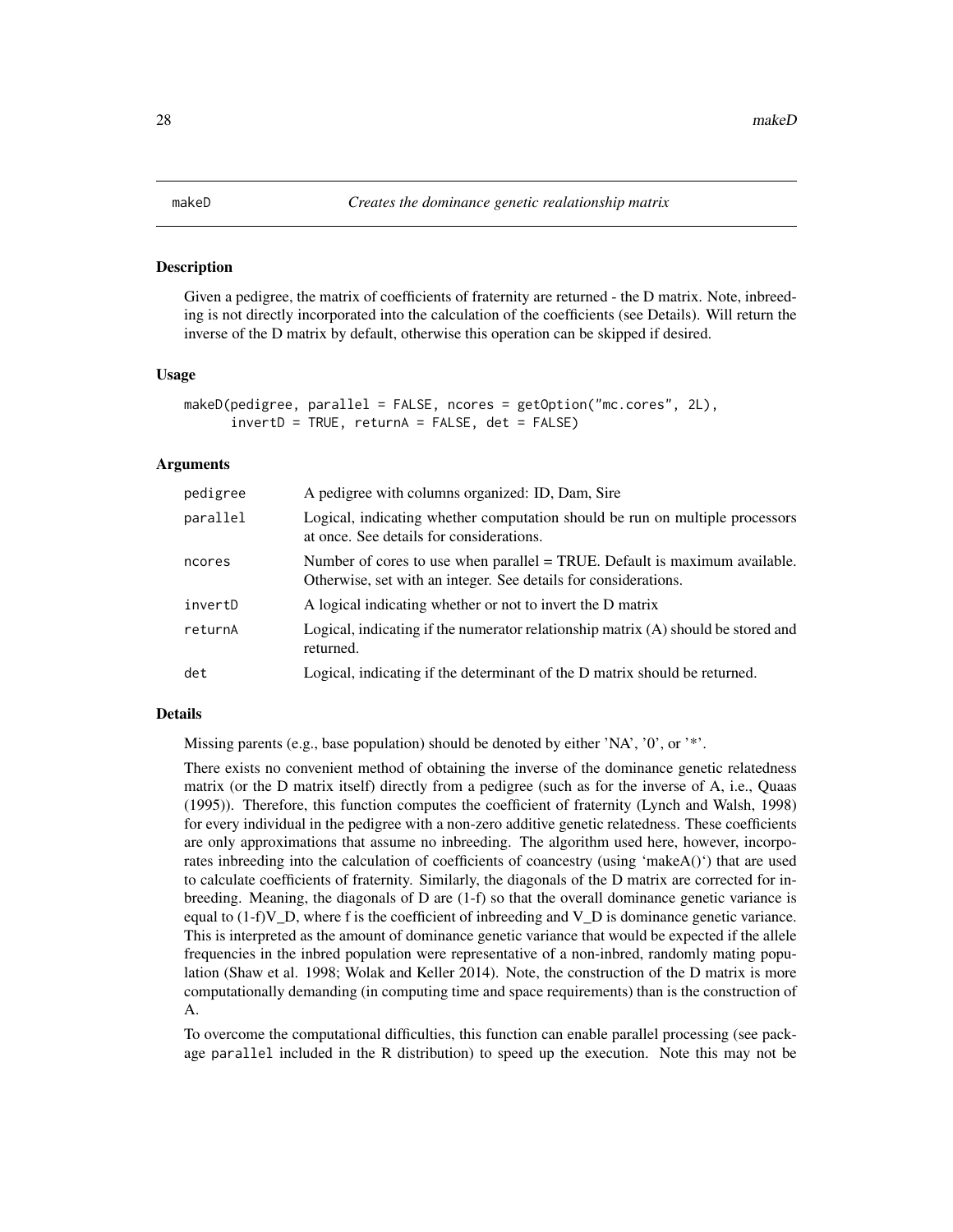#### <span id="page-27-1"></span><span id="page-27-0"></span>Description

Given a pedigree, the matrix of coefficients of fraternity are returned - the D matrix. Note, inbreeding is not directly incorporated into the calculation of the coefficients (see Details). Will return the inverse of the D matrix by default, otherwise this operation can be skipped if desired.

#### Usage

```
makeD(pedigree, parallel = FALSE, ncores = getOption("mc.cores", 2L),
      invertD = TRUE, returnA = FALSE, det = FALSE)
```
#### Arguments

| pedigree | A pedigree with columns organized: ID, Dam, Sire                                                                                              |
|----------|-----------------------------------------------------------------------------------------------------------------------------------------------|
| parallel | Logical, indicating whether computation should be run on multiple processors<br>at once. See details for considerations.                      |
| ncores   | Number of cores to use when parallel = TRUE. Default is maximum available.<br>Otherwise, set with an integer. See details for considerations. |
| invertD  | A logical indicating whether or not to invert the D matrix                                                                                    |
| returnA  | Logical, indicating if the numerator relationship matrix $(A)$ should be stored and<br>returned.                                              |
| det      | Logical, indicating if the determinant of the D matrix should be returned.                                                                    |

#### Details

Missing parents (e.g., base population) should be denoted by either 'NA', '0', or '\*'.

There exists no convenient method of obtaining the inverse of the dominance genetic relatedness matrix (or the D matrix itself) directly from a pedigree (such as for the inverse of A, i.e., Quaas (1995)). Therefore, this function computes the coefficient of fraternity (Lynch and Walsh, 1998) for every individual in the pedigree with a non-zero additive genetic relatedness. These coefficients are only approximations that assume no inbreeding. The algorithm used here, however, incorporates inbreeding into the calculation of coefficients of coancestry (using 'makeA()') that are used to calculate coefficients of fraternity. Similarly, the diagonals of the D matrix are corrected for inbreeding. Meaning, the diagonals of D are (1-f) so that the overall dominance genetic variance is equal to  $(1-f)V_D$ , where f is the coefficient of inbreeding and  $V_D$  is dominance genetic variance. This is interpreted as the amount of dominance genetic variance that would be expected if the allele frequencies in the inbred population were representative of a non-inbred, randomly mating population (Shaw et al. 1998; Wolak and Keller 2014). Note, the construction of the D matrix is more computationally demanding (in computing time and space requirements) than is the construction of A.

To overcome the computational difficulties, this function can enable parallel processing (see package parallel included in the R distribution) to speed up the execution. Note this may not be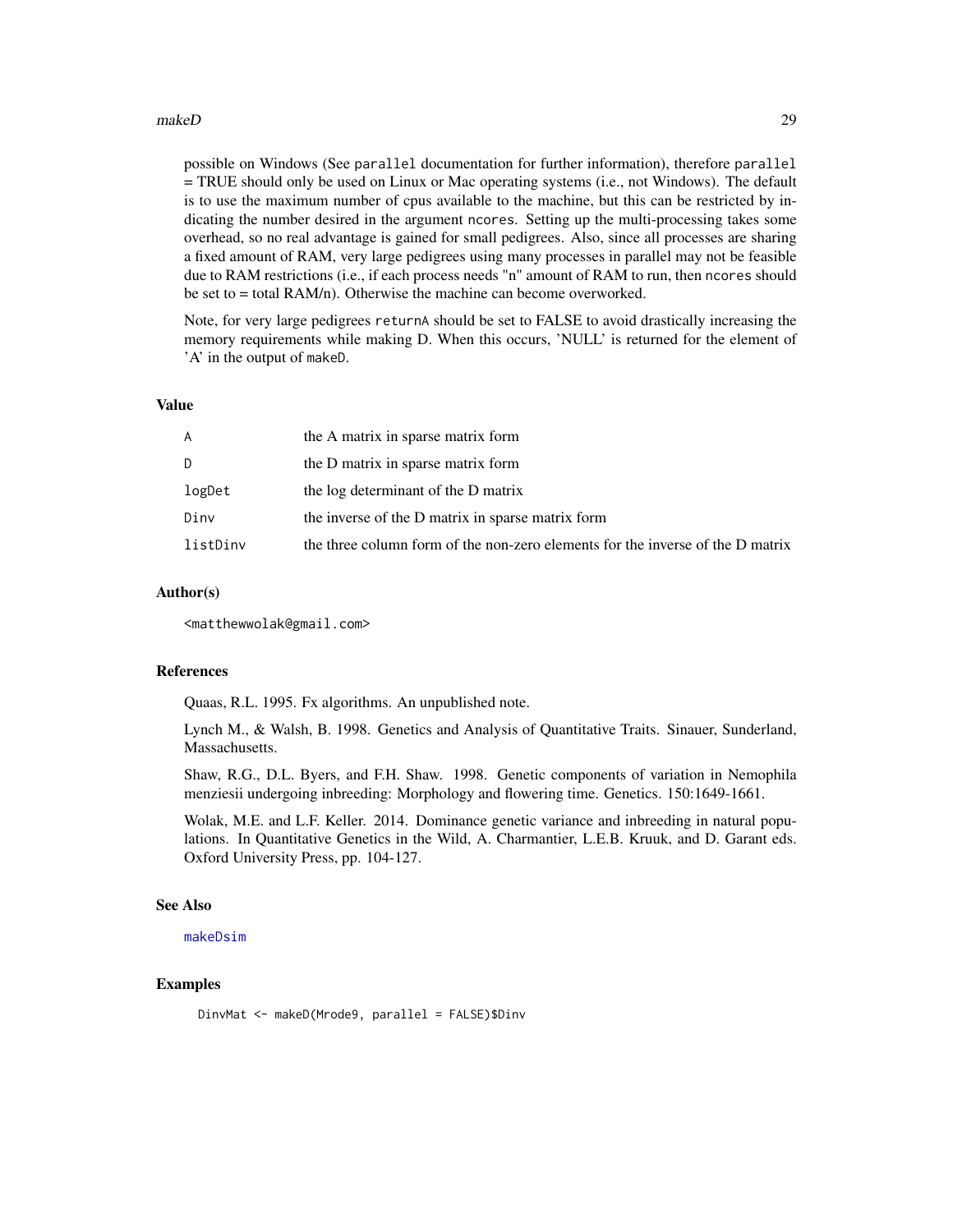#### <span id="page-28-0"></span>makeD 29

possible on Windows (See parallel documentation for further information), therefore parallel = TRUE should only be used on Linux or Mac operating systems (i.e., not Windows). The default is to use the maximum number of cpus available to the machine, but this can be restricted by indicating the number desired in the argument ncores. Setting up the multi-processing takes some overhead, so no real advantage is gained for small pedigrees. Also, since all processes are sharing a fixed amount of RAM, very large pedigrees using many processes in parallel may not be feasible due to RAM restrictions (i.e., if each process needs "n" amount of RAM to run, then ncores should be set to = total RAM/n). Otherwise the machine can become overworked.

Note, for very large pedigrees returnA should be set to FALSE to avoid drastically increasing the memory requirements while making D. When this occurs, 'NULL' is returned for the element of 'A' in the output of makeD.

#### Value

| A        | the A matrix in sparse matrix form                                             |
|----------|--------------------------------------------------------------------------------|
| D.       | the D matrix in sparse matrix form                                             |
| logDet   | the log determinant of the D matrix                                            |
| Dinv     | the inverse of the D matrix in sparse matrix form                              |
| listDinv | the three column form of the non-zero elements for the inverse of the D matrix |

#### Author(s)

<matthewwolak@gmail.com>

#### References

Quaas, R.L. 1995. Fx algorithms. An unpublished note.

Lynch M., & Walsh, B. 1998. Genetics and Analysis of Quantitative Traits. Sinauer, Sunderland, Massachusetts.

Shaw, R.G., D.L. Byers, and F.H. Shaw. 1998. Genetic components of variation in Nemophila menziesii undergoing inbreeding: Morphology and flowering time. Genetics. 150:1649-1661.

Wolak, M.E. and L.F. Keller. 2014. Dominance genetic variance and inbreeding in natural populations. In Quantitative Genetics in the Wild, A. Charmantier, L.E.B. Kruuk, and D. Garant eds. Oxford University Press, pp. 104-127.

#### See Also

[makeDsim](#page-30-1)

#### Examples

DinvMat <- makeD(Mrode9, parallel = FALSE)\$Dinv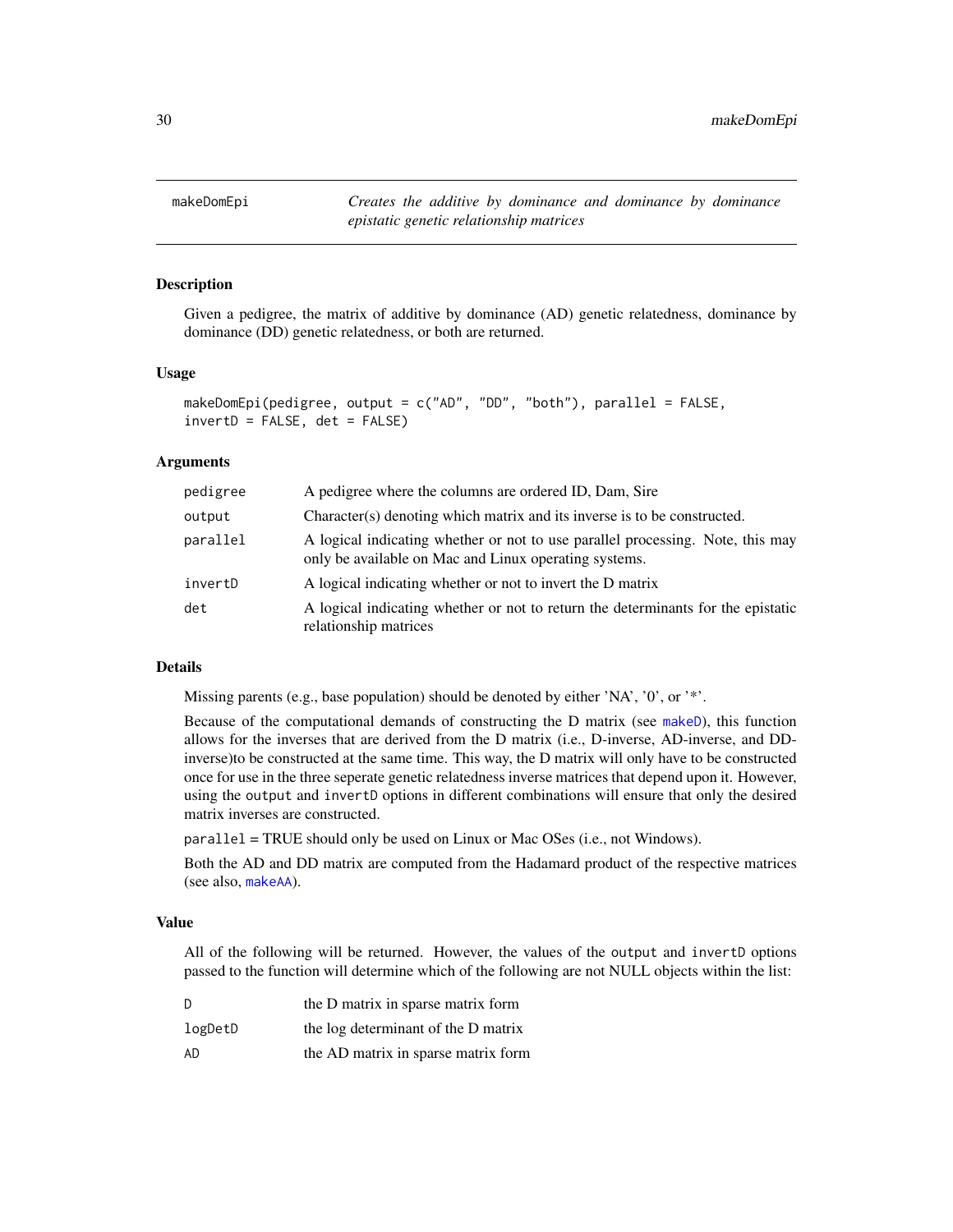<span id="page-29-1"></span><span id="page-29-0"></span>makeDomEpi *Creates the additive by dominance and dominance by dominance epistatic genetic relationship matrices*

#### Description

Given a pedigree, the matrix of additive by dominance (AD) genetic relatedness, dominance by dominance (DD) genetic relatedness, or both are returned.

#### Usage

```
makeDomEpi(pedigree, output = c("AD", "DD", "both"), parallel = FALSE,
invertD = FALSE, det = FALSE)
```
#### **Arguments**

| pedigree | A pedigree where the columns are ordered ID, Dam, Sire                                                                                  |
|----------|-----------------------------------------------------------------------------------------------------------------------------------------|
| output   | Character(s) denoting which matrix and its inverse is to be constructed.                                                                |
| parallel | A logical indicating whether or not to use parallel processing. Note, this may<br>only be available on Mac and Linux operating systems. |
| invertD  | A logical indicating whether or not to invert the D matrix                                                                              |
| det      | A logical indicating whether or not to return the determinants for the epistatic<br>relationship matrices                               |

#### Details

Missing parents (e.g., base population) should be denoted by either 'NA', '0', or '\*'.

Because of the computational demands of constructing the D matrix (see [makeD](#page-27-1)), this function allows for the inverses that are derived from the D matrix (i.e., D-inverse, AD-inverse, and DDinverse)to be constructed at the same time. This way, the D matrix will only have to be constructed once for use in the three seperate genetic relatedness inverse matrices that depend upon it. However, using the output and invertD options in different combinations will ensure that only the desired matrix inverses are constructed.

parallel = TRUE should only be used on Linux or Mac OSes (i.e., not Windows).

Both the AD and DD matrix are computed from the Hadamard product of the respective matrices (see also, [makeAA](#page-20-1)).

#### Value

All of the following will be returned. However, the values of the output and invertD options passed to the function will determine which of the following are not NULL objects within the list:

| D       | the D matrix in sparse matrix form  |
|---------|-------------------------------------|
| logDetD | the log determinant of the D matrix |
| AD      | the AD matrix in sparse matrix form |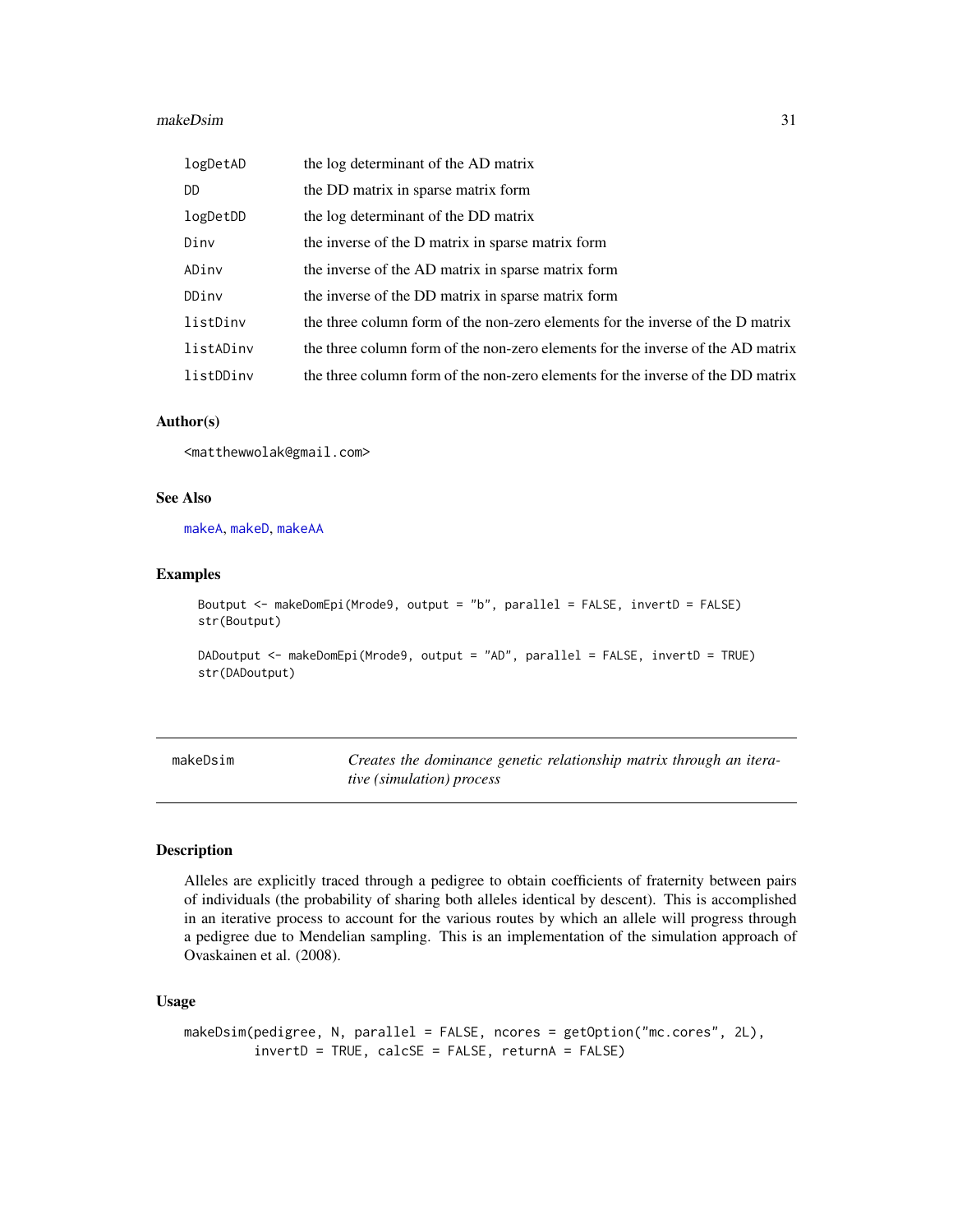#### <span id="page-30-0"></span>makeDsim 31

| logDetAD  | the log determinant of the AD matrix                                            |
|-----------|---------------------------------------------------------------------------------|
| <b>DD</b> | the DD matrix in sparse matrix form                                             |
| logDetDD  | the log determinant of the DD matrix                                            |
| Diny      | the inverse of the D matrix in sparse matrix form                               |
| ADinv     | the inverse of the AD matrix in sparse matrix form                              |
| DDinv     | the inverse of the DD matrix in sparse matrix form                              |
| listDinv  | the three column form of the non-zero elements for the inverse of the D matrix  |
| listADinv | the three column form of the non-zero elements for the inverse of the AD matrix |
| listDDinv | the three column form of the non-zero elements for the inverse of the DD matrix |

#### Author(s)

<matthewwolak@gmail.com>

#### See Also

[makeA](#page-19-1), [makeD](#page-27-1), [makeAA](#page-20-1)

#### Examples

```
Boutput <- makeDomEpi(Mrode9, output = "b", parallel = FALSE, invertD = FALSE)
str(Boutput)
```

```
DADoutput <- makeDomEpi(Mrode9, output = "AD", parallel = FALSE, invertD = TRUE)
str(DADoutput)
```
<span id="page-30-1"></span>makeDsim *Creates the dominance genetic relationship matrix through an iterative (simulation) process*

#### Description

Alleles are explicitly traced through a pedigree to obtain coefficients of fraternity between pairs of individuals (the probability of sharing both alleles identical by descent). This is accomplished in an iterative process to account for the various routes by which an allele will progress through a pedigree due to Mendelian sampling. This is an implementation of the simulation approach of Ovaskainen et al. (2008).

#### Usage

```
makeDsim(pedigree, N, parallel = FALSE, ncores = getOption("mc.cores", 2L),
         invertD = TRUE, calcSE = FALSE, returnA = FALSE)
```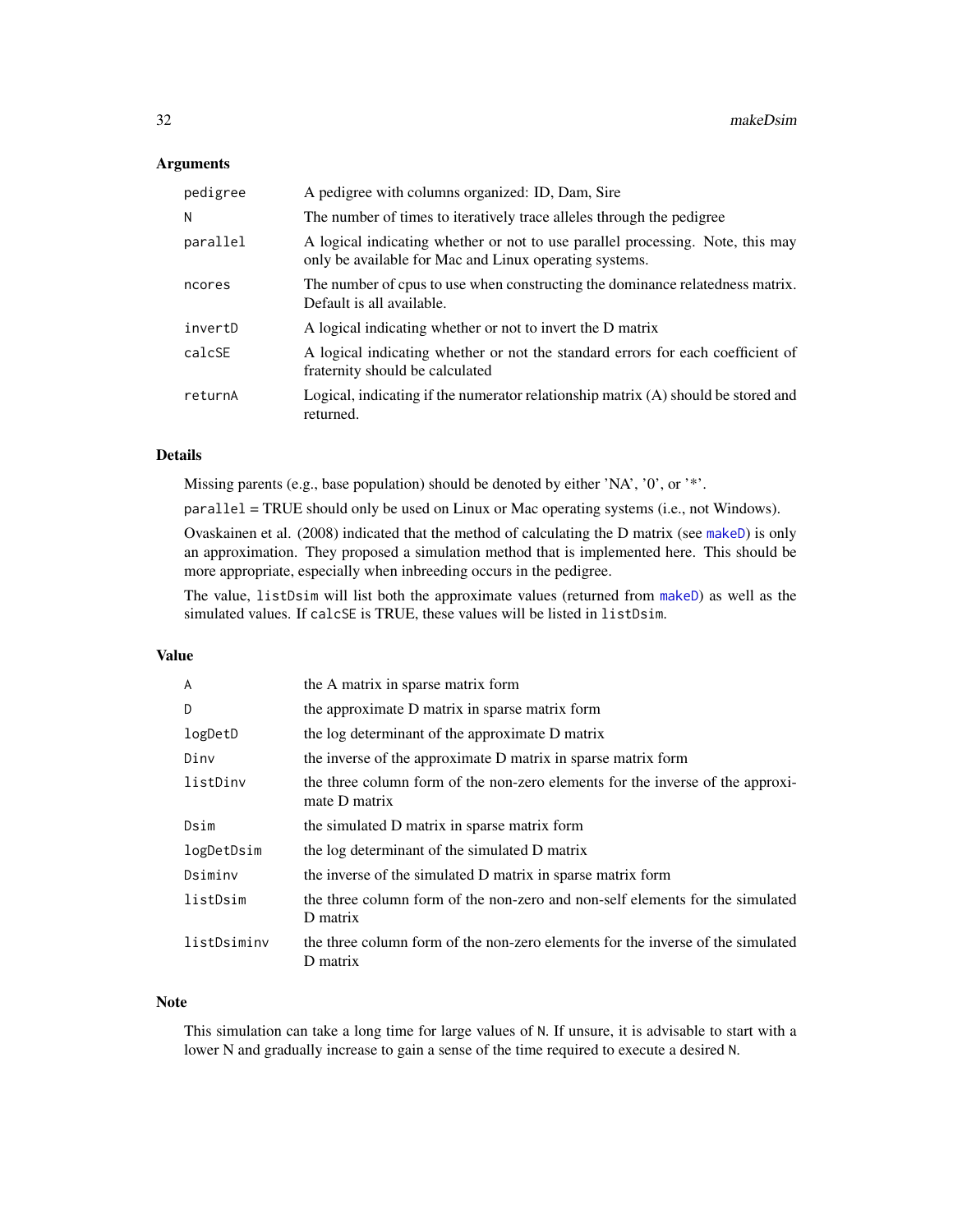#### Arguments

| pedigree | A pedigree with columns organized: ID, Dam, Sire                                                                                         |
|----------|------------------------------------------------------------------------------------------------------------------------------------------|
| N        | The number of times to iteratively trace alleles through the pedigree                                                                    |
| parallel | A logical indicating whether or not to use parallel processing. Note, this may<br>only be available for Mac and Linux operating systems. |
| ncores   | The number of cpus to use when constructing the dominance relatedness matrix.<br>Default is all available.                               |
| invertD  | A logical indicating whether or not to invert the D matrix                                                                               |
| calcSE   | A logical indicating whether or not the standard errors for each coefficient of<br>fraternity should be calculated                       |
| returnA  | Logical, indicating if the numerator relationship matrix (A) should be stored and<br>returned.                                           |

#### Details

Missing parents (e.g., base population) should be denoted by either 'NA', '0', or '\*'.

parallel = TRUE should only be used on Linux or Mac operating systems (i.e., not Windows).

Ovaskainen et al. (2008) indicated that the method of calculating the D matrix (see [makeD](#page-27-1)) is only an approximation. They proposed a simulation method that is implemented here. This should be more appropriate, especially when inbreeding occurs in the pedigree.

The value, listDsim will list both the approximate values (returned from [makeD](#page-27-1)) as well as the simulated values. If calcSE is TRUE, these values will be listed in listDsim.

#### Value

| A           | the A matrix in sparse matrix form                                                              |
|-------------|-------------------------------------------------------------------------------------------------|
| D           | the approximate D matrix in sparse matrix form                                                  |
| logDetD     | the log determinant of the approximate D matrix                                                 |
| Dinv        | the inverse of the approximate D matrix in sparse matrix form                                   |
| listDinv    | the three column form of the non-zero elements for the inverse of the approxi-<br>mate D matrix |
| Dsim        | the simulated D matrix in sparse matrix form                                                    |
| logDetDsim  | the log determinant of the simulated D matrix                                                   |
| Dsiminv     | the inverse of the simulated D matrix in sparse matrix form                                     |
| listDsim    | the three column form of the non-zero and non-self elements for the simulated<br>D matrix       |
| listDsiminv | the three column form of the non-zero elements for the inverse of the simulated<br>D matrix     |

#### Note

This simulation can take a long time for large values of N. If unsure, it is advisable to start with a lower N and gradually increase to gain a sense of the time required to execute a desired N.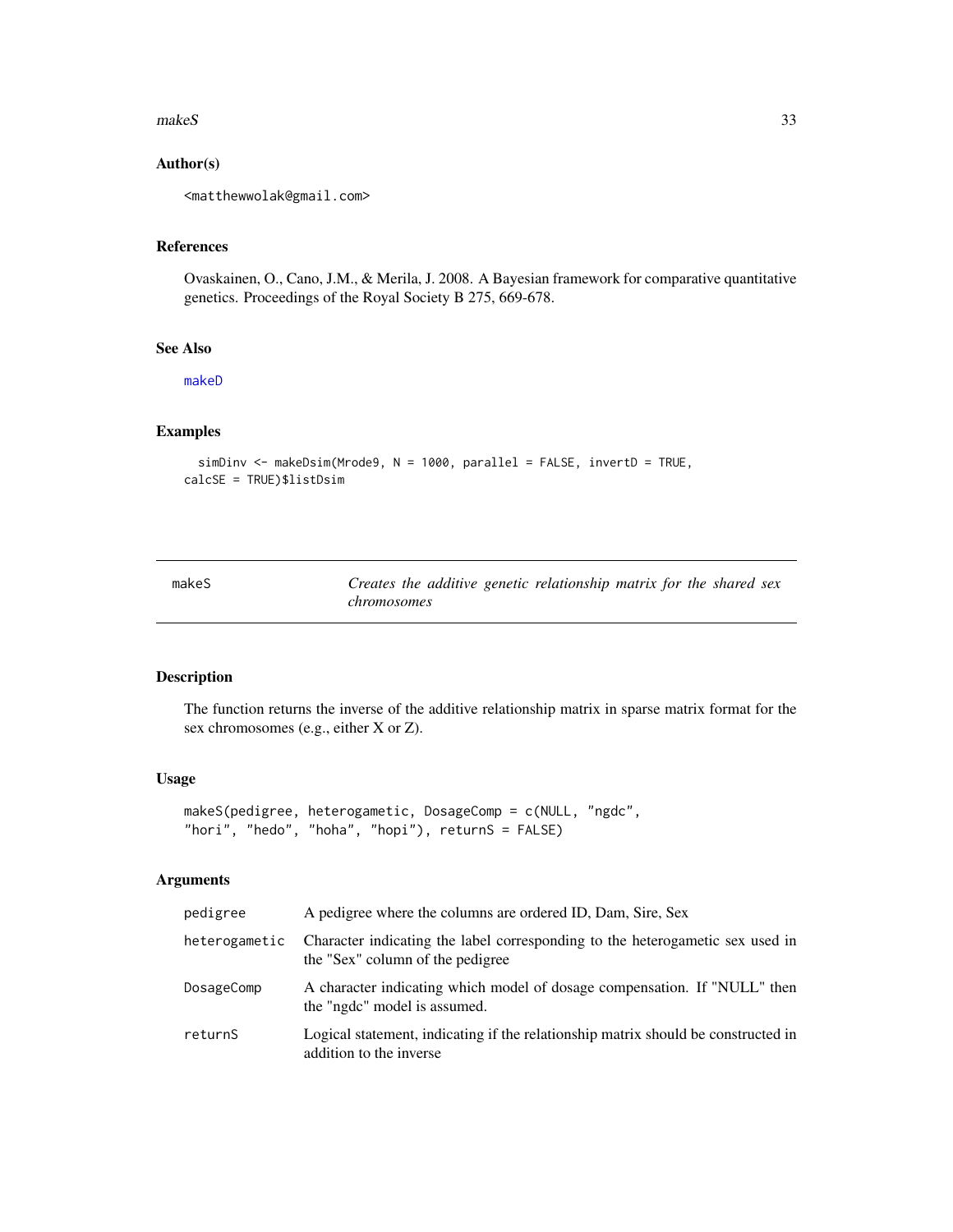#### <span id="page-32-0"></span> $makeS$  33

#### Author(s)

<matthewwolak@gmail.com>

#### References

Ovaskainen, O., Cano, J.M., & Merila, J. 2008. A Bayesian framework for comparative quantitative genetics. Proceedings of the Royal Society B 275, 669-678.

#### See Also

[makeD](#page-27-1)

#### Examples

```
simDinv <- makeDsim(Mrode9, N = 1000, parallel = FALSE, invertD = TRUE,
calcSE = TRUE)$listDsim
```
<span id="page-32-1"></span>makeS *Creates the additive genetic relationship matrix for the shared sex chromosomes*

#### Description

The function returns the inverse of the additive relationship matrix in sparse matrix format for the sex chromosomes (e.g., either X or Z).

#### Usage

```
makeS(pedigree, heterogametic, DosageComp = c(NULL, "ngdc",
"hori", "hedo", "hoha", "hopi"), returnS = FALSE)
```
#### Arguments

| pedigree      | A pedigree where the columns are ordered ID, Dam, Sire, Sex                                                       |
|---------------|-------------------------------------------------------------------------------------------------------------------|
| heterogametic | Character indicating the label corresponding to the heterogametic sex used in<br>the "Sex" column of the pedigree |
| DosageComp    | A character indicating which model of dosage compensation. If "NULL" then<br>the "ngdc" model is assumed.         |
| returnS       | Logical statement, indicating if the relationship matrix should be constructed in<br>addition to the inverse      |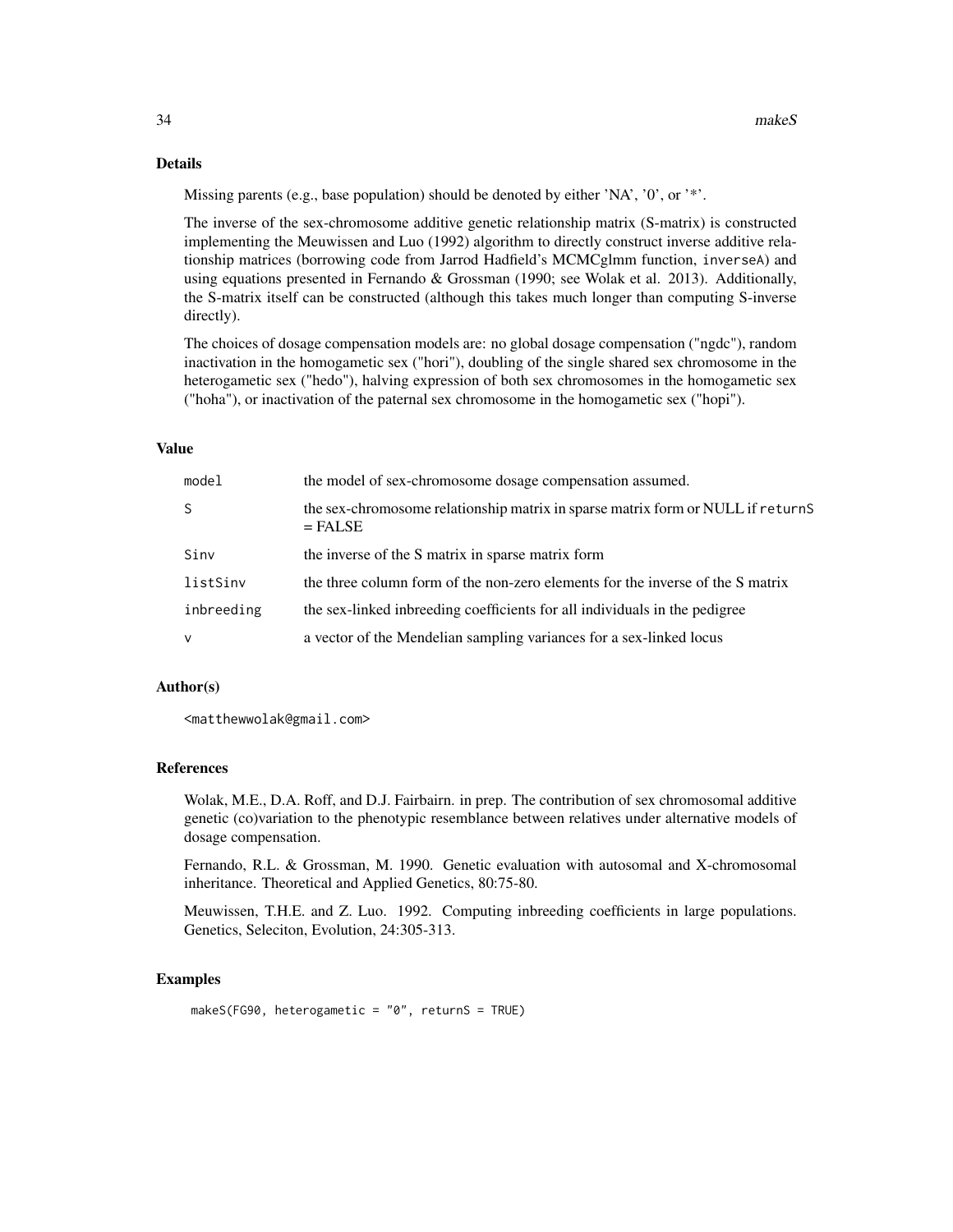#### Details

Missing parents (e.g., base population) should be denoted by either 'NA', '0', or '\*'.

The inverse of the sex-chromosome additive genetic relationship matrix (S-matrix) is constructed implementing the Meuwissen and Luo (1992) algorithm to directly construct inverse additive relationship matrices (borrowing code from Jarrod Hadfield's MCMCglmm function, inverseA) and using equations presented in Fernando & Grossman (1990; see Wolak et al. 2013). Additionally, the S-matrix itself can be constructed (although this takes much longer than computing S-inverse directly).

The choices of dosage compensation models are: no global dosage compensation ("ngdc"), random inactivation in the homogametic sex ("hori"), doubling of the single shared sex chromosome in the heterogametic sex ("hedo"), halving expression of both sex chromosomes in the homogametic sex ("hoha"), or inactivation of the paternal sex chromosome in the homogametic sex ("hopi").

#### Value

| model        | the model of sex-chromosome dosage compensation assumed.                                     |
|--------------|----------------------------------------------------------------------------------------------|
| <sub>S</sub> | the sex-chromosome relationship matrix in sparse matrix form or NULL if returnS<br>$=$ FALSE |
| Sinv         | the inverse of the S matrix in sparse matrix form                                            |
| listSinv     | the three column form of the non-zero elements for the inverse of the S matrix               |
| inbreeding   | the sex-linked inbreeding coefficients for all individuals in the pedigree                   |
| $\mathsf{v}$ | a vector of the Mendelian sampling variances for a sex-linked locus                          |

#### Author(s)

<matthewwolak@gmail.com>

#### References

Wolak, M.E., D.A. Roff, and D.J. Fairbairn. in prep. The contribution of sex chromosomal additive genetic (co)variation to the phenotypic resemblance between relatives under alternative models of dosage compensation.

Fernando, R.L. & Grossman, M. 1990. Genetic evaluation with autosomal and X-chromosomal inheritance. Theoretical and Applied Genetics, 80:75-80.

Meuwissen, T.H.E. and Z. Luo. 1992. Computing inbreeding coefficients in large populations. Genetics, Seleciton, Evolution, 24:305-313.

#### Examples

```
makeS(FG90, heterogametic = "0", returnS = TRUE)
```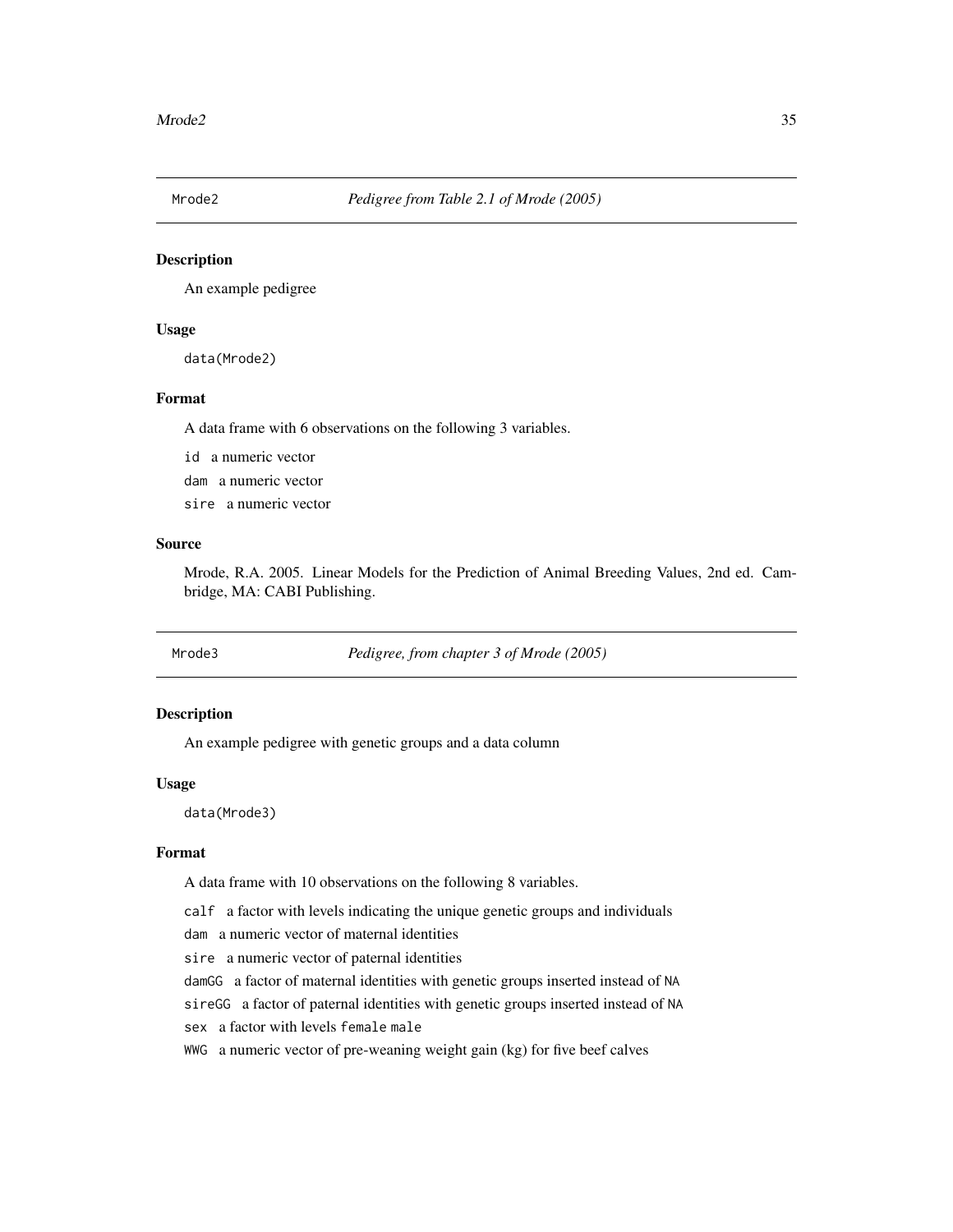<span id="page-34-0"></span>

#### Description

An example pedigree

#### Usage

data(Mrode2)

#### Format

A data frame with 6 observations on the following 3 variables.

id a numeric vector

dam a numeric vector

sire a numeric vector

#### Source

Mrode, R.A. 2005. Linear Models for the Prediction of Animal Breeding Values, 2nd ed. Cambridge, MA: CABI Publishing.

Mrode3 *Pedigree, from chapter 3 of Mrode (2005)*

#### Description

An example pedigree with genetic groups and a data column

#### Usage

data(Mrode3)

#### Format

A data frame with 10 observations on the following 8 variables.

calf a factor with levels indicating the unique genetic groups and individuals

dam a numeric vector of maternal identities

sire a numeric vector of paternal identities

damGG a factor of maternal identities with genetic groups inserted instead of NA

sireGG a factor of paternal identities with genetic groups inserted instead of NA

sex a factor with levels female male

WWG a numeric vector of pre-weaning weight gain (kg) for five beef calves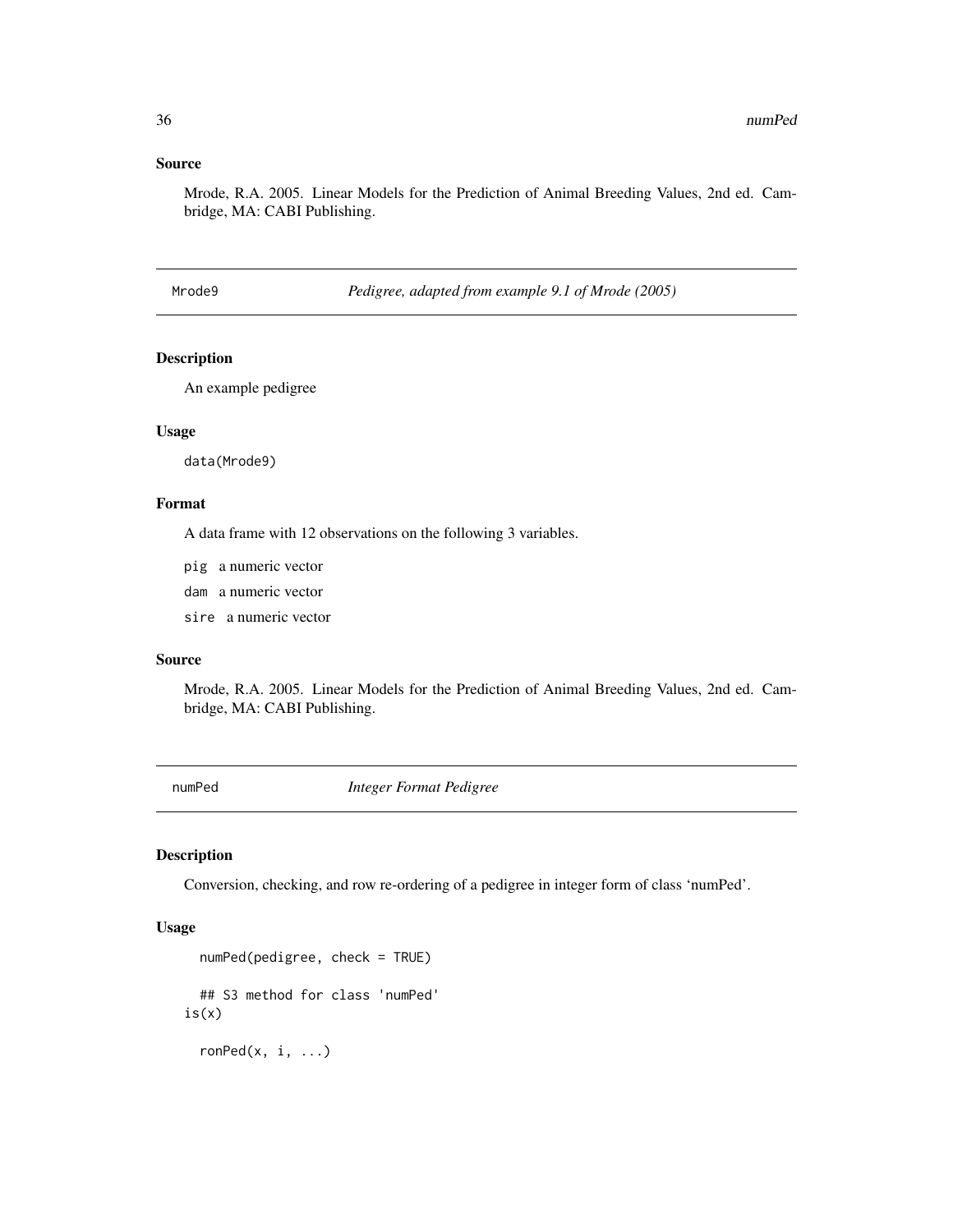#### <span id="page-35-0"></span>Source

Mrode, R.A. 2005. Linear Models for the Prediction of Animal Breeding Values, 2nd ed. Cambridge, MA: CABI Publishing.

Mrode9 *Pedigree, adapted from example 9.1 of Mrode (2005)*

#### Description

An example pedigree

#### Usage

data(Mrode9)

#### Format

A data frame with 12 observations on the following 3 variables.

pig a numeric vector

dam a numeric vector

sire a numeric vector

#### Source

Mrode, R.A. 2005. Linear Models for the Prediction of Animal Breeding Values, 2nd ed. Cambridge, MA: CABI Publishing.

numPed *Integer Format Pedigree*

#### Description

Conversion, checking, and row re-ordering of a pedigree in integer form of class 'numPed'.

#### Usage

```
numPed(pedigree, check = TRUE)
  ## S3 method for class 'numPed'
is(x)
```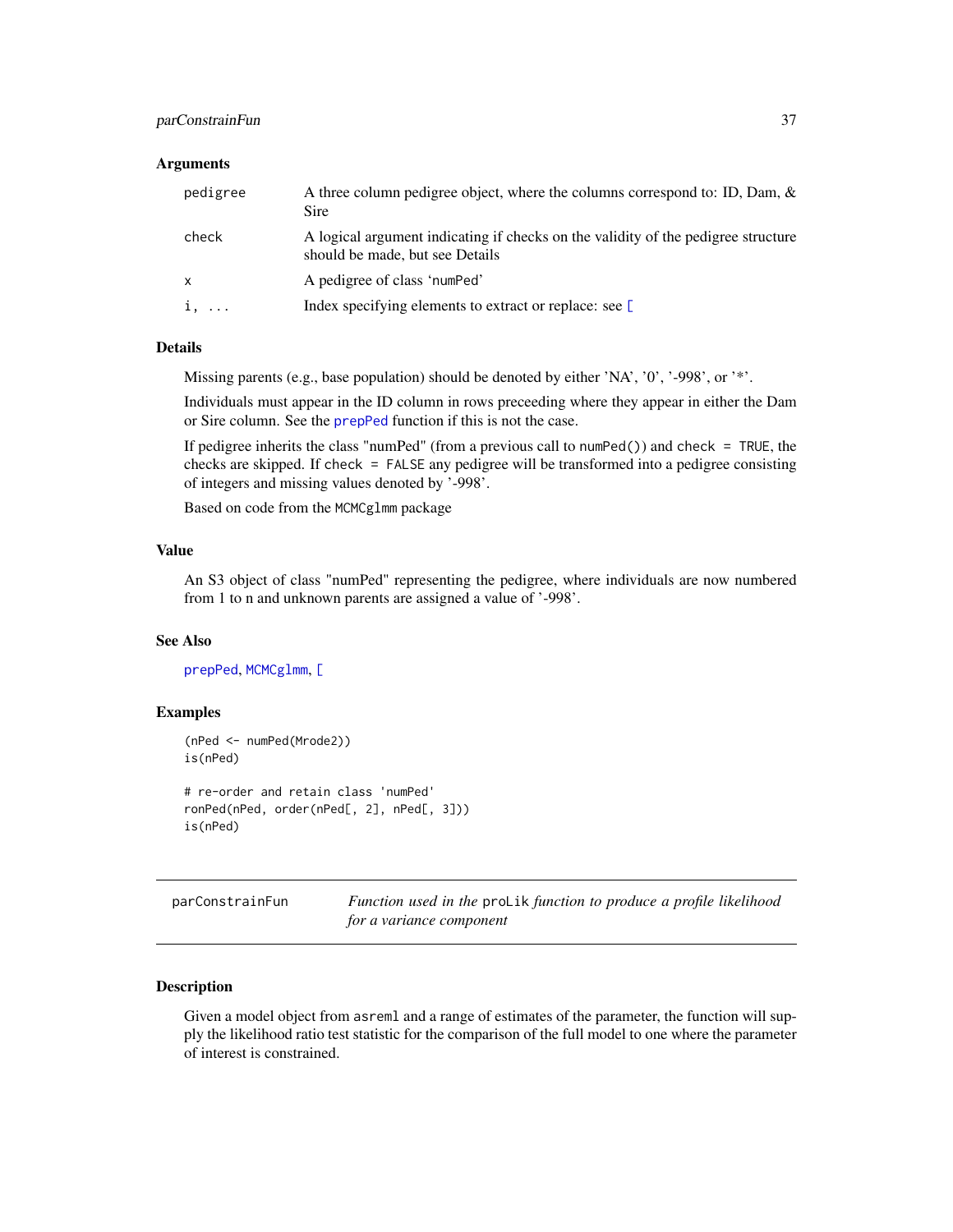#### <span id="page-36-0"></span>parConstrainFun 37

#### **Arguments**

| pedigree     | A three column pedigree object, where the columns correspond to: ID, Dam, $\&$<br><b>Sire</b>                        |
|--------------|----------------------------------------------------------------------------------------------------------------------|
| check        | A logical argument indicating if checks on the validity of the pedigree structure<br>should be made, but see Details |
| $\mathsf{x}$ | A pedigree of class 'numPed'                                                                                         |
| $i, \ldots$  | Index specifying elements to extract or replace: see [                                                               |

#### Details

Missing parents (e.g., base population) should be denoted by either 'NA', '0', '-998', or '\*'.

Individuals must appear in the ID column in rows preceeding where they appear in either the Dam or Sire column. See the [prepPed](#page-39-1) function if this is not the case.

If pedigree inherits the class "numPed" (from a previous call to numPed()) and check =  $TRUE$ , the checks are skipped. If check = FALSE any pedigree will be transformed into a pedigree consisting of integers and missing values denoted by '-998'.

Based on code from the MCMCglmm package

#### Value

An S3 object of class "numPed" representing the pedigree, where individuals are now numbered from 1 to n and unknown parents are assigned a value of '-998'.

#### See Also

[prepPed](#page-39-1), [MCMCglmm](#page-0-0), [\[](#page-0-0)

#### Examples

```
(nPed <- numPed(Mrode2))
is(nPed)
# re-order and retain class 'numPed'
ronPed(nPed, order(nPed[, 2], nPed[, 3]))
is(nPed)
```
parConstrainFun *Function used in the* proLik *function to produce a profile likelihood for a variance component*

#### **Description**

Given a model object from asreml and a range of estimates of the parameter, the function will supply the likelihood ratio test statistic for the comparison of the full model to one where the parameter of interest is constrained.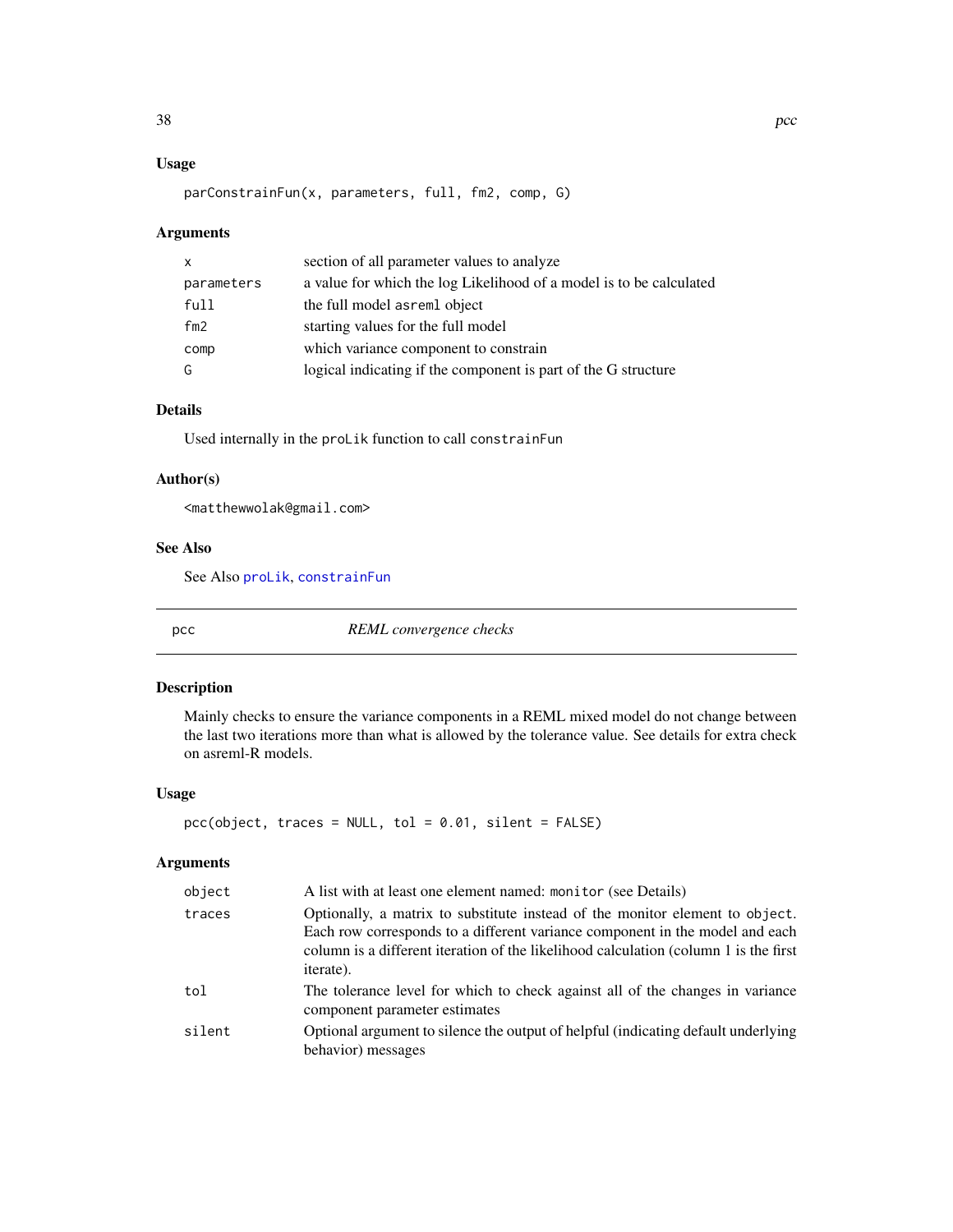#### <span id="page-37-0"></span>Usage

```
parConstrainFun(x, parameters, full, fm2, comp, G)
```
#### Arguments

| $\mathsf{x}$ | section of all parameter values to analyze                          |
|--------------|---------------------------------------------------------------------|
| parameters   | a value for which the log Likelihood of a model is to be calculated |
| full         | the full model as reml object                                       |
| fm2          | starting values for the full model                                  |
| comp         | which variance component to constrain                               |
| G            | logical indicating if the component is part of the G structure      |

### Details

Used internally in the proLik function to call constrainFun

#### Author(s)

<matthewwolak@gmail.com>

#### See Also

See Also [proLik](#page-41-1), [constrainFun](#page-6-1)

pcc *REML convergence checks*

#### Description

Mainly checks to ensure the variance components in a REML mixed model do not change between the last two iterations more than what is allowed by the tolerance value. See details for extra check on asreml-R models.

#### Usage

```
pcc(object, traces = NULL, tol = 0.01, silent = FALSE)
```
#### Arguments

| object | A list with at least one element named: monitor (see Details)                                                                                                                                                                                                     |
|--------|-------------------------------------------------------------------------------------------------------------------------------------------------------------------------------------------------------------------------------------------------------------------|
| traces | Optionally, a matrix to substitute instead of the monitor element to object.<br>Each row corresponds to a different variance component in the model and each<br>column is a different iteration of the likelihood calculation (column 1 is the first<br>iterate). |
| tol    | The tolerance level for which to check against all of the changes in variance<br>component parameter estimates                                                                                                                                                    |
| silent | Optional argument to silence the output of helpful (indicating default underlying<br>behavior) messages                                                                                                                                                           |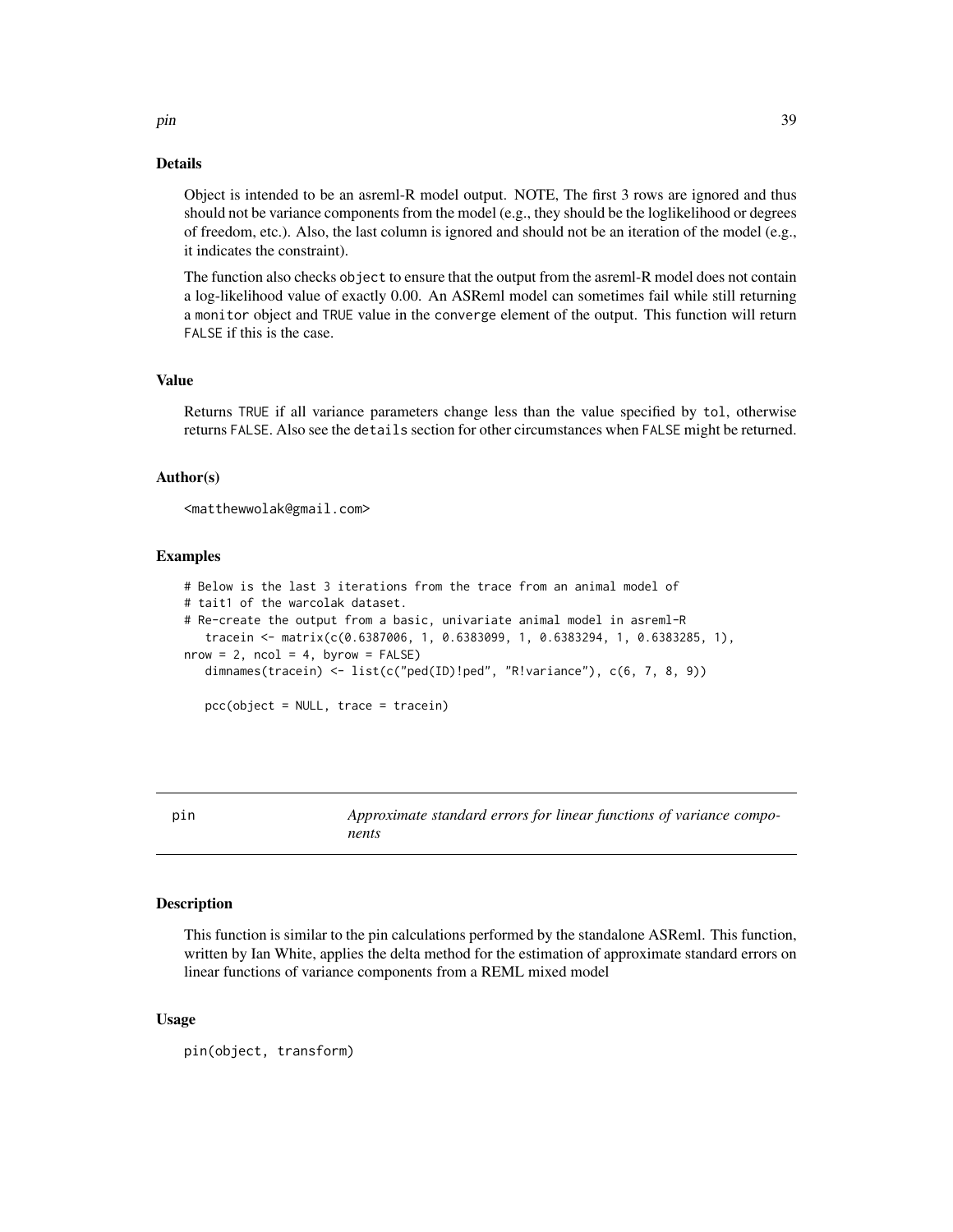#### Details

Object is intended to be an asreml-R model output. NOTE, The first 3 rows are ignored and thus should not be variance components from the model (e.g., they should be the loglikelihood or degrees of freedom, etc.). Also, the last column is ignored and should not be an iteration of the model (e.g., it indicates the constraint).

The function also checks object to ensure that the output from the asreml-R model does not contain a log-likelihood value of exactly 0.00. An ASReml model can sometimes fail while still returning a monitor object and TRUE value in the converge element of the output. This function will return FALSE if this is the case.

#### Value

Returns TRUE if all variance parameters change less than the value specified by tol, otherwise returns FALSE. Also see the details section for other circumstances when FALSE might be returned.

#### Author(s)

<matthewwolak@gmail.com>

#### Examples

```
# Below is the last 3 iterations from the trace from an animal model of
# tait1 of the warcolak dataset.
# Re-create the output from a basic, univariate animal model in asreml-R
  tracein <- matrix(c(0.6387006, 1, 0.6383099, 1, 0.6383294, 1, 0.6383285, 1),
nrow = 2, ncol = 4, byrow = FALSE)
  dimnames(tracein) <- list(c("ped(ID)!ped", "R!variance"), c(6, 7, 8, 9))
  pcc(object = NULL, trace = tracein)
```

| pin | Approximate standard errors for linear functions of variance compo- |
|-----|---------------------------------------------------------------------|
|     | nents                                                               |

#### Description

This function is similar to the pin calculations performed by the standalone ASReml. This function, written by Ian White, applies the delta method for the estimation of approximate standard errors on linear functions of variance components from a REML mixed model

#### Usage

pin(object, transform)

<span id="page-38-0"></span>pin 39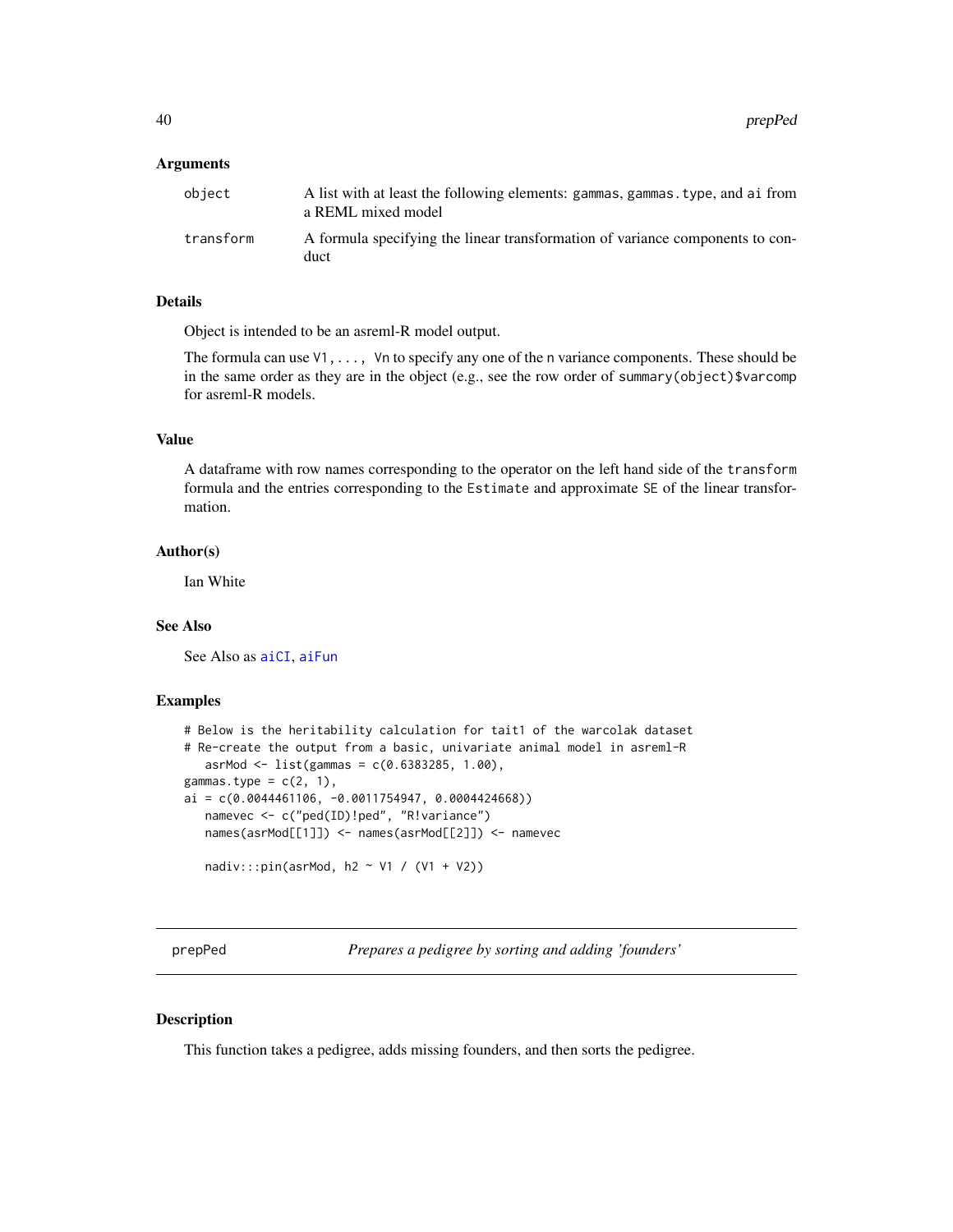#### <span id="page-39-0"></span>Arguments

| object    | A list with at least the following elements: gammas, gammas. type, and ai from<br>a REML mixed model |
|-----------|------------------------------------------------------------------------------------------------------|
| transform | A formula specifying the linear transformation of variance components to con-<br>duct                |

#### Details

Object is intended to be an asreml-R model output.

The formula can use V1,..., Vn to specify any one of the n variance components. These should be in the same order as they are in the object (e.g., see the row order of summary(object)\$varcomp for asreml-R models.

#### Value

A dataframe with row names corresponding to the operator on the left hand side of the transform formula and the entries corresponding to the Estimate and approximate SE of the linear transformation.

#### Author(s)

Ian White

#### See Also

See Also as [aiCI](#page-3-1), [aiFun](#page-4-1)

#### Examples

```
# Below is the heritability calculation for tait1 of the warcolak dataset
# Re-create the output from a basic, univariate animal model in asreml-R
  asrMod \leftarrow list(gammas = c(0.6383285, 1.00),gammas.type = c(2, 1),
ai = c(0.0044461106, -0.0011754947, 0.0004424668))namevec <- c("ped(ID)!ped", "R!variance")
  names(asrMod[[1]]) <- names(asrMod[[2]]) <- namevec
  nadiv:::pin(asrMod, h2 ~ V1 / (V1 + V2))
```
<span id="page-39-1"></span>prepPed *Prepares a pedigree by sorting and adding 'founders'*

#### Description

This function takes a pedigree, adds missing founders, and then sorts the pedigree.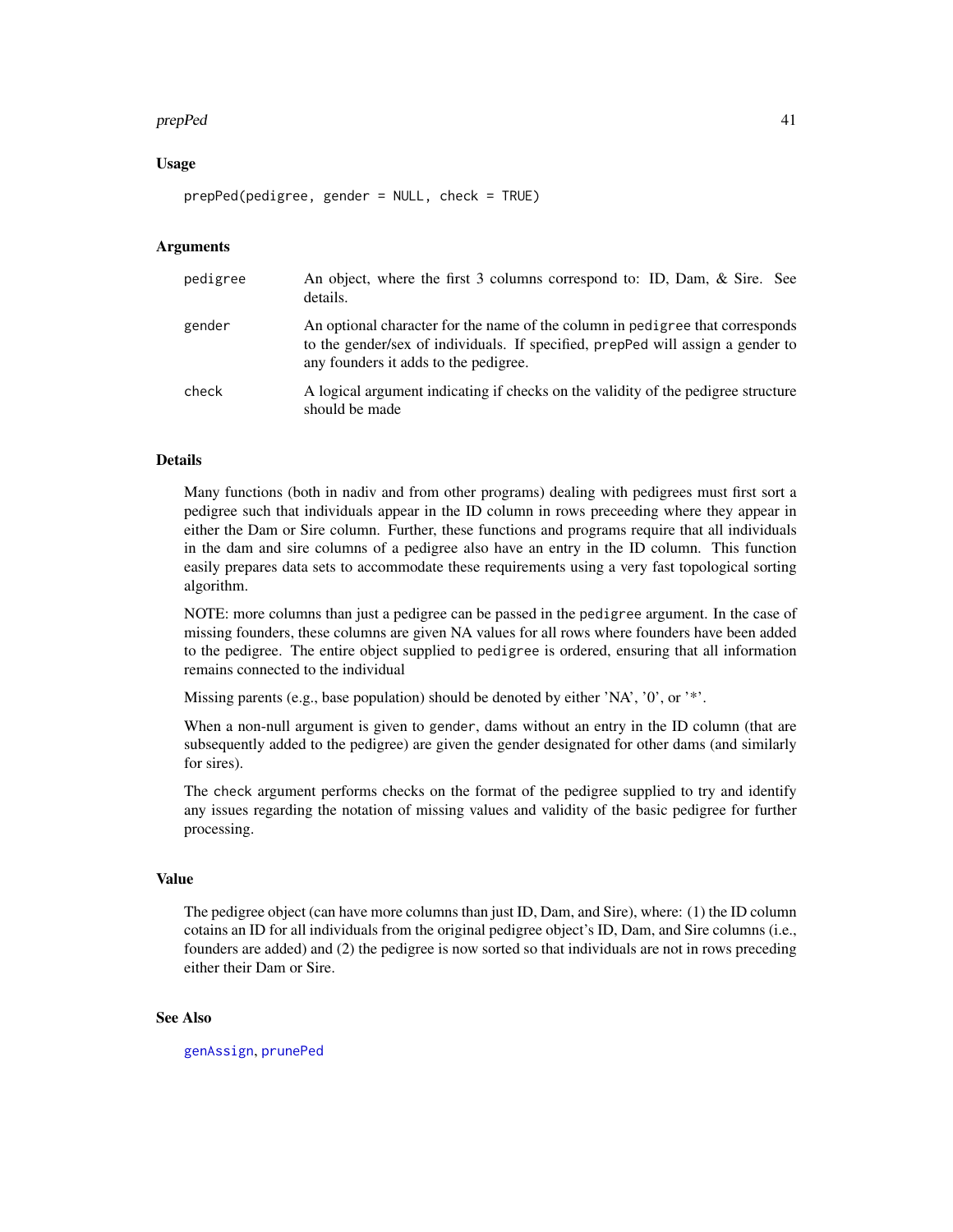#### <span id="page-40-0"></span>prepPed 41

#### Usage

prepPed(pedigree, gender = NULL, check = TRUE)

#### **Arguments**

| pedigree | An object, where the first 3 columns correspond to: ID, Dam, & Sire. See<br>details.                                                                                                                      |
|----------|-----------------------------------------------------------------------------------------------------------------------------------------------------------------------------------------------------------|
| gender   | An optional character for the name of the column in pedigree that corresponds<br>to the gender/sex of individuals. If specified, prepPed will assign a gender to<br>any founders it adds to the pedigree. |
| check    | A logical argument indicating if checks on the validity of the pedigree structure<br>should be made                                                                                                       |

#### Details

Many functions (both in nadiv and from other programs) dealing with pedigrees must first sort a pedigree such that individuals appear in the ID column in rows preceeding where they appear in either the Dam or Sire column. Further, these functions and programs require that all individuals in the dam and sire columns of a pedigree also have an entry in the ID column. This function easily prepares data sets to accommodate these requirements using a very fast topological sorting algorithm.

NOTE: more columns than just a pedigree can be passed in the pedigree argument. In the case of missing founders, these columns are given NA values for all rows where founders have been added to the pedigree. The entire object supplied to pedigree is ordered, ensuring that all information remains connected to the individual

Missing parents (e.g., base population) should be denoted by either 'NA', '0', or '\*'.

When a non-null argument is given to gender, dams without an entry in the ID column (that are subsequently added to the pedigree) are given the gender designated for other dams (and similarly for sires).

The check argument performs checks on the format of the pedigree supplied to try and identify any issues regarding the notation of missing values and validity of the basic pedigree for further processing.

#### Value

The pedigree object (can have more columns than just ID, Dam, and Sire), where: (1) the ID column cotains an ID for all individuals from the original pedigree object's ID, Dam, and Sire columns (i.e., founders are added) and (2) the pedigree is now sorted so that individuals are not in rows preceding either their Dam or Sire.

#### See Also

[genAssign](#page-12-2), [prunePed](#page-43-1)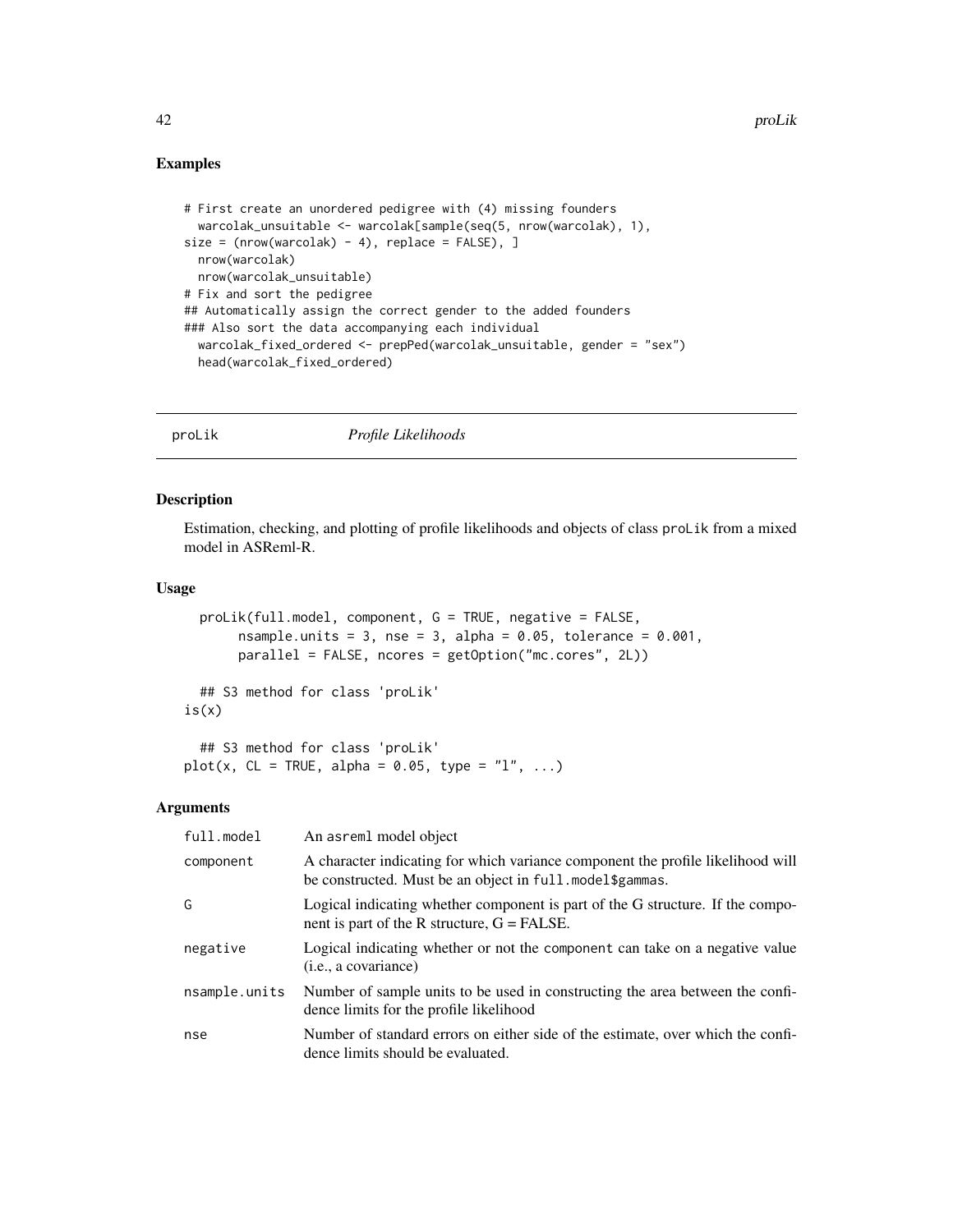#### Examples

```
# First create an unordered pedigree with (4) missing founders
  warcolak_unsuitable <- warcolak[sample(seq(5, nrow(warcolak), 1),
size = (nrow(warcolak) - 4), replace = FALSE),]
  nrow(warcolak)
  nrow(warcolak_unsuitable)
# Fix and sort the pedigree
## Automatically assign the correct gender to the added founders
### Also sort the data accompanying each individual
  warcolak_fixed_ordered <- prepPed(warcolak_unsuitable, gender = "sex")
  head(warcolak_fixed_ordered)
```
<span id="page-41-1"></span>

proLik *Profile Likelihoods*

#### Description

Estimation, checking, and plotting of profile likelihoods and objects of class proLik from a mixed model in ASReml-R.

#### Usage

```
proLik(full.model, component, G = TRUE, negative = FALSE,
       nsample.units = 3, nse = 3, alpha = 0.05, tolerance = 0.001,
       parallel = FALSE, ncores = getOption("mc.cores", 2L))
 ## S3 method for class 'proLik'
is(x)
 ## S3 method for class 'proLik'
plot(x, CL = TRUE, alpha = 0.05, type = "l", ...)
```
#### Arguments

| full.model    | An asreml model object                                                                                                                       |
|---------------|----------------------------------------------------------------------------------------------------------------------------------------------|
| component     | A character indicating for which variance component the profile likelihood will<br>be constructed. Must be an object in full. model\$gammas. |
| G             | Logical indicating whether component is part of the G structure. If the compo-<br>nent is part of the R structure, $G = FALSE$ .             |
| negative      | Logical indicating whether or not the component can take on a negative value<br>( <i>i.e.</i> , a covariance)                                |
| nsample.units | Number of sample units to be used in constructing the area between the confi-<br>dence limits for the profile likelihood                     |
| nse           | Number of standard errors on either side of the estimate, over which the confi-<br>dence limits should be evaluated.                         |

<span id="page-41-0"></span>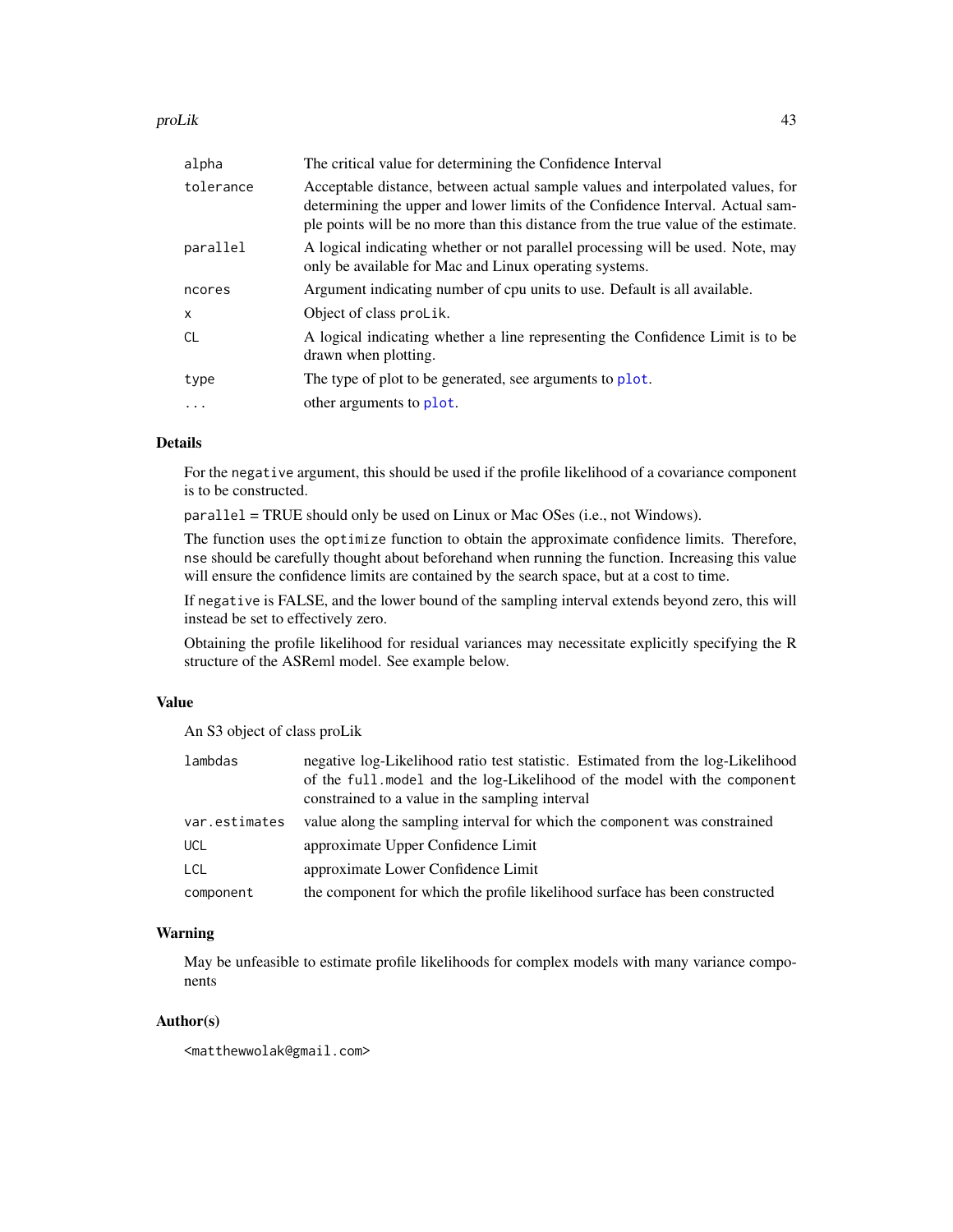#### <span id="page-42-0"></span>proLik 43

| alpha         | The critical value for determining the Confidence Interval                                                                                                                                                                                             |
|---------------|--------------------------------------------------------------------------------------------------------------------------------------------------------------------------------------------------------------------------------------------------------|
| tolerance     | Acceptable distance, between actual sample values and interpolated values, for<br>determining the upper and lower limits of the Confidence Interval. Actual sam-<br>ple points will be no more than this distance from the true value of the estimate. |
| parallel      | A logical indicating whether or not parallel processing will be used. Note, may<br>only be available for Mac and Linux operating systems.                                                                                                              |
| ncores        | Argument indicating number of cpu units to use. Default is all available.                                                                                                                                                                              |
| $\mathsf{x}$  | Object of class proLik.                                                                                                                                                                                                                                |
| <sub>CL</sub> | A logical indicating whether a line representing the Confidence Limit is to be<br>drawn when plotting.                                                                                                                                                 |
| type          | The type of plot to be generated, see arguments to plot.                                                                                                                                                                                               |
| $\ddots$      | other arguments to plot.                                                                                                                                                                                                                               |

#### Details

For the negative argument, this should be used if the profile likelihood of a covariance component is to be constructed.

parallel = TRUE should only be used on Linux or Mac OSes (i.e., not Windows).

The function uses the optimize function to obtain the approximate confidence limits. Therefore, nse should be carefully thought about beforehand when running the function. Increasing this value will ensure the confidence limits are contained by the search space, but at a cost to time.

If negative is FALSE, and the lower bound of the sampling interval extends beyond zero, this will instead be set to effectively zero.

Obtaining the profile likelihood for residual variances may necessitate explicitly specifying the R structure of the ASReml model. See example below.

#### Value

An S3 object of class proLik

| lambdas       | negative log-Likelihood ratio test statistic. Estimated from the log-Likelihood<br>of the full.model and the log-Likelihood of the model with the component<br>constrained to a value in the sampling interval |
|---------------|----------------------------------------------------------------------------------------------------------------------------------------------------------------------------------------------------------------|
| var.estimates | value along the sampling interval for which the component was constrained                                                                                                                                      |
| <b>UCL</b>    | approximate Upper Confidence Limit                                                                                                                                                                             |
| LCL           | approximate Lower Confidence Limit                                                                                                                                                                             |
| component     | the component for which the profile likelihood surface has been constructed                                                                                                                                    |

#### Warning

May be unfeasible to estimate profile likelihoods for complex models with many variance components

#### Author(s)

<matthewwolak@gmail.com>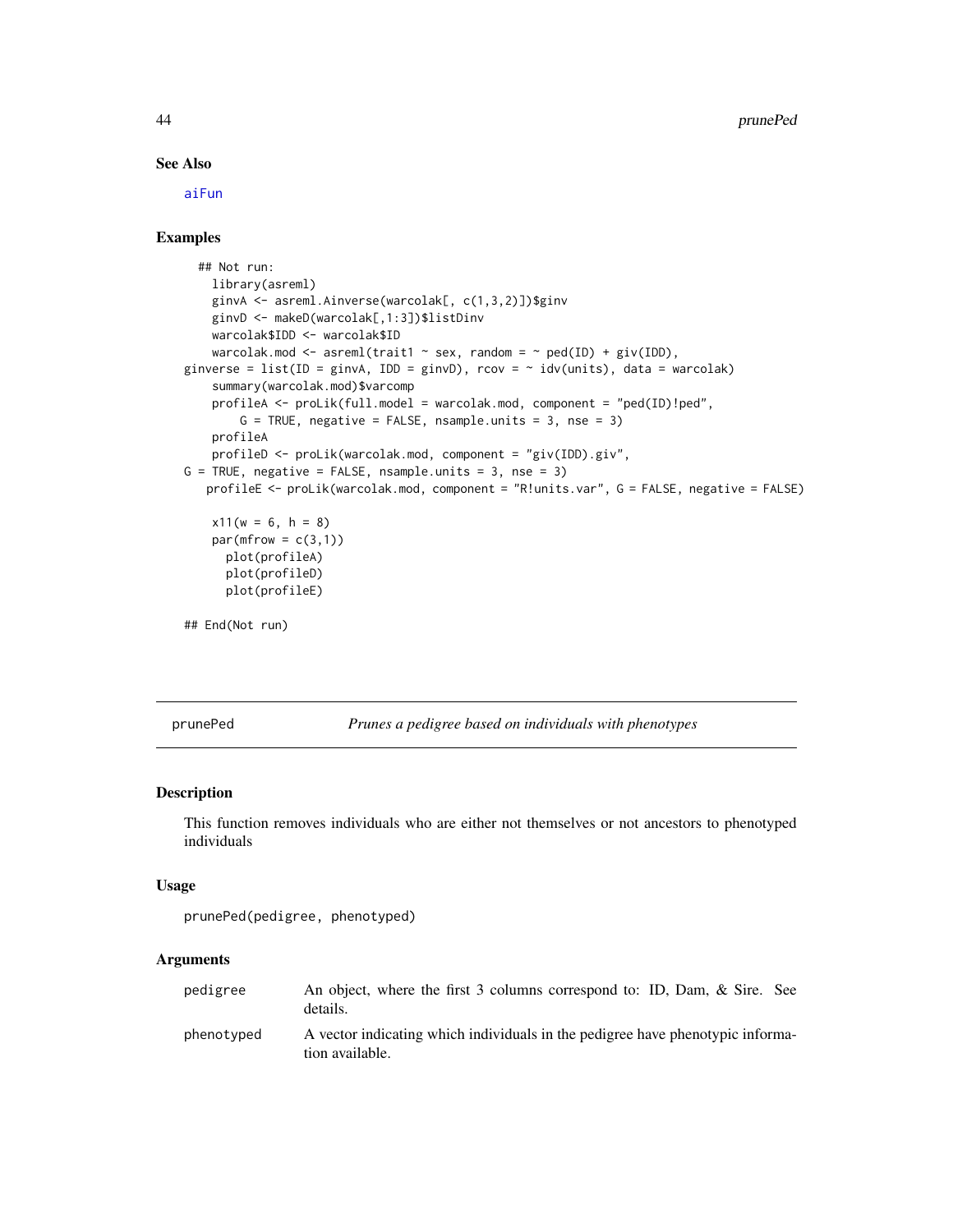#### See Also

[aiFun](#page-4-1)

#### Examples

```
## Not run:
   library(asreml)
   ginvA <- asreml.Ainverse(warcolak[, c(1,3,2)])$ginv
   ginvD <- makeD(warcolak[,1:3])$listDinv
   warcolak$IDD <- warcolak$ID
   warcolak.mod <- asreml(trait1 \sim sex, random = \sim ped(ID) + giv(IDD),
ginverse = list(ID = ginvA, IDD = ginvD), rcov = \sim idv(units), data = warcolak)
    summary(warcolak.mod)$varcomp
   profileA <- proLik(full.model = warcolak.mod, component = "ped(ID)!ped",
        G = TRUE, negative = FALSE, nsample.units = 3, nse = 3)
   profileA
   profileD <- proLik(warcolak.mod, component = "giv(IDD).giv",
G = TRUE, negative = FALSE, nsample.units = 3, nse = 3)
   profileE <- proLik(warcolak.mod, component = "R!units.var", G = FALSE, negative = FALSE)
   x11(w = 6, h = 8)par(mfrow = c(3,1))plot(profileA)
      plot(profileD)
      plot(profileE)
## End(Not run)
```
<span id="page-43-1"></span>prunePed *Prunes a pedigree based on individuals with phenotypes*

#### Description

This function removes individuals who are either not themselves or not ancestors to phenotyped individuals

#### Usage

```
prunePed(pedigree, phenotyped)
```
#### Arguments

| pedigree   | An object, where the first 3 columns correspond to: ID, Dam, & Sire. See<br>details.              |
|------------|---------------------------------------------------------------------------------------------------|
| phenotyped | A vector indicating which individuals in the pedigree have phenotypic informa-<br>tion available. |

<span id="page-43-0"></span>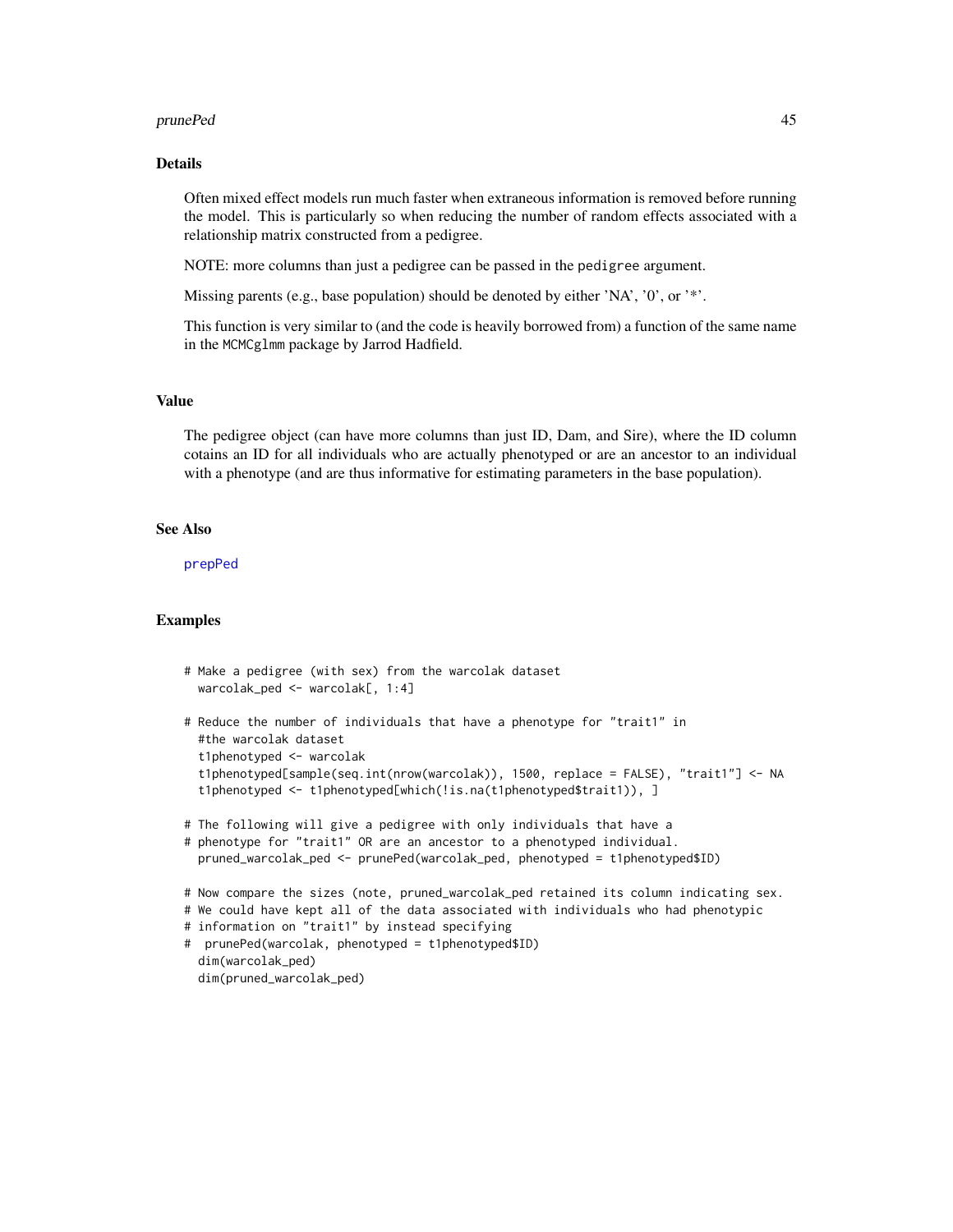#### <span id="page-44-0"></span>prunePed 45

#### Details

Often mixed effect models run much faster when extraneous information is removed before running the model. This is particularly so when reducing the number of random effects associated with a relationship matrix constructed from a pedigree.

NOTE: more columns than just a pedigree can be passed in the pedigree argument.

Missing parents (e.g., base population) should be denoted by either 'NA', '0', or '\*'.

This function is very similar to (and the code is heavily borrowed from) a function of the same name in the MCMCglmm package by Jarrod Hadfield.

#### Value

The pedigree object (can have more columns than just ID, Dam, and Sire), where the ID column cotains an ID for all individuals who are actually phenotyped or are an ancestor to an individual with a phenotype (and are thus informative for estimating parameters in the base population).

#### See Also

[prepPed](#page-39-1)

#### Examples

```
# Make a pedigree (with sex) from the warcolak dataset
 warcolak_ped <- warcolak[, 1:4]
# Reduce the number of individuals that have a phenotype for "trait1" in
 #the warcolak dataset
 t1phenotyped <- warcolak
 t1phenotyped[sample(seq.int(nrow(warcolak)), 1500, replace = FALSE), "trait1"] <- NA
 t1phenotyped <- t1phenotyped[which(!is.na(t1phenotyped$trait1)), ]
# The following will give a pedigree with only individuals that have a
# phenotype for "trait1" OR are an ancestor to a phenotyped individual.
 pruned_warcolak_ped <- prunePed(warcolak_ped, phenotyped = t1phenotyped$ID)
# Now compare the sizes (note, pruned_warcolak_ped retained its column indicating sex.
# We could have kept all of the data associated with individuals who had phenotypic
# information on "trait1" by instead specifying
# prunePed(warcolak, phenotyped = t1phenotyped$ID)
 dim(warcolak_ped)
 dim(pruned_warcolak_ped)
```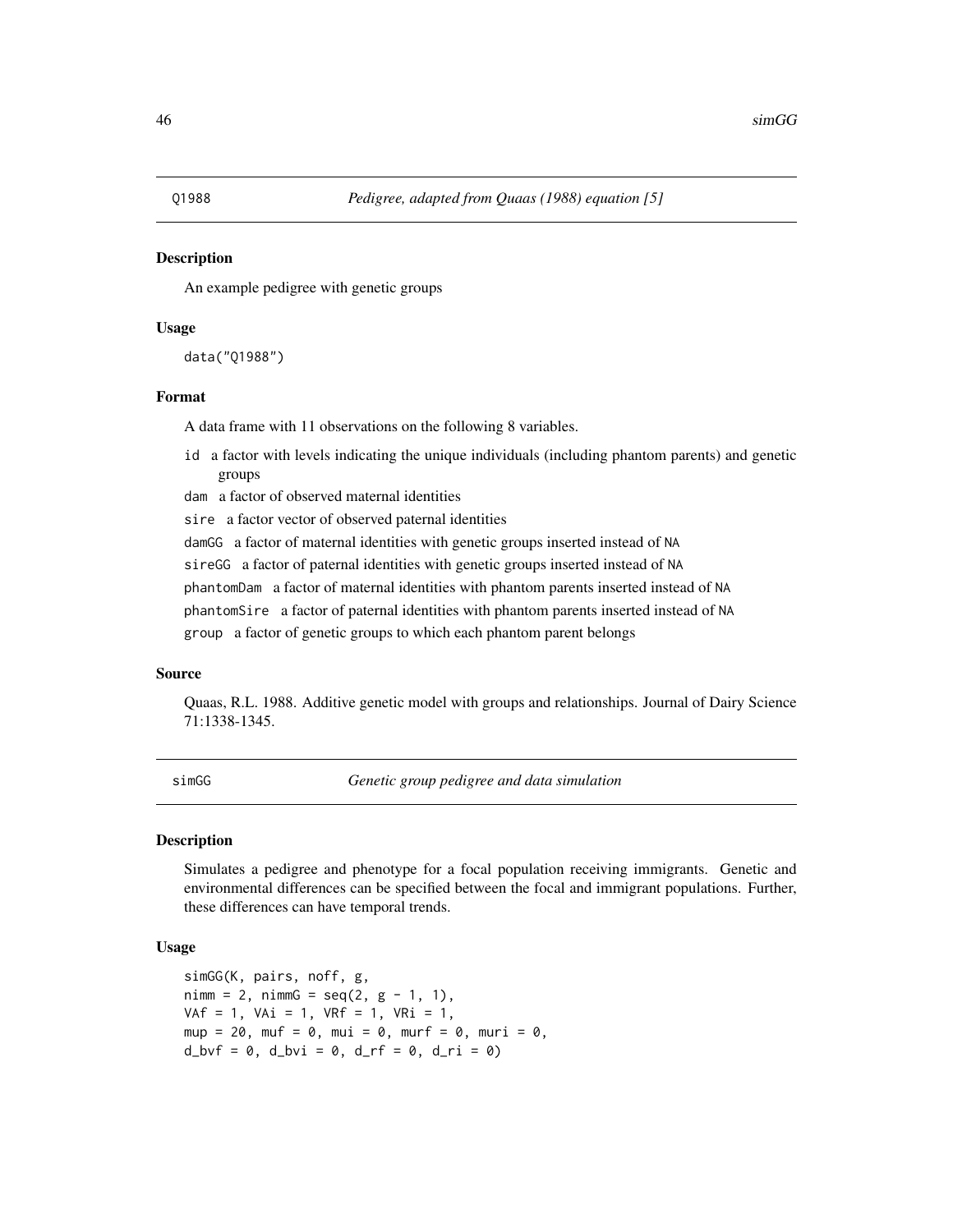<span id="page-45-0"></span>

#### **Description**

An example pedigree with genetic groups

#### Usage

data("Q1988")

#### Format

A data frame with 11 observations on the following 8 variables.

id a factor with levels indicating the unique individuals (including phantom parents) and genetic groups

dam a factor of observed maternal identities

sire a factor vector of observed paternal identities

damGG a factor of maternal identities with genetic groups inserted instead of NA

sireGG a factor of paternal identities with genetic groups inserted instead of NA

phantomDam a factor of maternal identities with phantom parents inserted instead of NA

phantomSire a factor of paternal identities with phantom parents inserted instead of NA

group a factor of genetic groups to which each phantom parent belongs

#### Source

Quaas, R.L. 1988. Additive genetic model with groups and relationships. Journal of Dairy Science 71:1338-1345.

<span id="page-45-1"></span>simGG *Genetic group pedigree and data simulation*

#### **Description**

Simulates a pedigree and phenotype for a focal population receiving immigrants. Genetic and environmental differences can be specified between the focal and immigrant populations. Further, these differences can have temporal trends.

#### Usage

```
simGG(K, pairs, noff, g,
nimm = 2, nimMG = seq(2, g - 1, 1),
VAF = 1, VAi = 1, VRF = 1, VRi = 1,
mup = 20, muf = 0, mui = 0, murf = 0, muri = 0,
d_bvf = 0, d_bvi = 0, d_rf = 0, d_fvi = 0
```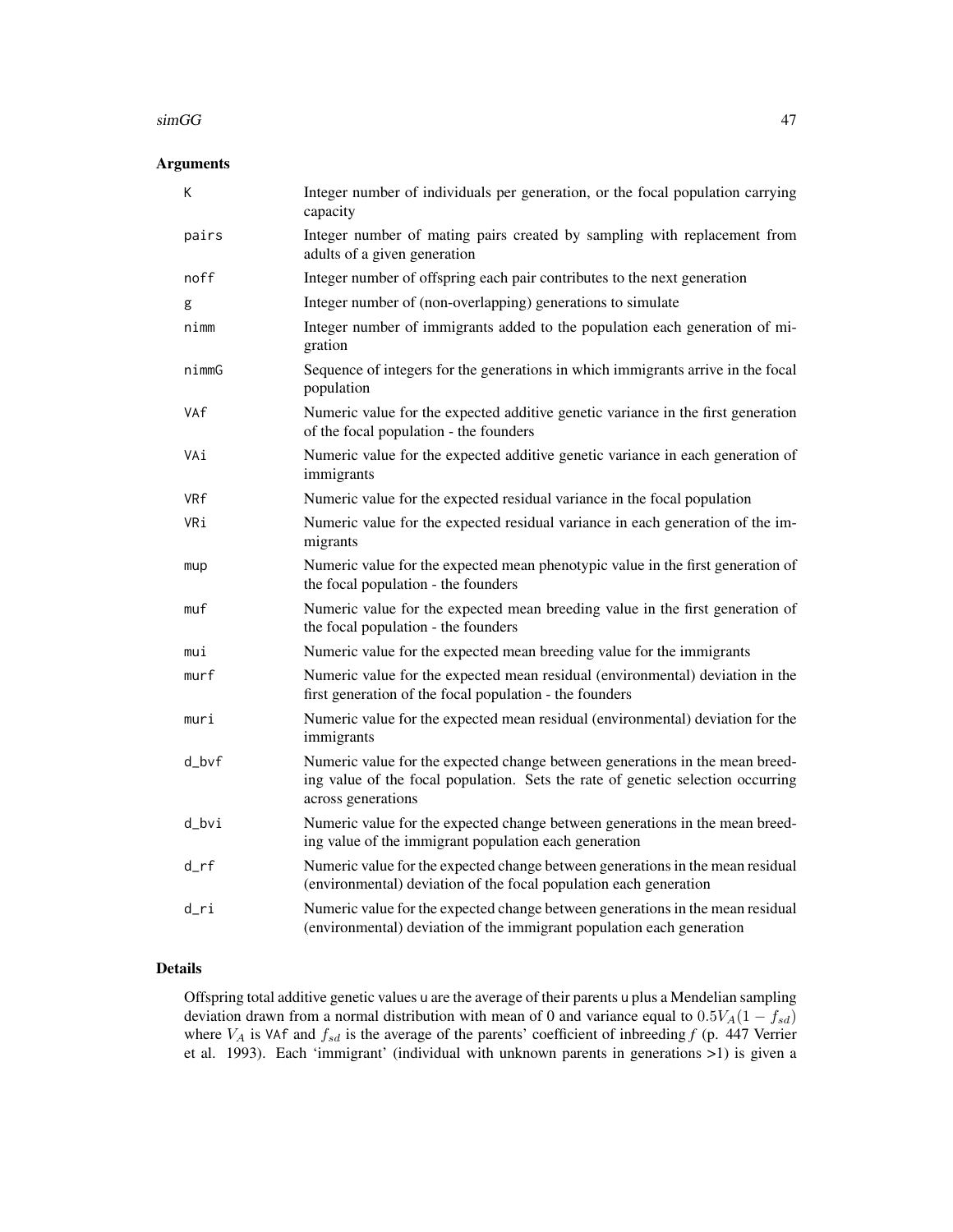#### $\mathbf{s}$ imGG 47

#### Arguments

| К          | Integer number of individuals per generation, or the focal population carrying<br>capacity                                                                                            |
|------------|---------------------------------------------------------------------------------------------------------------------------------------------------------------------------------------|
| pairs      | Integer number of mating pairs created by sampling with replacement from<br>adults of a given generation                                                                              |
| noff       | Integer number of offspring each pair contributes to the next generation                                                                                                              |
| g          | Integer number of (non-overlapping) generations to simulate                                                                                                                           |
| nimm       | Integer number of immigrants added to the population each generation of mi-<br>gration                                                                                                |
| nimG       | Sequence of integers for the generations in which immigrants arrive in the focal<br>population                                                                                        |
| VAf        | Numeric value for the expected additive genetic variance in the first generation<br>of the focal population - the founders                                                            |
| VAi        | Numeric value for the expected additive genetic variance in each generation of<br>immigrants                                                                                          |
| <b>VRf</b> | Numeric value for the expected residual variance in the focal population                                                                                                              |
| VRi        | Numeric value for the expected residual variance in each generation of the im-<br>migrants                                                                                            |
| mup        | Numeric value for the expected mean phenotypic value in the first generation of<br>the focal population - the founders                                                                |
| muf        | Numeric value for the expected mean breeding value in the first generation of<br>the focal population - the founders                                                                  |
| mui        | Numeric value for the expected mean breeding value for the immigrants                                                                                                                 |
| murf       | Numeric value for the expected mean residual (environmental) deviation in the<br>first generation of the focal population - the founders                                              |
| muri       | Numeric value for the expected mean residual (environmental) deviation for the<br>immigrants                                                                                          |
| $d_bvf$    | Numeric value for the expected change between generations in the mean breed-<br>ing value of the focal population. Sets the rate of genetic selection occurring<br>across generations |
| d_bvi      | Numeric value for the expected change between generations in the mean breed-<br>ing value of the immigrant population each generation                                                 |
| $d$ _rf    | Numeric value for the expected change between generations in the mean residual<br>(environmental) deviation of the focal population each generation                                   |
| d_ri       | Numeric value for the expected change between generations in the mean residual<br>(environmental) deviation of the immigrant population each generation                               |

#### Details

Offspring total additive genetic values u are the average of their parents u plus a Mendelian sampling deviation drawn from a normal distribution with mean of 0 and variance equal to  $0.5V_A(1 - f_{sd})$ where  $V_A$  is VAf and  $f_{sd}$  is the average of the parents' coefficient of inbreeding  $f$  (p. 447 Verrier et al. 1993). Each 'immigrant' (individual with unknown parents in generations >1) is given a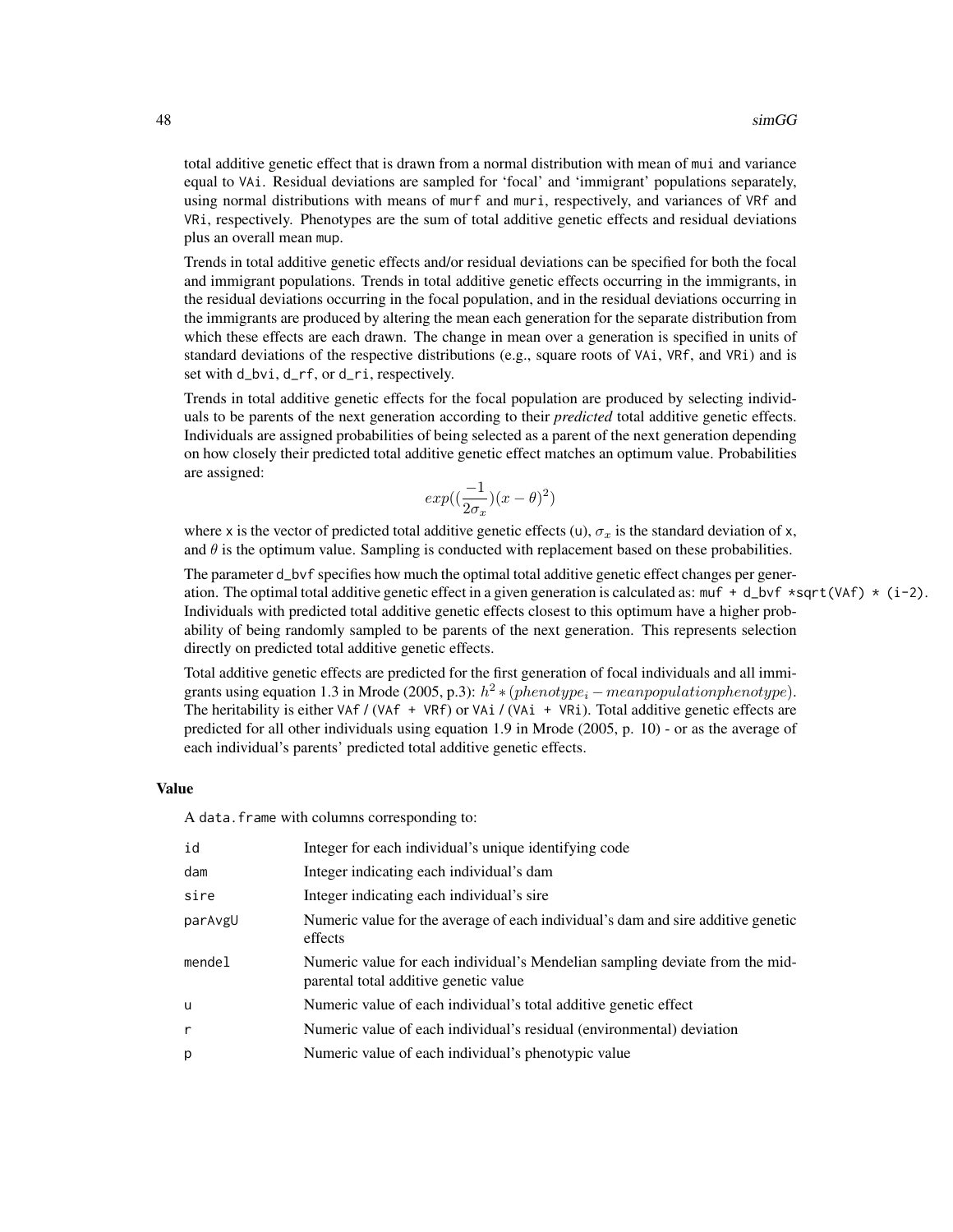total additive genetic effect that is drawn from a normal distribution with mean of mui and variance equal to VAi. Residual deviations are sampled for 'focal' and 'immigrant' populations separately, using normal distributions with means of murf and muri, respectively, and variances of VRf and VRi, respectively. Phenotypes are the sum of total additive genetic effects and residual deviations plus an overall mean mup.

Trends in total additive genetic effects and/or residual deviations can be specified for both the focal and immigrant populations. Trends in total additive genetic effects occurring in the immigrants, in the residual deviations occurring in the focal population, and in the residual deviations occurring in the immigrants are produced by altering the mean each generation for the separate distribution from which these effects are each drawn. The change in mean over a generation is specified in units of standard deviations of the respective distributions (e.g., square roots of VAi, VRf, and VRi) and is set with d\_bvi, d\_rf, or d\_ri, respectively.

Trends in total additive genetic effects for the focal population are produced by selecting individuals to be parents of the next generation according to their *predicted* total additive genetic effects. Individuals are assigned probabilities of being selected as a parent of the next generation depending on how closely their predicted total additive genetic effect matches an optimum value. Probabilities are assigned:

$$
exp((\frac{-1}{2\sigma_x})(x-\theta)^2)
$$

where x is the vector of predicted total additive genetic effects (u),  $\sigma_x$  is the standard deviation of x, and  $\theta$  is the optimum value. Sampling is conducted with replacement based on these probabilities.

The parameter d\_bvf specifies how much the optimal total additive genetic effect changes per generation. The optimal total additive genetic effect in a given generation is calculated as:  $muf + d_bvf * sqrt(VAf) * (i-2)$ . Individuals with predicted total additive genetic effects closest to this optimum have a higher probability of being randomly sampled to be parents of the next generation. This represents selection directly on predicted total additive genetic effects.

Total additive genetic effects are predicted for the first generation of focal individuals and all immigrants using equation 1.3 in Mrode (2005, p.3):  $h^2 * (phenotype_i - mean population phenotype)$ . The heritability is either VAf / (VAf + VRf) or VAi / (VAi + VRi). Total additive genetic effects are predicted for all other individuals using equation 1.9 in Mrode (2005, p. 10) - or as the average of each individual's parents' predicted total additive genetic effects.

#### Value

A data.frame with columns corresponding to:

| id      | Integer for each individual's unique identifying code                                                                 |
|---------|-----------------------------------------------------------------------------------------------------------------------|
| dam     | Integer indicating each individual's dam                                                                              |
| sire    | Integer indicating each individual's sire.                                                                            |
| parAvgU | Numeric value for the average of each individual's dam and sire additive genetic<br>effects                           |
| mendel  | Numeric value for each individual's Mendelian sampling deviate from the mid-<br>parental total additive genetic value |
| u       | Numeric value of each individual's total additive genetic effect                                                      |
| r       | Numeric value of each individual's residual (environmental) deviation                                                 |
| р       | Numeric value of each individual's phenotypic value                                                                   |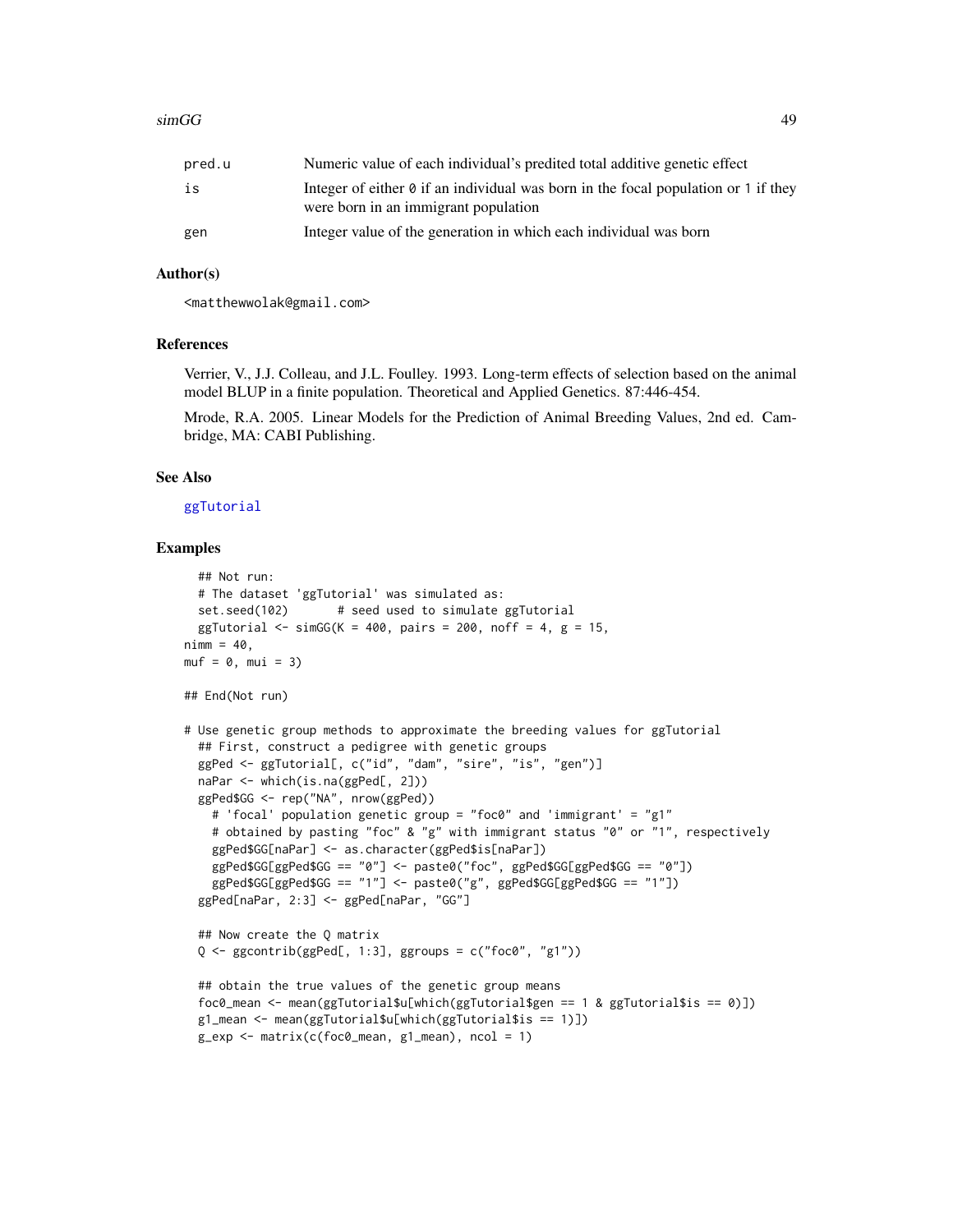#### <span id="page-48-0"></span> $\text{simGG}$  and  $\text{simGG}$  and  $\text{simGG}$  and  $\text{simGG}$  and  $\text{simGG}$  and  $\text{simGG}$  and  $\text{simGG}$  and  $\text{simGG}$  and  $\text{simGG}$  and  $\text{simGG}$  and  $\text{simGG}$  and  $\text{simGG}$  and  $\text{simGG}$  and  $\text{simGG}$  and  $\text{simGG}$  and  $\text{simGG}$  and  $\text{simGG}$  and

#### Author(s)

<matthewwolak@gmail.com>

#### References

Verrier, V., J.J. Colleau, and J.L. Foulley. 1993. Long-term effects of selection based on the animal model BLUP in a finite population. Theoretical and Applied Genetics. 87:446-454.

Mrode, R.A. 2005. Linear Models for the Prediction of Animal Breeding Values, 2nd ed. Cambridge, MA: CABI Publishing.

#### See Also

#### [ggTutorial](#page-15-1)

#### Examples

```
## Not run:
 # The dataset 'ggTutorial' was simulated as:
 set.seed(102) # seed used to simulate ggTutorial
 ggTutorial \le simGG(K = 400, pairs = 200, noff = 4, g = 15,
nimm = 40,
muf = 0, mui = 3)
## End(Not run)
# Use genetic group methods to approximate the breeding values for ggTutorial
 ## First, construct a pedigree with genetic groups
 ggPed <- ggTutorial[, c("id", "dam", "sire", "is", "gen")]
 naPar <- which(is.na(ggPed[, 2]))
 ggPed$GG <- rep("NA", nrow(ggPed))
    # 'focal' population genetic group = "foc0" and 'immigrant' = "g1"
   # obtained by pasting "foc" & "g" with immigrant status "0" or "1", respectively
   ggPed$GG[naPar] <- as.character(ggPed$is[naPar])
   ggPed$GG[ggPed$GG == "0"] <- paste0("foc", ggPed$GG[ggPed$GG == "0"])
   ggPed$GG[ggPed$GG == "1"] <- paste0("g", ggPed$GG[ggPed$GG == "1"])
 ggPed[naPar, 2:3] <- ggPed[naPar, "GG"]
 ## Now create the Q matrix
 Q \leq gcontrib(ggPed[, 1:3], ggroups = c("foc0", "g1"))
 ## obtain the true values of the genetic group means
 foc0_mean <- mean(ggTutorial$u[which(ggTutorial$gen == 1 & ggTutorial$is == 0)])
 g1_mean <- mean(ggTutorial$u[which(ggTutorial$is == 1)])
 g<sub>exp</sub> \leftarrow matrix(c(foc0_mean, g1<sup>mean</sup>), ncol = 1)
```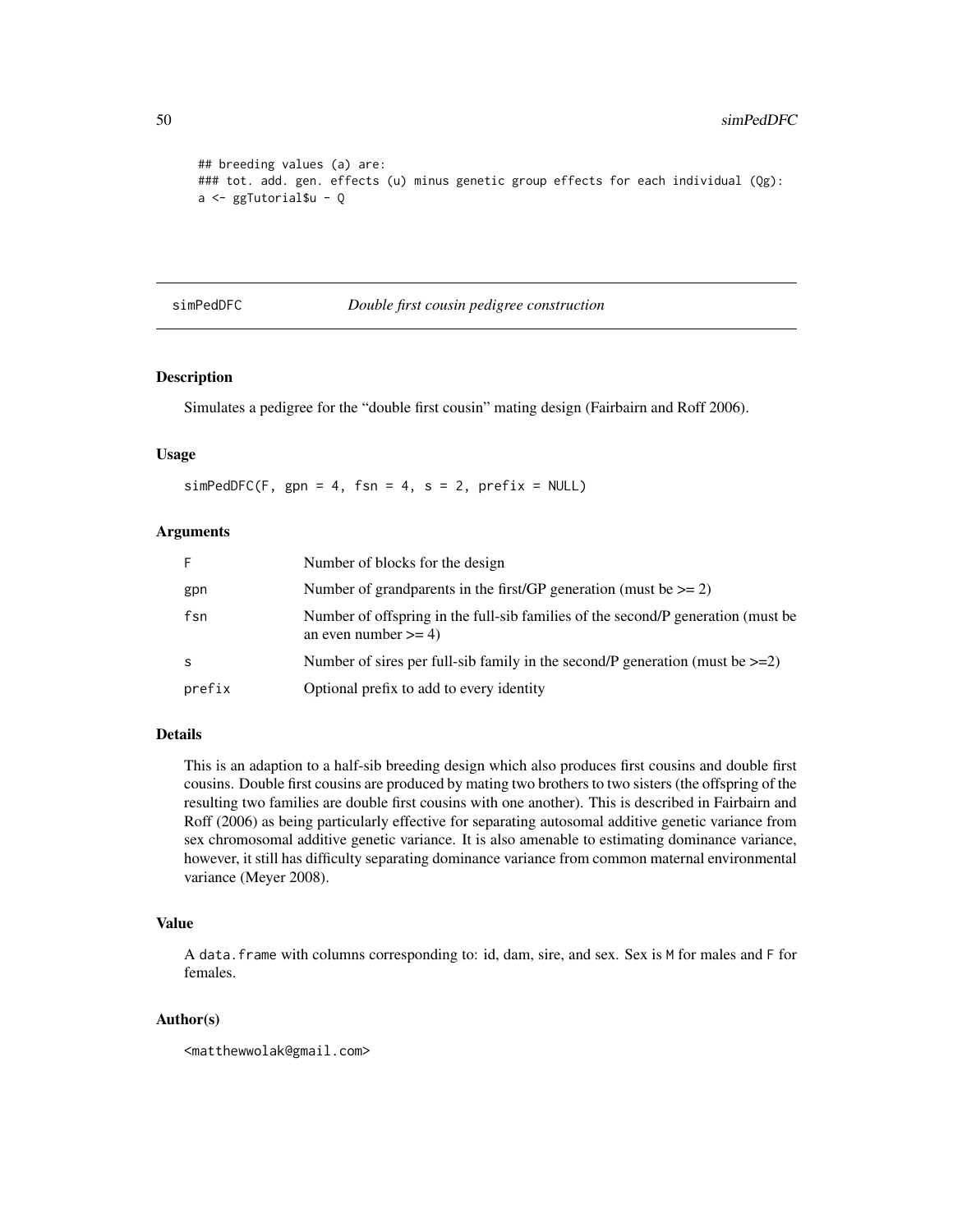```
## breeding values (a) are:
### tot. add. gen. effects (u) minus genetic group effects for each individual (Qg):
a <- ggTutorial$u - Q
```
<span id="page-49-1"></span>simPedDFC *Double first cousin pedigree construction*

#### Description

Simulates a pedigree for the "double first cousin" mating design (Fairbairn and Roff 2006).

#### Usage

 $simPedDFC(F, gpn = 4, fsn = 4, s = 2, prefix = NULL)$ 

#### Arguments

| F.     | Number of blocks for the design                                                                               |
|--------|---------------------------------------------------------------------------------------------------------------|
| gpn    | Number of grandparents in the first/GP generation (must be $\geq$ 2)                                          |
| fsn    | Number of offspring in the full-sib families of the second/P generation (must be<br>an even number $\geq 4$ ) |
| S      | Number of sires per full-sib family in the second/P generation (must be $>=2$ )                               |
| prefix | Optional prefix to add to every identity                                                                      |

#### Details

This is an adaption to a half-sib breeding design which also produces first cousins and double first cousins. Double first cousins are produced by mating two brothers to two sisters (the offspring of the resulting two families are double first cousins with one another). This is described in Fairbairn and Roff (2006) as being particularly effective for separating autosomal additive genetic variance from sex chromosomal additive genetic variance. It is also amenable to estimating dominance variance, however, it still has difficulty separating dominance variance from common maternal environmental variance (Meyer 2008).

#### Value

A data.frame with columns corresponding to: id, dam, sire, and sex. Sex is M for males and F for females.

#### Author(s)

<matthewwolak@gmail.com>

<span id="page-49-0"></span>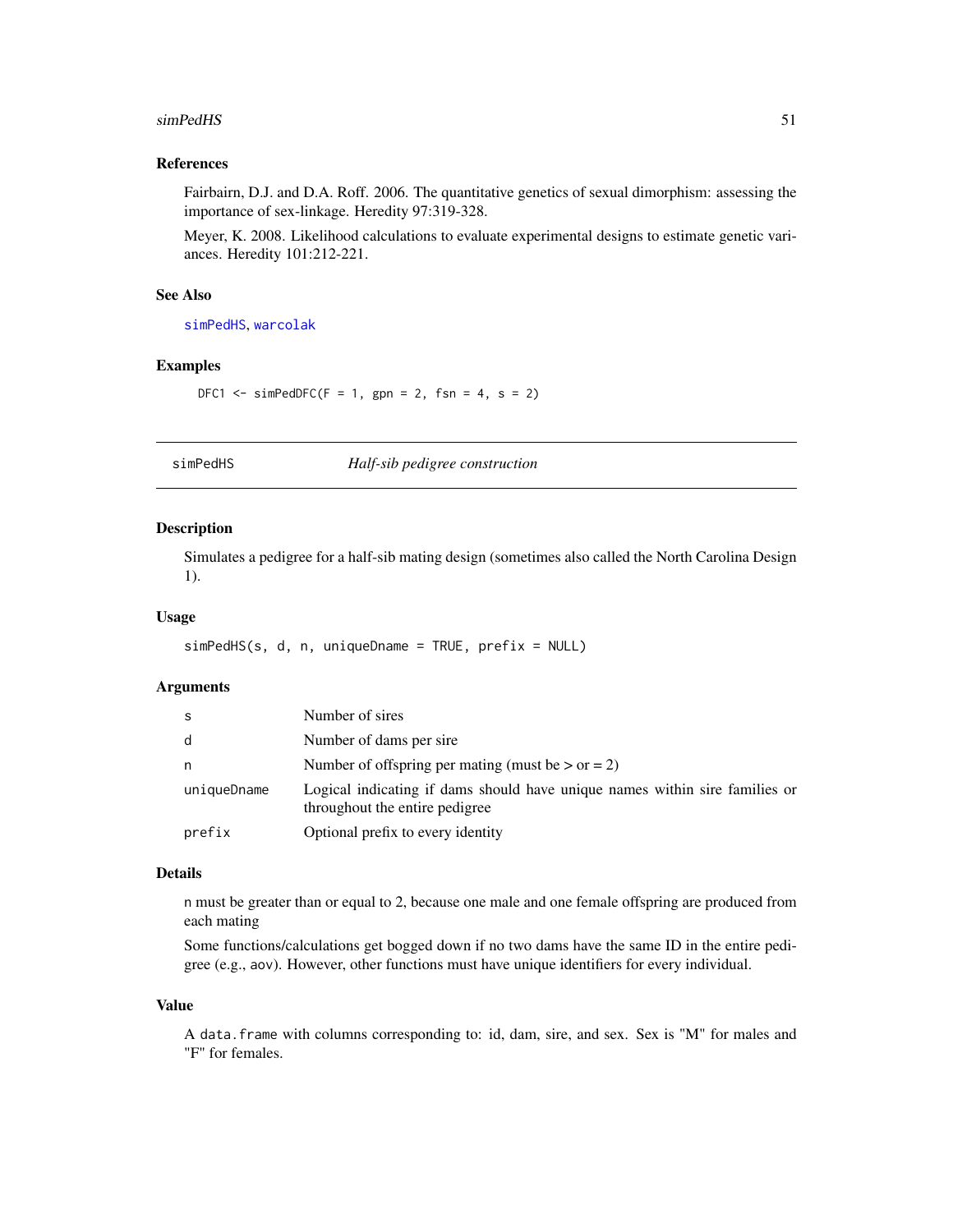#### <span id="page-50-0"></span> $simpleHSS$  51

#### References

Fairbairn, D.J. and D.A. Roff. 2006. The quantitative genetics of sexual dimorphism: assessing the importance of sex-linkage. Heredity 97:319-328.

Meyer, K. 2008. Likelihood calculations to evaluate experimental designs to estimate genetic variances. Heredity 101:212-221.

#### See Also

[simPedHS](#page-50-1), [warcolak](#page-53-1)

#### Examples

DFC1  $\le$  simPedDFC(F = 1, gpn = 2, fsn = 4, s = 2)

<span id="page-50-1"></span>

simPedHS *Half-sib pedigree construction*

#### Description

Simulates a pedigree for a half-sib mating design (sometimes also called the North Carolina Design 1).

#### Usage

```
simPedHS(s, d, n, uniqueDname = TRUE, prefix = NULL)
```
#### **Arguments**

| S           | Number of sires                                                                                               |
|-------------|---------------------------------------------------------------------------------------------------------------|
| d           | Number of dams per sire                                                                                       |
| n           | Number of offspring per mating (must be $>$ or = 2)                                                           |
| uniqueDname | Logical indicating if dams should have unique names within sire families or<br>throughout the entire pedigree |
| prefix      | Optional prefix to every identity                                                                             |

#### Details

n must be greater than or equal to 2, because one male and one female offspring are produced from each mating

Some functions/calculations get bogged down if no two dams have the same ID in the entire pedigree (e.g., aov). However, other functions must have unique identifiers for every individual.

#### Value

A data.frame with columns corresponding to: id, dam, sire, and sex. Sex is "M" for males and "F" for females.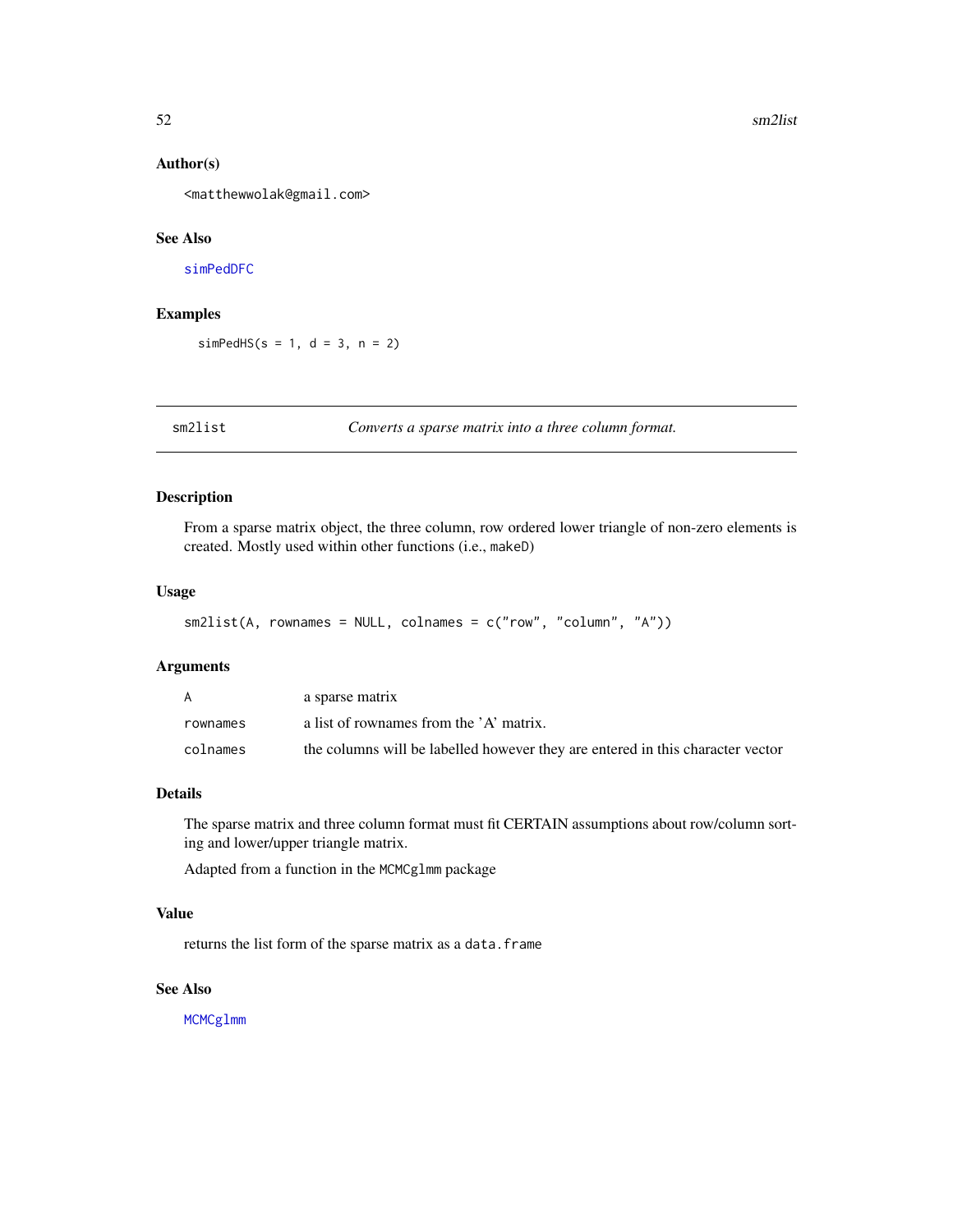#### <span id="page-51-0"></span>Author(s)

<matthewwolak@gmail.com>

#### See Also

[simPedDFC](#page-49-1)

#### Examples

 $simPedHS(s = 1, d = 3, n = 2)$ 

sm2list *Converts a sparse matrix into a three column format.*

#### Description

From a sparse matrix object, the three column, row ordered lower triangle of non-zero elements is created. Mostly used within other functions (i.e., makeD)

#### Usage

```
sm2list(A, rownames = NULL, colnames = c("row", "column", "A"))
```
#### Arguments

| A        | a sparse matrix                                                                |
|----------|--------------------------------------------------------------------------------|
| rownames | a list of rownames from the 'A' matrix.                                        |
| colnames | the columns will be labelled however they are entered in this character vector |

#### Details

The sparse matrix and three column format must fit CERTAIN assumptions about row/column sorting and lower/upper triangle matrix.

Adapted from a function in the MCMCglmm package

#### Value

returns the list form of the sparse matrix as a data.frame

#### See Also

[MCMCglmm](#page-0-0)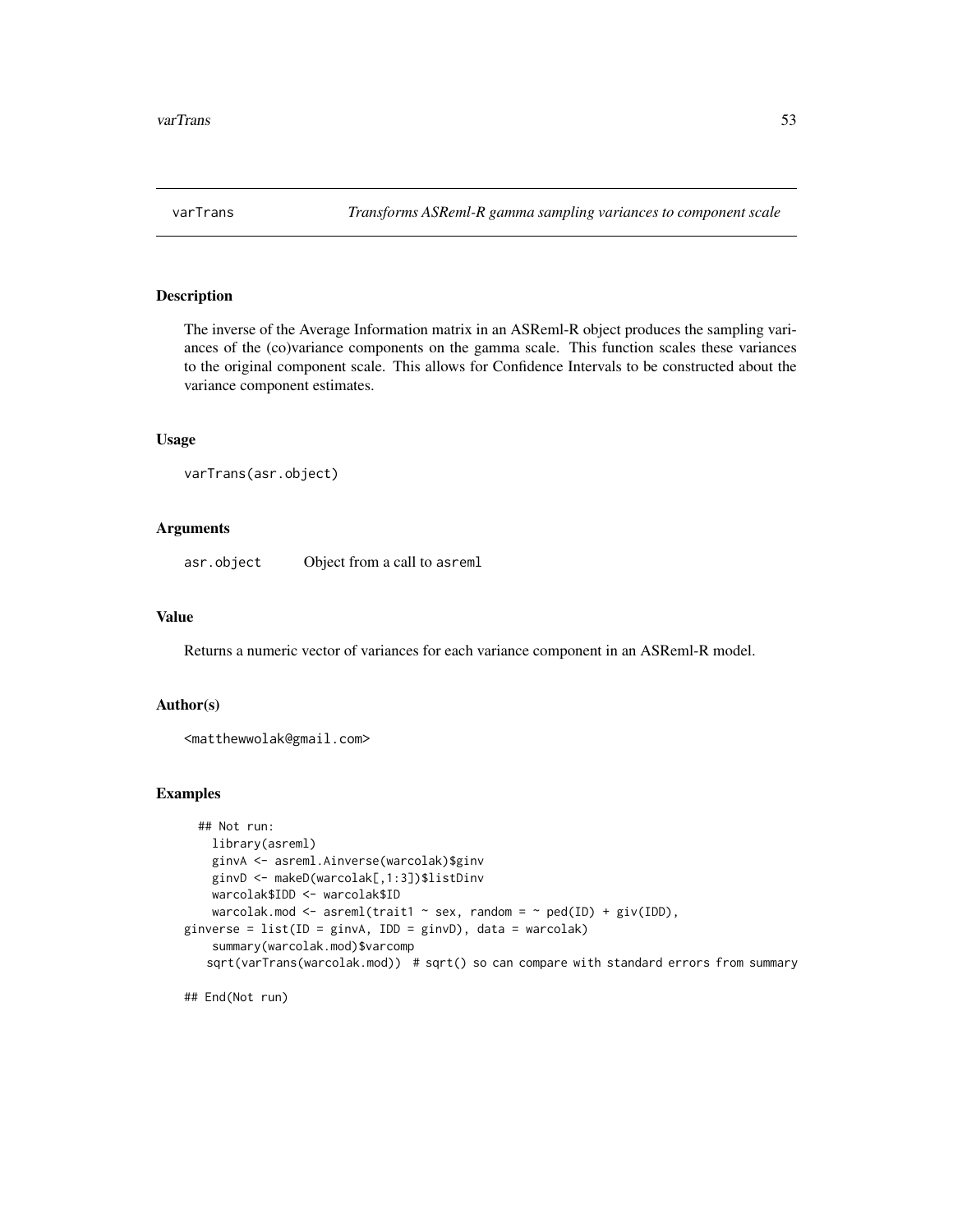<span id="page-52-1"></span><span id="page-52-0"></span>

#### Description

The inverse of the Average Information matrix in an ASReml-R object produces the sampling variances of the (co)variance components on the gamma scale. This function scales these variances to the original component scale. This allows for Confidence Intervals to be constructed about the variance component estimates.

#### Usage

varTrans(asr.object)

#### Arguments

asr.object Object from a call to asreml

#### Value

Returns a numeric vector of variances for each variance component in an ASReml-R model.

#### Author(s)

<matthewwolak@gmail.com>

#### Examples

```
## Not run:
   library(asreml)
   ginvA <- asreml.Ainverse(warcolak)$ginv
   ginvD <- makeD(warcolak[,1:3])$listDinv
   warcolak$IDD <- warcolak$ID
   warcolak.mod <- asreml(trait1 \sim sex, random = \sim ped(ID) + giv(IDD),
ginverse = list(ID = ginvA, IDD = ginvD), data = warcolak)
    summary(warcolak.mod)$varcomp
   sqrt(varTrans(warcolak.mod)) # sqrt() so can compare with standard errors from summary
```
## End(Not run)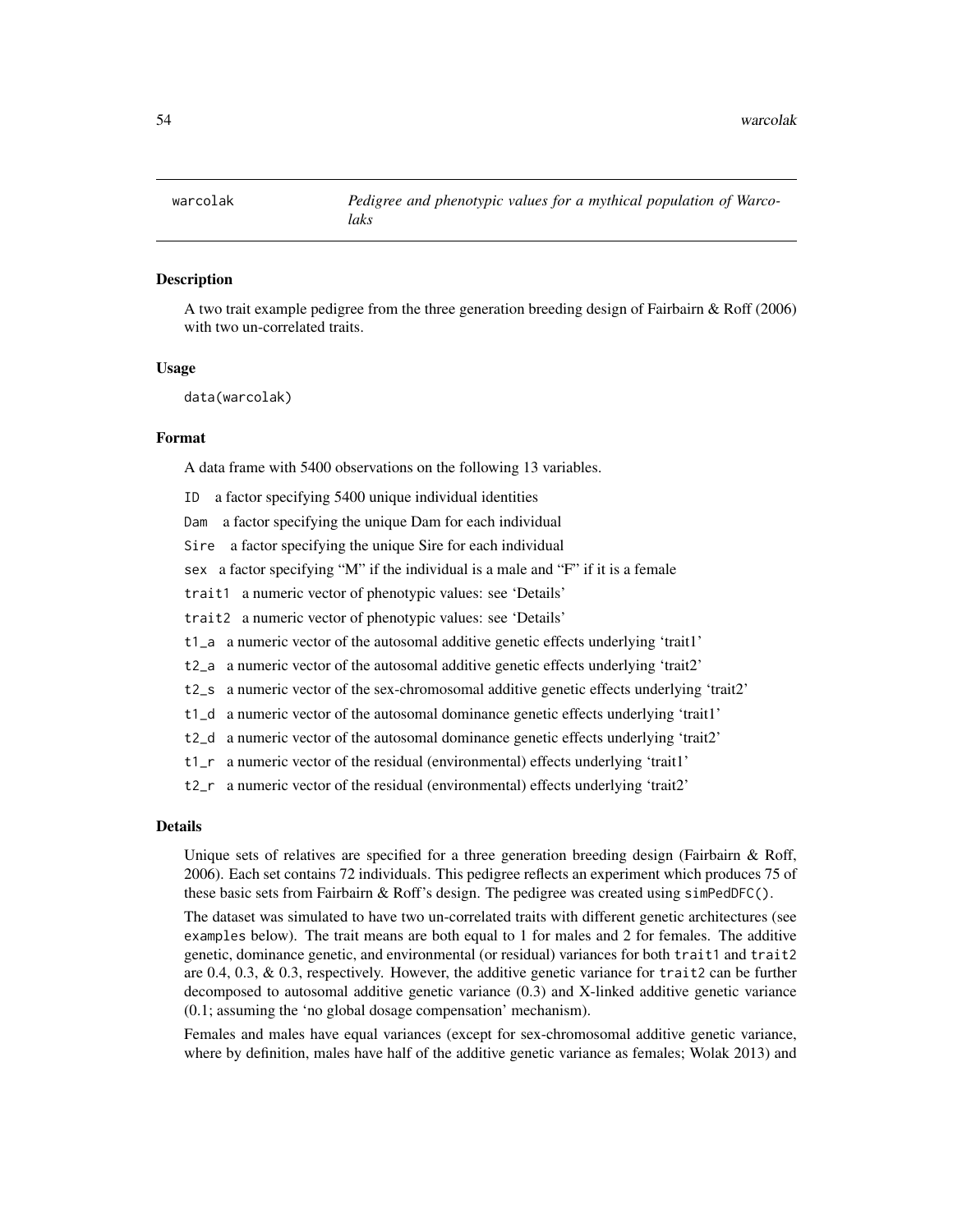<span id="page-53-1"></span><span id="page-53-0"></span>

#### **Description**

A two trait example pedigree from the three generation breeding design of Fairbairn & Roff (2006) with two un-correlated traits.

#### Usage

data(warcolak)

#### Format

A data frame with 5400 observations on the following 13 variables.

ID a factor specifying 5400 unique individual identities

Dam a factor specifying the unique Dam for each individual

Sire a factor specifying the unique Sire for each individual

sex a factor specifying "M" if the individual is a male and "F" if it is a female

trait1 a numeric vector of phenotypic values: see 'Details'

trait2 a numeric vector of phenotypic values: see 'Details'

t1\_a a numeric vector of the autosomal additive genetic effects underlying 'trait1'

t2\_a a numeric vector of the autosomal additive genetic effects underlying 'trait2'

- t2\_s a numeric vector of the sex-chromosomal additive genetic effects underlying 'trait2'
- t1\_d a numeric vector of the autosomal dominance genetic effects underlying 'trait1'
- t2\_d a numeric vector of the autosomal dominance genetic effects underlying 'trait2'
- t1\_r a numeric vector of the residual (environmental) effects underlying 'trait1'

t2\_r a numeric vector of the residual (environmental) effects underlying 'trait2'

#### Details

Unique sets of relatives are specified for a three generation breeding design (Fairbairn & Roff, 2006). Each set contains 72 individuals. This pedigree reflects an experiment which produces 75 of these basic sets from Fairbairn & Roff's design. The pedigree was created using simPedDFC().

The dataset was simulated to have two un-correlated traits with different genetic architectures (see examples below). The trait means are both equal to 1 for males and 2 for females. The additive genetic, dominance genetic, and environmental (or residual) variances for both trait1 and trait2 are 0.4, 0.3, & 0.3, respectively. However, the additive genetic variance for trait2 can be further decomposed to autosomal additive genetic variance (0.3) and X-linked additive genetic variance (0.1; assuming the 'no global dosage compensation' mechanism).

Females and males have equal variances (except for sex-chromosomal additive genetic variance, where by definition, males have half of the additive genetic variance as females; Wolak 2013) and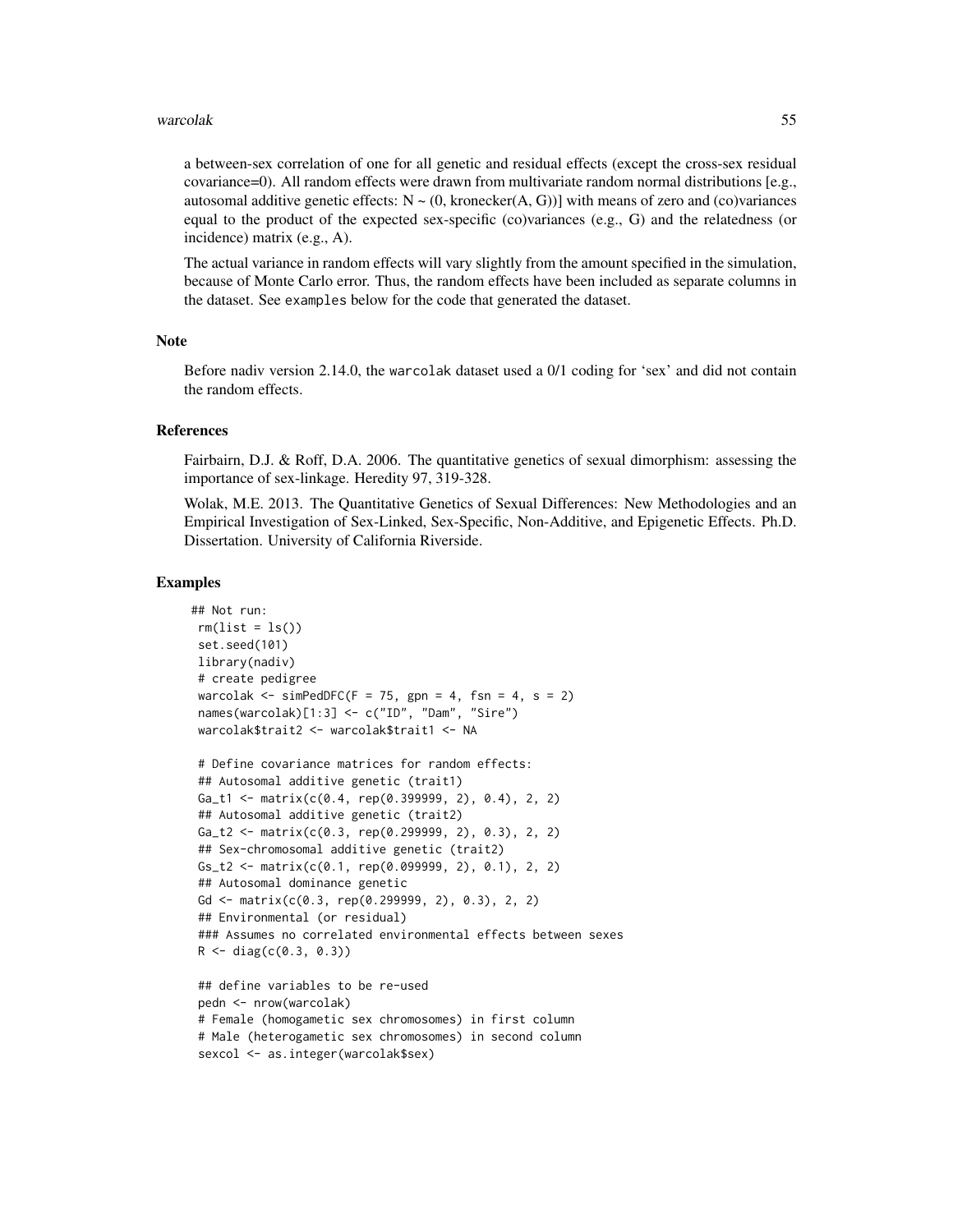#### warcolak 55

a between-sex correlation of one for all genetic and residual effects (except the cross-sex residual covariance=0). All random effects were drawn from multivariate random normal distributions [e.g., autosomal additive genetic effects:  $N \sim (0, \text{kronecker}(A, G))$ ] with means of zero and (co)variances equal to the product of the expected sex-specific (co)variances (e.g., G) and the relatedness (or incidence) matrix (e.g., A).

The actual variance in random effects will vary slightly from the amount specified in the simulation, because of Monte Carlo error. Thus, the random effects have been included as separate columns in the dataset. See examples below for the code that generated the dataset.

#### Note

Before nadiv version 2.14.0, the warcolak dataset used a 0/1 coding for 'sex' and did not contain the random effects.

#### References

Fairbairn, D.J. & Roff, D.A. 2006. The quantitative genetics of sexual dimorphism: assessing the importance of sex-linkage. Heredity 97, 319-328.

Wolak, M.E. 2013. The Quantitative Genetics of Sexual Differences: New Methodologies and an Empirical Investigation of Sex-Linked, Sex-Specific, Non-Additive, and Epigenetic Effects. Ph.D. Dissertation. University of California Riverside.

#### Examples

```
## Not run:
rm(list = ls())set.seed(101)
library(nadiv)
# create pedigree
warcolak <- simPedDFC(F = 75, gpn = 4, fsn = 4, s = 2)
names(warcolak)[1:3] <- c("ID", "Dam", "Sire")
warcolak$trait2 <- warcolak$trait1 <- NA
# Define covariance matrices for random effects:
## Autosomal additive genetic (trait1)
Ga_t1 <- matrix(c(0.4, rep(0.399999, 2), 0.4), 2, 2)
## Autosomal additive genetic (trait2)
Ga_t2 <- matrix(c(0.3, rep(0.299999, 2), 0.3), 2, 2)
## Sex-chromosomal additive genetic (trait2)
Gs_t2 <- matrix(c(0.1, rep(0.099999, 2), 0.1), 2, 2)
## Autosomal dominance genetic
Gd <- matrix(c(0.3, rep(0.299999, 2), 0.3), 2, 2)
## Environmental (or residual)
### Assumes no correlated environmental effects between sexes
R \le - \text{diag}(c(0.3, 0.3))## define variables to be re-used
pedn <- nrow(warcolak)
# Female (homogametic sex chromosomes) in first column
# Male (heterogametic sex chromosomes) in second column
sexcol <- as.integer(warcolak$sex)
```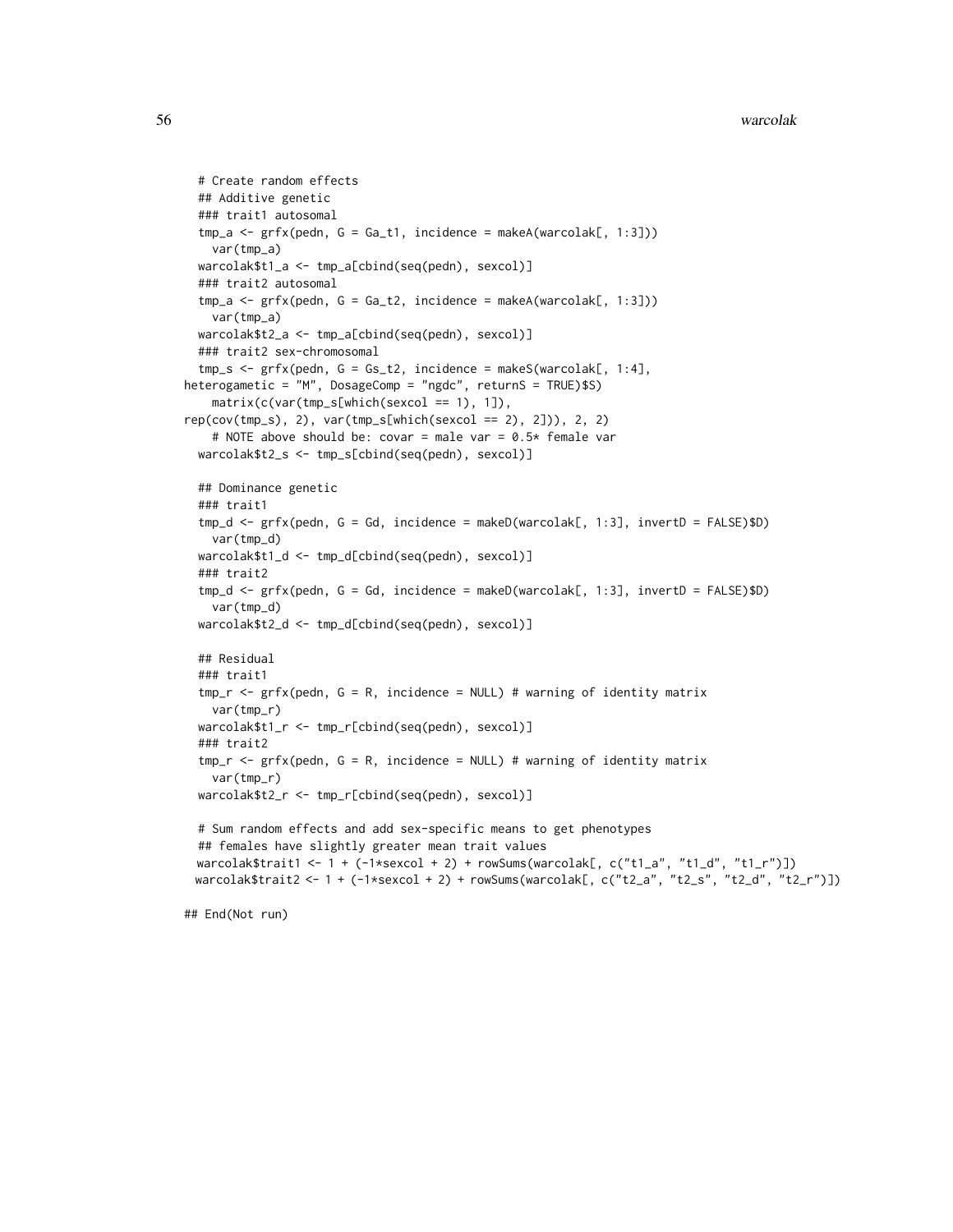```
# Create random effects
 ## Additive genetic
 ### trait1 autosomal
 tmp_a \leftarrow grfx(pedn, G = Ga_t1, incidence = makeA(warcolak[, 1:3])var(tmp_a)
 warcolak$t1_a <- tmp_a[cbind(seq(pedn), sexcol)]
 ### trait2 autosomal
 tmp_a \leq grfx(pedn, G = Ga_t2, incidence = makeA(wareolak[, 1:3]))var(tmp_a)
 warcolak$t2_a <- tmp_a[cbind(seq(pedn), sexcol)]
 ### trait2 sex-chromosomal
  tmp_s \leq grfx(pedn, G = Gs_t2, incidence = makeS(wxcolak[, 1:4],heterogametic = "M", DosageComp = "ngdc", returnS = TRUE)$S)
   matrix(c(var(tmp_s[which(sexcol == 1), 1]),
rep(cov(tmp_s), 2), var(tmp_s[which(sexcol == 2), 2])), 2, 2)
    # NOTE above should be: covar = male var = 0.5* female var
 warcolak$t2_s <- tmp_s[cbind(seq(pedn), sexcol)]
 ## Dominance genetic
 ### trait1
 tmp_d \leq grfx(pedn, G = Gd, incidence = makeD(wxcolak[, 1:3], invertD = FALSE)\$D)var(tmp_d)
 warcolak$t1_d <- tmp_d[cbind(seq(pedn), sexcol)]
 ### trait2
 tmp_d <- grfx(pedn, G = Gd, incidence = makeD(warcolak[, 1:3], invertD = FALSE)$D)
   var(tmp_d)
 warcolak$t2_d <- tmp_d[cbind(seq(pedn), sexcol)]
 ## Residual
 ### trait1
 tmp_r < - grfx(pedn, G = R, incidence = NULL) # warning of identity matrixvar(tmp_r)
 warcolak$t1_r <- tmp_r[cbind(seq(pedn), sexcol)]
 ### trait2
 tmp_r < - grfx(pedn, G = R, incidence = NULL) # warning of identity matrixvar(tmp_r)
 warcolak$t2_r <- tmp_r[cbind(seq(pedn), sexcol)]
 # Sum random effects and add sex-specific means to get phenotypes
 ## females have slightly greater mean trait values
 warcolak$trait1 <- 1 + (-1*sexcol + 2) + rowSums(warcolak[, c("t1_a", "t1_d", "t1_r")])
 warcolak$trait2 <- 1 + (-1*sexcol + 2) + rowSums(warcolak[, c("t2_a", "t2_s", "t2_d", "t2_r")])
```

```
## End(Not run)
```